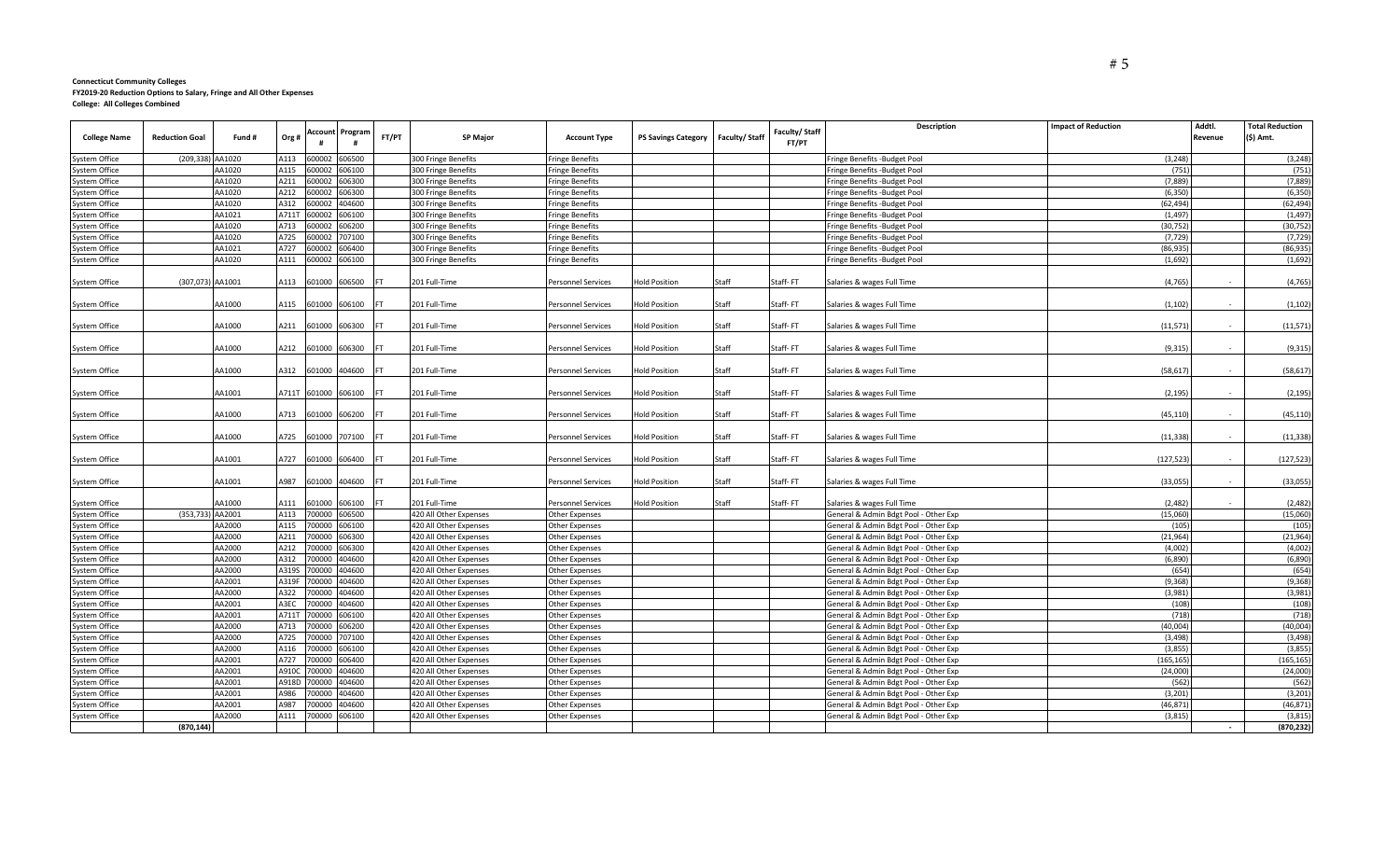|                                |                                 |               |                                     |           |                                                  |                           |                            |                | <b>Faculty/Staff</b> | Description                                                                    | <b>Impact of Reduction</b> | Addtl.  | <b>Total Reduction</b> |
|--------------------------------|---------------------------------|---------------|-------------------------------------|-----------|--------------------------------------------------|---------------------------|----------------------------|----------------|----------------------|--------------------------------------------------------------------------------|----------------------------|---------|------------------------|
| <b>College Name</b>            | Fund #<br><b>Reduction Goal</b> | Org#          | Progran<br>Account<br>#             | FT/PT     | <b>SP Major</b>                                  | <b>Account Type</b>       | <b>PS Savings Category</b> | Faculty/ Staff | FT/PT                |                                                                                |                            | Revenue | (\$) Amt.              |
| System Office                  | (209, 338)<br>AA1020            | A113          | 600002<br>606500                    |           | 300 Fringe Benefits                              | <b>Fringe Benefits</b>    |                            |                |                      | Fringe Benefits -Budget Pool                                                   | (3, 248)                   |         | (3, 248)               |
| System Office                  | AA1020                          | A115          | 600002<br>606100                    |           | 300 Fringe Benefits                              | <b>Fringe Benefits</b>    |                            |                |                      | Fringe Benefits -Budget Pool                                                   | (751)                      |         | (751                   |
| <b>System Office</b>           | AA1020                          | A211          | 600002<br>606300                    |           | 300 Fringe Benefits                              | <b>Fringe Benefits</b>    |                            |                |                      | Fringe Benefits -Budget Pool                                                   | (7, 889)                   |         | (7,889)                |
| System Office                  | AA1020                          | A212          | 600002<br>606300                    |           | 300 Fringe Benefits                              | <b>Fringe Benefits</b>    |                            |                |                      | Fringe Benefits -Budget Pool                                                   | (6, 350)                   |         | (6, 350)               |
| System Office                  | AA1020                          | A312          | 500002<br>404600                    |           | 300 Fringe Benefits                              | <b>Fringe Benefits</b>    |                            |                |                      | Fringe Benefits -Budget Pool                                                   | (62, 494)                  |         | (62, 494)              |
| <b>System Office</b>           | AA1021                          | A711T         | 600002<br>606100                    |           | 300 Fringe Benefits                              | <b>Fringe Benefits</b>    |                            |                |                      | Fringe Benefits -Budget Pool                                                   | (1, 497)                   |         | (1, 497)               |
| System Office                  | AA1020                          | A713          | 500002<br>606200                    |           | 300 Fringe Benefits                              | <b>Fringe Benefits</b>    |                            |                |                      | Fringe Benefits -Budget Pool                                                   | (30, 752)                  |         | (30, 752)              |
| <b>System Office</b>           | AA1020                          | A725          | 500002<br>07100                     |           | 300 Fringe Benefits                              | <b>Fringe Benefits</b>    |                            |                |                      | Fringe Benefits -Budget Pool                                                   | (7, 729)                   |         | (7, 729)               |
| System Office                  | AA1021                          | A727          | 500002<br>606400                    |           | 300 Fringe Benefits                              | <b>Fringe Benefits</b>    |                            |                |                      | Fringe Benefits -Budget Pool                                                   | (86, 935)                  |         | (86, 935)              |
| System Office                  | AA1020                          | A111          | 600002<br>606100                    |           | 300 Fringe Benefits                              | <b>Fringe Benefits</b>    |                            |                |                      | Fringe Benefits -Budget Pool                                                   | (1,692)                    |         | (1,692)                |
|                                |                                 |               |                                     |           |                                                  |                           |                            |                |                      |                                                                                |                            |         |                        |
| <b>System Office</b>           | (307,073) AA1001                | A113          | 601000<br>606500                    | <b>FT</b> | 201 Full-Time                                    | <b>Personnel Services</b> | <b>Hold Position</b>       | Staff          | Staff-FT             | Salaries & wages Full Time                                                     | (4, 765)                   |         | (4, 765)               |
| System Office                  | AA1000                          | A115          | 501000<br>606100                    |           | 201 Full-Time                                    | Personnel Services        | <b>Hold Position</b>       | Staff          | Staff-FT             | Salaries & wages Full Time                                                     | (1, 102)                   | $\sim$  | (1, 102)               |
|                                |                                 |               |                                     |           |                                                  |                           |                            |                |                      |                                                                                |                            |         |                        |
| System Office                  | AA1000                          | A211          | 601000<br>606300                    |           | 201 Full-Time                                    | <b>Personnel Services</b> | <b>Hold Position</b>       | staff          | Staff-FT             | Salaries & wages Full Time                                                     | (11, 571)                  |         | (11, 571)              |
|                                |                                 |               |                                     |           |                                                  |                           |                            |                |                      |                                                                                |                            |         |                        |
| <b>System Office</b>           | AA1000                          | A212          | 601000<br>606300                    |           | 201 Full-Time                                    | <b>Personnel Services</b> | <b>Hold Position</b>       | Staff          | Staff-FT             | Salaries & wages Full Time                                                     | (9, 315)                   |         | (9, 315)               |
|                                |                                 |               |                                     |           |                                                  |                           |                            |                |                      |                                                                                |                            |         |                        |
| System Office                  | AA1000                          | A312          | 404600<br>601000                    |           | 201 Full-Time                                    | <b>Personnel Services</b> | <b>Hold Position</b>       | Staff          | Staff-FT             | Salaries & wages Full Time                                                     | (58, 617)                  | $\sim$  | (58, 617)              |
| System Office                  | AA1001                          | A711T         | 601000<br>606100                    |           | 201 Full-Time                                    | <b>Personnel Services</b> | <b>Hold Position</b>       | Staff          | Staff-FT             | Salaries & wages Full Time                                                     | (2, 195)                   | $\sim$  | (2, 195)               |
|                                |                                 |               |                                     |           |                                                  |                           |                            |                |                      |                                                                                |                            |         |                        |
| <b>System Office</b>           | AA1000                          | A713          | 601000<br>606200                    |           | 201 Full-Time                                    | <b>Personnel Services</b> | <b>Hold Position</b>       | Staff          | Staff-FT             | Salaries & wages Full Time                                                     | (45, 110)                  |         | (45, 110)              |
|                                |                                 |               |                                     |           |                                                  |                           |                            |                |                      |                                                                                |                            |         |                        |
| System Office                  | AA1000                          | A725          | 601000<br>707100                    |           | 201 Full-Time                                    | <b>Personnel Services</b> | <b>Hold Position</b>       | Staff          | Staff-FT             | Salaries & wages Full Time                                                     | (11, 338)                  | $\sim$  | (11, 338)              |
|                                |                                 |               |                                     |           |                                                  |                           |                            |                |                      |                                                                                |                            |         |                        |
| System Office                  | AA1001                          | A727          | 601000<br>606400                    |           | 201 Full-Time                                    | <b>Personnel Services</b> | <b>Hold Position</b>       | Staff          | Staff-FT             | Salaries & wages Full Time                                                     | (127, 523)                 | $\sim$  | (127, 523)             |
|                                |                                 |               |                                     |           |                                                  |                           |                            |                |                      |                                                                                |                            |         |                        |
| System Office                  | AA1001                          | A987          | 601000<br>404600                    |           | 201 Full-Time                                    | <b>Personnel Services</b> | <b>Hold Position</b>       | Staff          | Staff-FT             | Salaries & wages Full Time                                                     | (33,055)                   |         | (33,055)               |
|                                |                                 |               |                                     |           |                                                  |                           |                            |                |                      |                                                                                |                            |         |                        |
| System Office                  | AA1000                          | A111          | 601000<br>606100                    |           | 201 Full-Time                                    | <b>Personnel Services</b> | <b>Hold Position</b>       | Staff          | Staff-FT             | Salaries & wages Full Time                                                     | (2,482)                    |         | (2, 482)               |
| System Office                  | (353,733) AA2001                | A113          | 700000<br>606500                    |           | 420 All Other Expenses                           | <b>Other Expenses</b>     |                            |                |                      | General & Admin Bdgt Pool - Other Exp                                          | (15,060)                   |         | (15,060)               |
| <b>System Office</b>           | AA2000                          | A115          | 700000<br>606100                    |           | 420 All Other Expenses                           | <b>Other Expenses</b>     |                            |                |                      | General & Admin Bdgt Pool - Other Exp                                          | (105)                      |         | (105)                  |
| System Office                  | AA2000                          | A211          | 700000<br>606300                    |           | 420 All Other Expenses                           | <b>Other Expenses</b>     |                            |                |                      | General & Admin Bdgt Pool - Other Exp                                          | (21, 964)                  |         | (21, 964)              |
| <b>System Office</b>           | AA2000                          | A212          | 700000<br>606300                    |           | 420 All Other Expenses                           | <b>Other Expenses</b>     |                            |                |                      | General & Admin Bdgt Pool - Other Exp                                          | (4,002)                    |         | (4,002)                |
| System Office                  | AA2000                          | A312          | 700000<br>404600                    |           | 420 All Other Expenses                           | Other Expenses            |                            |                |                      | General & Admin Bdgt Pool - Other Exp                                          | (6,890)                    |         | (6,890)                |
| System Office                  | AA2000                          | A319S         | 700000<br>104600                    |           | 420 All Other Expenses                           | <b>Other Expenses</b>     |                            |                |                      | General & Admin Bdgt Pool - Other Exp                                          | (654)                      |         | (654)                  |
| <b>System Office</b>           | AA2001                          | A319F         | 404600<br>700000                    |           | 420 All Other Expenses                           | <b>Other Expenses</b>     |                            |                |                      | General & Admin Bdgt Pool - Other Exp                                          | (9, 368)                   |         | (9, 368)               |
| <b>System Office</b>           | AA2000                          | A322          | 104600<br>700000<br>404600          |           | 420 All Other Expenses                           | Other Expenses            |                            |                |                      | General & Admin Bdgt Pool - Other Exp                                          | (3,981)                    |         | (3,981)                |
| <b>System Office</b>           | AA2001<br>AA2001                | A3EC<br>A711T | 700000<br>00000<br>506100           |           | 420 All Other Expenses                           | Other Expenses            |                            |                |                      | General & Admin Bdgt Pool - Other Exp                                          | (108)<br>(718)             |         | (108)<br>(718)         |
| <b>System Office</b>           |                                 |               |                                     |           | 420 All Other Expenses                           | Other Expenses            |                            |                |                      | General & Admin Bdgt Pool - Other Exp                                          |                            |         |                        |
| <b>System Office</b>           | AA2000                          | A713<br>A725  | 700000<br>606200                    |           | 420 All Other Expenses                           | <b>Other Expenses</b>     |                            |                |                      | General & Admin Bdgt Pool - Other Exp                                          | (40,004)<br>(3, 498)       |         | (40,004)<br>(3, 498)   |
| <b>System Office</b>           | AA2000                          |               | 700000<br>07100                     |           | 420 All Other Expenses                           | Other Expenses            |                            |                |                      | General & Admin Bdgt Pool - Other Exp                                          | (3,855)                    |         |                        |
| System Office                  | AA2000<br>AA2001                | A116<br>A727  | 00000<br>606100<br>'00000<br>606400 |           | 420 All Other Expenses                           | Other Expenses            |                            |                |                      | General & Admin Bdgt Pool - Other Exp                                          |                            |         | (3,855)                |
| <b>System Office</b>           |                                 |               |                                     |           | 420 All Other Expenses                           | Other Expenses            |                            |                |                      | General & Admin Bdgt Pool - Other Exp                                          | (165, 165)                 |         | (165, 165)             |
| System Office                  | AA2001                          | A910C         | 104600<br>700000                    |           | 420 All Other Expenses                           | <b>Other Expenses</b>     |                            |                |                      | General & Admin Bdgt Pool - Other Exp                                          | (24,000)                   |         | (24,000)               |
| System Office                  | AA2001                          | A918D         | 700000<br>404600                    |           | 420 All Other Expenses                           | Other Expenses            |                            |                |                      | General & Admin Bdgt Pool - Other Exp                                          | (562)                      |         | (562)                  |
| System Office                  | AA2001<br>AA2001                | A986<br>A987  | 04600<br>700000<br>104600<br>00000  |           | 420 All Other Expenses                           | <b>Other Expenses</b>     |                            |                |                      | General & Admin Bdgt Pool - Other Exp                                          | (3, 201)<br>(46, 871)      |         | (3, 201)<br>(46, 871)  |
| System Office<br>System Office | AA2000                          | A111          | 606100<br>700000                    |           | 420 All Other Expenses<br>420 All Other Expenses | <b>Other Expenses</b>     |                            |                |                      | General & Admin Bdgt Pool - Other Exp<br>General & Admin Bdgt Pool - Other Exp | (3, 815)                   |         | (3, 815)               |
|                                | (870, 144)                      |               |                                     |           |                                                  | Other Expenses            |                            |                |                      |                                                                                |                            |         | (870, 232)             |
|                                |                                 |               |                                     |           |                                                  |                           |                            |                |                      |                                                                                |                            |         |                        |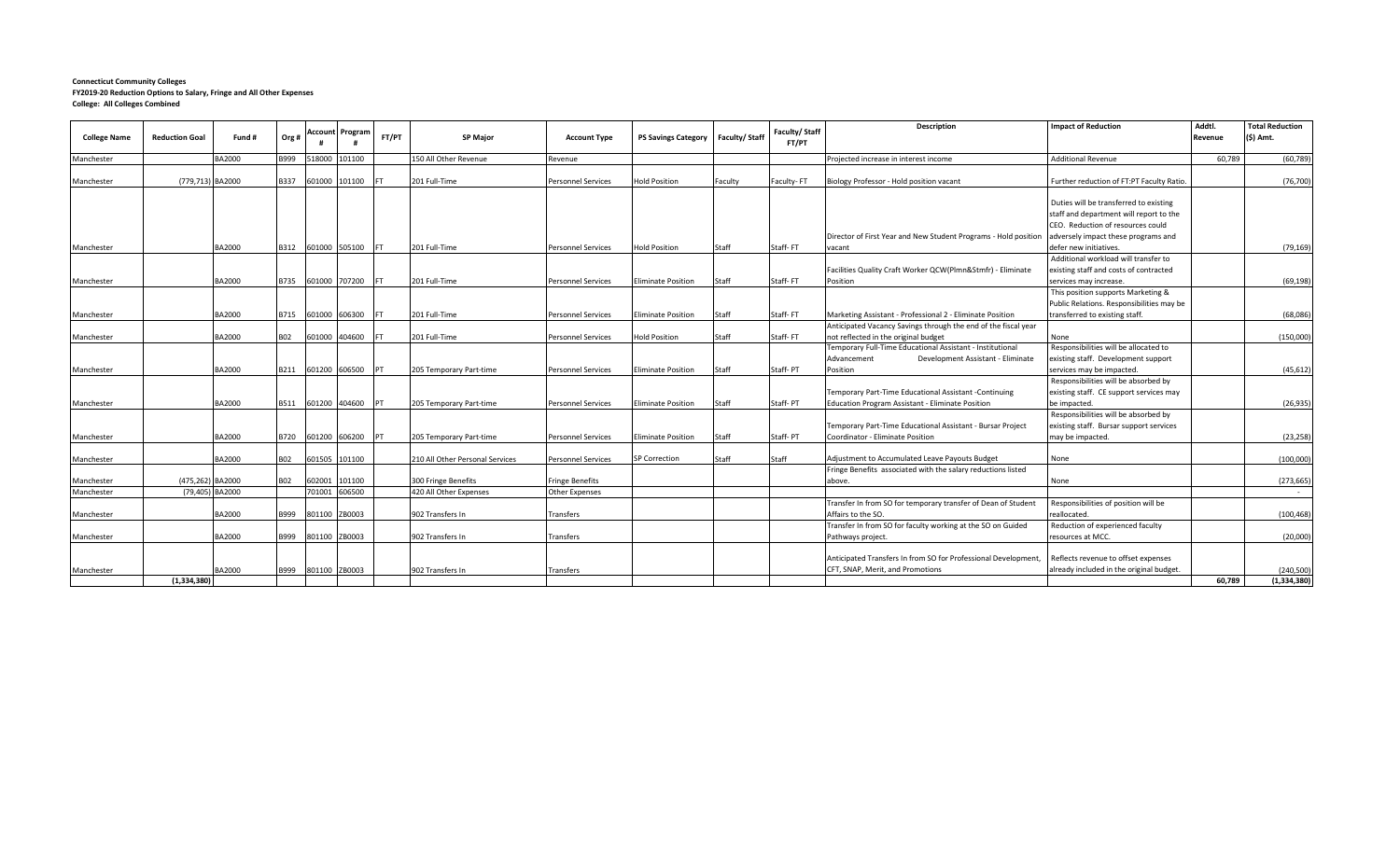|                     |                       |               |             |               | <b>Account Program</b> | FT/PT      |                                 |                           |                            | Faculty/Staff | Faculty/ Staff | <b>Description</b>                                              | <b>Impact of Reduction</b>                | Addtl.  | <b>Total Reduction</b><br>$(5)$ Amt. |               |
|---------------------|-----------------------|---------------|-------------|---------------|------------------------|------------|---------------------------------|---------------------------|----------------------------|---------------|----------------|-----------------------------------------------------------------|-------------------------------------------|---------|--------------------------------------|---------------|
| <b>College Name</b> | <b>Reduction Goal</b> | Fund #        | Org #       |               | <b>H</b>               |            | <b>SP Maior</b>                 | <b>Account Type</b>       | <b>PS Savings Category</b> |               | FT/PT          |                                                                 |                                           | Revenue |                                      |               |
| Manchester          |                       | BA2000        | B999        | 518000        | 101100                 |            | 150 All Other Revenue           | Revenue                   |                            |               |                | Projected increase in interest income                           | <b>Additional Revenue</b>                 | 60,789  |                                      | (60, 789)     |
|                     |                       |               |             |               |                        |            |                                 |                           |                            |               |                |                                                                 |                                           |         |                                      |               |
| Manchester          | (779,713) BA2000      |               | <b>B337</b> | 601000        | 101100                 |            | 201 Full-Time                   | <b>Personnel Services</b> | <b>Hold Position</b>       | Faculty       | Faculty-FT     | Biology Professor - Hold position vacant                        | Further reduction of FT:PT Faculty Ratio. |         |                                      | (76, 700)     |
|                     |                       |               |             |               |                        |            |                                 |                           |                            |               |                |                                                                 | Duties will be transferred to existing    |         |                                      |               |
|                     |                       |               |             |               |                        |            |                                 |                           |                            |               |                |                                                                 | staff and department will report to the   |         |                                      |               |
|                     |                       |               |             |               |                        |            |                                 |                           |                            |               |                |                                                                 | CEO. Reduction of resources could         |         |                                      |               |
|                     |                       |               |             |               |                        |            |                                 |                           |                            |               |                | Director of First Year and New Student Programs - Hold position | adversely impact these programs and       |         |                                      |               |
|                     |                       |               |             |               |                        |            |                                 |                           |                            |               |                |                                                                 |                                           |         |                                      |               |
| Manchester          |                       | <b>BA2000</b> | <b>B312</b> |               | 601000 505100          |            | 201 Full-Time                   | <b>Personnel Services</b> | <b>Hold Position</b>       | Staff         | Staff-FT       | vacant                                                          | defer new initiatives.                    |         |                                      | (79, 169)     |
|                     |                       |               |             |               |                        |            |                                 |                           |                            |               |                |                                                                 | Additional workload will transfer to      |         |                                      |               |
|                     |                       |               |             |               |                        |            |                                 |                           |                            |               |                | Facilities Quality Craft Worker QCW(Plmn&Stmfr) - Eliminate     | existing staff and costs of contracted    |         |                                      |               |
| Manchester          |                       | <b>BA2000</b> | B735        |               | 601000 707200          |            | 201 Full-Time                   | <b>Personnel Services</b> | <b>Eliminate Position</b>  | Staff         | Staff-FT       | Position                                                        | services may increase.                    |         |                                      | (69, 198)     |
|                     |                       |               |             |               |                        |            |                                 |                           |                            |               |                |                                                                 | This position supports Marketing &        |         |                                      |               |
|                     |                       |               |             |               |                        |            |                                 |                           |                            |               |                |                                                                 | Public Relations. Responsibilities may be |         |                                      |               |
| Manchester          |                       | BA2000        | B715        | 601000        | 606300                 |            | 201 Full-Time                   | <b>Personnel Services</b> | <b>Eliminate Position</b>  | Staff         | Staff-FT       | Marketing Assistant - Professional 2 - Eliminate Position       | transferred to existing staff.            |         |                                      | (68,086)      |
|                     |                       |               |             |               |                        |            |                                 |                           |                            |               |                | Anticipated Vacancy Savings through the end of the fiscal year  |                                           |         |                                      |               |
| Manchester          |                       | <b>BA2000</b> | <b>B02</b>  | 601000        | 404600                 | <b>IFT</b> | 201 Full-Time                   | <b>Personnel Services</b> | <b>Hold Position</b>       | Staff         | Staff-FT       | not reflected in the original budget                            | None                                      |         |                                      | (150,000)     |
|                     |                       |               |             |               |                        |            |                                 |                           |                            |               |                | Temporary Full-Time Educational Assistant - Institutional       | Responsibilities will be allocated to     |         |                                      |               |
|                     |                       |               |             |               |                        |            |                                 |                           |                            |               |                | Advancement<br>Development Assistant - Eliminate                | existing staff. Development support       |         |                                      |               |
| Manchester          |                       | <b>BA2000</b> | B211        |               | 601200 606500          | <b>PT</b>  | 205 Temporary Part-time         | <b>Personnel Services</b> | <b>Eliminate Position</b>  | Staff         | Staff-PT       | Position                                                        | services may be impacted.                 |         |                                      | (45, 612)     |
|                     |                       |               |             |               |                        |            |                                 |                           |                            |               |                |                                                                 | Responsibilities will be absorbed by      |         |                                      |               |
|                     |                       |               |             |               |                        |            |                                 |                           |                            |               |                | Temporary Part-Time Educational Assistant -Continuing           | existing staff. CE support services may   |         |                                      |               |
| Manchester          |                       | <b>BA2000</b> | <b>B511</b> |               | 601200 404600 PT       |            | 205 Temporary Part-time         | <b>Personnel Services</b> | <b>Eliminate Position</b>  | Staff         | Staff-PT       | <b>Education Program Assistant - Eliminate Position</b>         | be impacted.                              |         |                                      | (26, 935)     |
|                     |                       |               |             |               |                        |            |                                 |                           |                            |               |                |                                                                 | Responsibilities will be absorbed by      |         |                                      |               |
|                     |                       |               |             |               |                        |            |                                 |                           |                            |               |                | Temporary Part-Time Educational Assistant - Bursar Project      | existing staff. Bursar support services   |         |                                      |               |
| Manchester          |                       | <b>BA2000</b> | B720        |               | 601200 606200          | <b>IPT</b> | 205 Temporary Part-time         | <b>Personnel Services</b> | <b>Eliminate Position</b>  | Staff         | Staff-PT       | Coordinator - Eliminate Position                                | may be impacted.                          |         |                                      | (23, 258)     |
|                     |                       |               |             |               |                        |            |                                 |                           |                            |               |                |                                                                 |                                           |         |                                      |               |
| Manchester          |                       | <b>BA2000</b> | <b>B02</b>  | 601505        | 101100                 |            | 210 All Other Personal Services | <b>Personnel Services</b> | <b>SP Correction</b>       | Staff         | Staff          | Adjustment to Accumulated Leave Payouts Budget                  | None                                      |         |                                      | (100,000)     |
|                     |                       |               |             |               |                        |            |                                 |                           |                            |               |                | Fringe Benefits associated with the salary reductions listed    |                                           |         |                                      |               |
| Manchester          | (475,262) BA2000      |               | <b>B02</b>  | 602001        | 101100                 |            | 300 Fringe Benefits             | <b>Fringe Benefits</b>    |                            |               |                | above.                                                          | None                                      |         |                                      | (273, 665)    |
| Manchester          | (79,405) BA2000       |               |             | 701001        | 606500                 |            | 420 All Other Expenses          | Other Expenses            |                            |               |                |                                                                 |                                           |         |                                      | $\sim$ $-$    |
|                     |                       |               |             |               |                        |            |                                 |                           |                            |               |                | Transfer In from SO for temporary transfer of Dean of Student   | Responsibilities of position will be      |         |                                      |               |
| Manchester          |                       | <b>BA2000</b> | B999        | 801100        | ZB0003                 |            | 902 Transfers In                | Transfers                 |                            |               |                | Affairs to the SO.                                              | reallocated.                              |         |                                      | (100, 468)    |
|                     |                       |               |             |               |                        |            |                                 |                           |                            |               |                | Transfer In from SO for faculty working at the SO on Guided     | Reduction of experienced faculty          |         |                                      |               |
| Manchester          |                       | <b>BA2000</b> | B999        | 801100        | ZB0003                 |            | 902 Transfers In                | Transfers                 |                            |               |                | Pathways project.                                               | resources at MCC.                         |         |                                      | (20,000)      |
|                     |                       |               |             |               |                        |            |                                 |                           |                            |               |                |                                                                 |                                           |         |                                      |               |
|                     |                       |               |             |               |                        |            |                                 |                           |                            |               |                | Anticipated Transfers In from SO for Professional Development   | Reflects revenue to offset expenses       |         |                                      |               |
| Manchester          |                       | <b>BA2000</b> | B999        | 801100 ZB0003 |                        |            | 902 Transfers In                | Transfers                 |                            |               |                | CFT, SNAP, Merit, and Promotions                                | already included in the original budget.  |         |                                      | (240, 500)    |
|                     | (1,334,380)           |               |             |               |                        |            |                                 |                           |                            |               |                |                                                                 |                                           | 60.789  |                                      | (1, 334, 380) |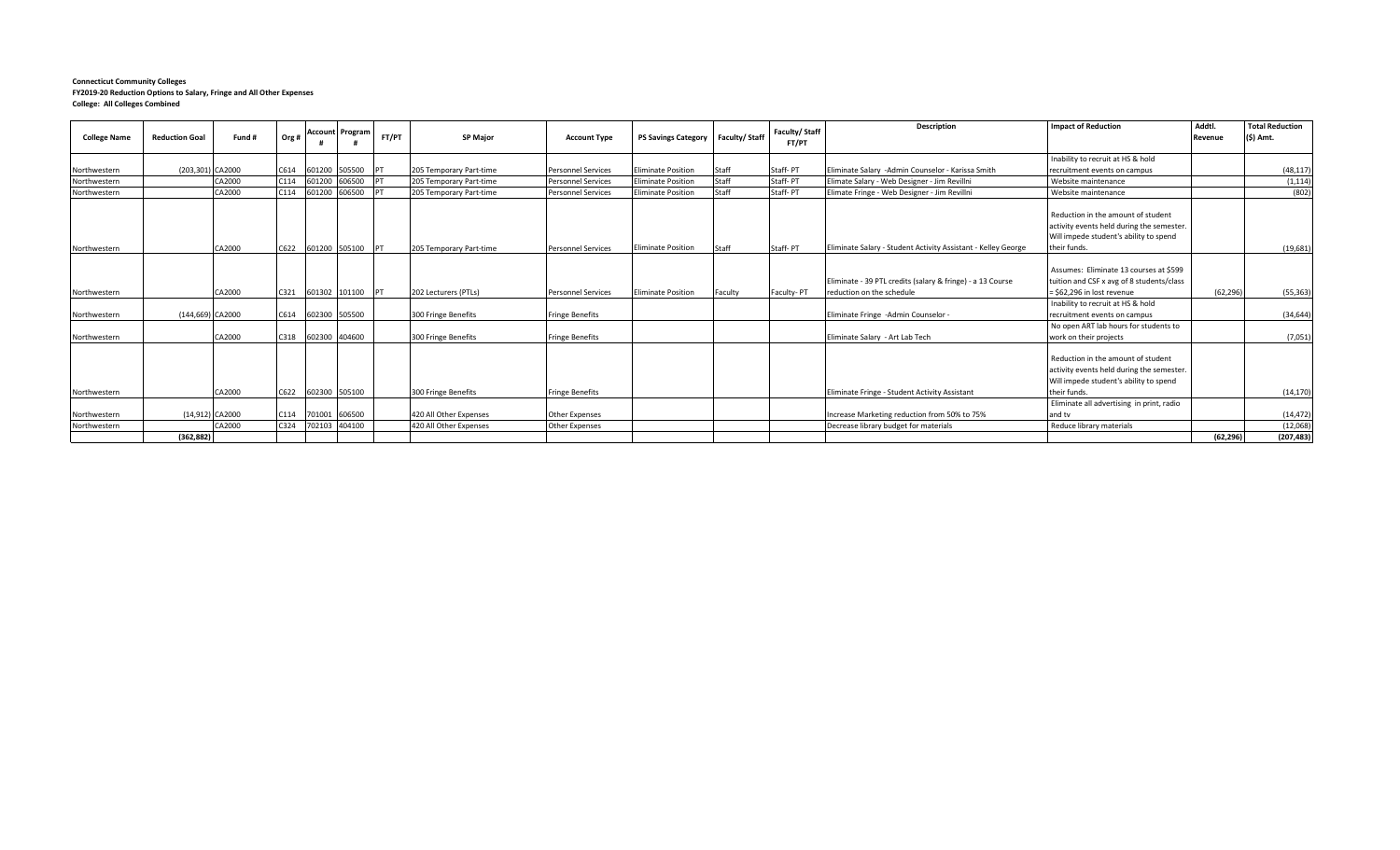|                     |                       |        |       |               | <b>Account Program</b> |           |                         |                           |                                      |         | Faculty/ Staff | Description                                                   | <b>Impact of Reduction</b>                | Addtl.    | <b>Total Reduction</b> |
|---------------------|-----------------------|--------|-------|---------------|------------------------|-----------|-------------------------|---------------------------|--------------------------------------|---------|----------------|---------------------------------------------------------------|-------------------------------------------|-----------|------------------------|
| <b>College Name</b> | <b>Reduction Goal</b> | Fund # | Org # |               |                        | FT/PT     | <b>SP Maior</b>         | <b>Account Type</b>       | PS Savings Category   Faculty/ Staff |         | <b>FT/PT</b>   |                                                               |                                           | Revenue   | (\$) Amt.              |
|                     |                       |        |       |               |                        |           |                         |                           |                                      |         |                |                                                               | Inability to recruit at HS & hold         |           |                        |
| Northwestern        | (203,301) CA2000      |        | C614  |               | 601200 505500          | <b>PT</b> | 205 Temporary Part-time | <b>Personnel Services</b> | <b>Eliminate Position</b>            | Staff   | Staff-PT       | Eliminate Salary -Admin Counselor - Karissa Smith             | recruitment events on campus              |           | (48, 117)              |
| Northwestern        |                       | CA2000 | C114  |               | 601200 606500          |           | 205 Temporary Part-time | <b>Personnel Services</b> | <b>Eliminate Position</b>            | Staff   | Staff-PT       | Elimate Salary - Web Designer - Jim Revillni                  | Website maintenance                       |           | (1, 114)               |
| Northwestern        |                       | CA2000 | C114  | 601200        | 606500 PT              |           | 205 Temporary Part-time | <b>Personnel Services</b> | <b>Eliminate Position</b>            | Staff   | Staff-PT       | Elimate Fringe - Web Designer - Jim Revillni                  | Website maintenance                       |           | (802)                  |
|                     |                       |        |       |               |                        |           |                         |                           |                                      |         |                |                                                               |                                           |           |                        |
|                     |                       |        |       |               |                        |           |                         |                           |                                      |         |                |                                                               | Reduction in the amount of student        |           |                        |
|                     |                       |        |       |               |                        |           |                         |                           |                                      |         |                |                                                               | activity events held during the semester. |           |                        |
|                     |                       |        |       |               |                        |           |                         |                           |                                      |         |                |                                                               | Will impede student's ability to spend    |           |                        |
| Northwestern        |                       | CA2000 | C622  |               | 601200 505100 PT       |           | 205 Temporary Part-time | <b>Personnel Services</b> | <b>Eliminate Position</b>            | Staff   | Staff-PT       | Eliminate Salary - Student Activity Assistant - Kelley George | their funds.                              |           | (19, 681)              |
|                     |                       |        |       |               |                        |           |                         |                           |                                      |         |                |                                                               |                                           |           |                        |
|                     |                       |        |       |               |                        |           |                         |                           |                                      |         |                |                                                               | Assumes: Eliminate 13 courses at \$599    |           |                        |
|                     |                       |        |       |               |                        |           |                         |                           |                                      |         |                | Eliminate - 39 PTL credits (salary & fringe) - a 13 Course    | tuition and CSF x avg of 8 students/class |           |                        |
| Northwestern        |                       | CA2000 | C321  |               | 601302 101100 PT       |           | 202 Lecturers (PTLs)    | <b>Personnel Services</b> | <b>Eliminate Position</b>            | Faculty | Faculty-PT     | reduction on the schedule                                     | = \$62.296 in lost revenue                | (62, 296) | (55, 363)              |
|                     |                       |        |       |               |                        |           |                         |                           |                                      |         |                |                                                               | Inability to recruit at HS & hold         |           |                        |
| Northwestern        | (144,669) CA2000      |        | C614  |               | 602300 505500          |           | 300 Fringe Benefits     | <b>Fringe Benefits</b>    |                                      |         |                | Eliminate Fringe -Admin Counselor -                           | recruitment events on campus              |           | (34, 644)              |
|                     |                       |        |       |               |                        |           |                         |                           |                                      |         |                |                                                               | No open ART lab hours for students to     |           |                        |
| Northwestern        |                       | CA2000 | C318  | 602300 404600 |                        |           | 300 Fringe Benefits     | <b>Fringe Benefits</b>    |                                      |         |                | Eliminate Salary - Art Lab Tech                               | work on their projects                    |           | (7,051)                |
|                     |                       |        |       |               |                        |           |                         |                           |                                      |         |                |                                                               |                                           |           |                        |
|                     |                       |        |       |               |                        |           |                         |                           |                                      |         |                |                                                               | Reduction in the amount of student        |           |                        |
|                     |                       |        |       |               |                        |           |                         |                           |                                      |         |                |                                                               | activity events held during the semester. |           |                        |
|                     |                       |        |       |               |                        |           |                         |                           |                                      |         |                |                                                               | Will impede student's ability to spend    |           |                        |
| Northwestern        |                       | CA2000 | C622  |               | 602300 505100          |           | 300 Fringe Benefits     | <b>Fringe Benefits</b>    |                                      |         |                | Eliminate Fringe - Student Activity Assistant                 | their funds.                              |           | (14, 170)              |
|                     |                       |        |       |               |                        |           |                         |                           |                                      |         |                |                                                               | Eliminate all advertising in print, radio |           |                        |
| Northwestern        | (14,912) CA2000       |        | C114  |               | 701001 606500          |           | 420 All Other Expenses  | Other Expenses            |                                      |         |                | Increase Marketing reduction from 50% to 75%                  | and tv                                    |           | (14, 472)              |
| Northwestern        |                       | CA2000 | C324  |               | 702103 404100          |           | 420 All Other Expenses  | Other Expenses            |                                      |         |                | Decrease library budget for materials                         | Reduce library materials                  |           | (12,068)               |
|                     | (362.882)             |        |       |               |                        |           |                         |                           |                                      |         |                |                                                               |                                           | (62.296)  | (207, 483)             |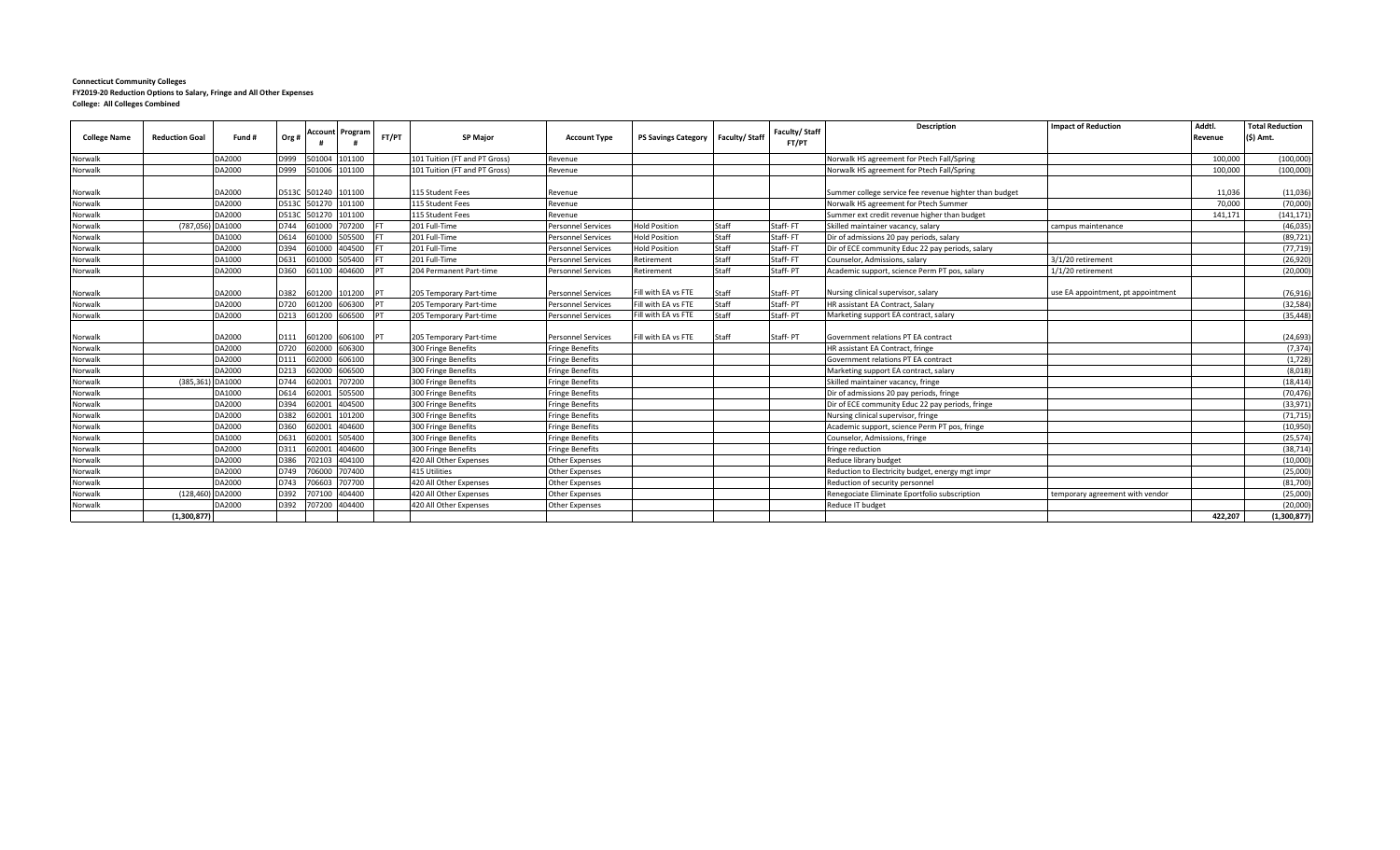|                     |                       |          |       |              |                        |       |                               |                           |                                   |       | Faculty/ Staff | Description                                            | <b>Impact of Reduction</b>         | Addtl.  | <b>Total Reduction</b> |
|---------------------|-----------------------|----------|-------|--------------|------------------------|-------|-------------------------------|---------------------------|-----------------------------------|-------|----------------|--------------------------------------------------------|------------------------------------|---------|------------------------|
| <b>College Name</b> | <b>Reduction Goal</b> | Fund #   | Org # |              | <b>Account Program</b> | FT/PT | <b>SP Major</b>               | <b>Account Type</b>       | PS Savings Category Faculty/Staff |       | <b>FT/PT</b>   |                                                        |                                    | Revenue | $(5)$ Amt.             |
| Norwalk             |                       | DA2000   | D999  |              | 501004 101100          |       | 101 Tuition (FT and PT Gross) | Revenue                   |                                   |       |                | Norwalk HS agreement for Ptech Fall/Spring             |                                    | 100.000 | (100,000)              |
| Norwalk             |                       | DA2000   | D999  |              | 501006 101100          |       | 101 Tuition (FT and PT Gross) | Revenue                   |                                   |       |                | Norwalk HS agreement for Ptech Fall/Spring             |                                    | 100,000 | (100,000)              |
|                     |                       |          |       |              |                        |       |                               |                           |                                   |       |                |                                                        |                                    |         |                        |
| Norwalk             |                       | DA2000   |       |              | D513C 501240 101100    |       | 115 Student Fees              | Revenue                   |                                   |       |                | Summer college service fee revenue highter than budget |                                    | 11,036  | (11,036)               |
| Norwalk             |                       | DA2000   |       | D513C 501270 | 101100                 |       | 115 Student Fees              | Revenue                   |                                   |       |                | Norwalk HS agreement for Ptech Summer                  |                                    | 70,000  | (70,000)               |
| Norwalk             |                       | DA2000   |       | D513C 501270 | 101100                 |       | 115 Student Fees              | Revenue                   |                                   |       |                | Summer ext credit revenue higher than budget           |                                    | 141,171 | (141, 171)             |
| Norwalk             | (787,056              | ) DA1000 | D744  | 601000       | 707200                 |       | 201 Full-Time                 | <b>Personnel Services</b> | <b>Hold Position</b>              | Staff | Staff-FT       | Skilled maintainer vacancy, salary                     | campus maintenance                 |         | (46, 035)              |
| Norwalk             |                       | DA1000   | D614  |              | 601000 505500          |       | 201 Full-Time                 | <b>Personnel Services</b> | <b>Hold Position</b>              | Staff | Staff-FT       | Dir of admissions 20 pay periods, salary               |                                    |         | (89, 721)              |
| Norwalk             |                       | DA2000   | D394  | 601000       | 404500                 |       | 201 Full-Time                 | <b>Personnel Services</b> | <b>Hold Position</b>              | Staff | Staff-FT       | Dir of ECE community Educ 22 pay periods, salary       |                                    |         | (77, 719)              |
| Norwalk             |                       | DA1000   | D631  | 601000       | 505400                 |       | 201 Full-Time                 | <b>Personnel Services</b> | Retirement                        | Staff | Staff-FT       | Counselor, Admissions, salary                          | 3/1/20 retirement                  |         | (26, 920)              |
| Norwalk             |                       | DA2000   | D360  | 601100       | 404600                 |       | 204 Permanent Part-time       | <b>Personnel Services</b> | Retirement                        | Staff | Staff-PT       | Academic support, science Perm PT pos, salary          | 1/1/20 retirement                  |         | (20,000)               |
|                     |                       |          |       |              |                        |       |                               |                           |                                   |       |                |                                                        |                                    |         |                        |
| Norwalk             |                       | DA2000   | D382  | 601200       | 101200                 |       | 205 Temporary Part-time       | <b>Personnel Services</b> | Fill with EA vs FTE               | Staff | Staff-PT       | Nursing clinical supervisor, salary                    | use EA appointment, pt appointment |         | (76, 916)              |
| Norwalk             |                       | DA2000   | D720  | 601200       | 606300                 |       | 205 Temporary Part-time       | <b>Personnel Services</b> | Fill with EA vs FTE               | Staff | Staff-PT       | HR assistant EA Contract, Salary                       |                                    |         | (32, 584)              |
| Norwalk             |                       | DA2000   | D213  |              | 601200 606500          |       | 205 Temporary Part-time       | <b>Personnel Services</b> | Fill with EA vs FTE               | Staff | Staff-PT       | Marketing support EA contract, salary                  |                                    |         | (35, 448)              |
|                     |                       |          |       |              |                        |       |                               |                           |                                   |       |                |                                                        |                                    |         |                        |
| Norwalk             |                       | DA2000   | D111  |              | 601200 606100          |       | 205 Temporary Part-time       | <b>Personnel Services</b> | Fill with EA vs FTE               | Staff | Staff-PT       | Government relations PT EA contract                    |                                    |         | (24, 693)              |
| Norwalk             |                       | DA2000   | D720  |              | 602000 606300          |       | 300 Fringe Benefits           | <b>Fringe Benefits</b>    |                                   |       |                | HR assistant EA Contract, fringe                       |                                    |         | (7, 374)               |
| Norwalk             |                       | DA2000   | D111  | 602000       | 606100                 |       | 300 Fringe Benefits           | <b>Fringe Benefits</b>    |                                   |       |                | Government relations PT EA contract                    |                                    |         | (1,728)                |
| Norwalk             |                       | DA2000   | D213  | 602000       | 606500                 |       | 300 Fringe Benefits           | <b>Fringe Benefits</b>    |                                   |       |                | Marketing support EA contract, salary                  |                                    |         | (8,018)                |
| Norwalk             | (385.361)             | ) DA1000 | D744  | 602001       | 707200                 |       | 300 Fringe Benefits           | <b>Fringe Benefits</b>    |                                   |       |                | Skilled maintainer vacancy, fringe                     |                                    |         | (18, 414)              |
| Norwalk             |                       | DA1000   | D614  | 602001       | 505500                 |       | 300 Fringe Benefits           | <b>Fringe Benefits</b>    |                                   |       |                | Dir of admissions 20 pay periods, fringe               |                                    |         | (70, 476)              |
| Norwalk             |                       | DA2000   | D394  | 602001       | 404500                 |       | 300 Fringe Benefits           | <b>Fringe Benefits</b>    |                                   |       |                | Dir of ECE community Educ 22 pay periods, fringe       |                                    |         | (33, 971)              |
| Norwalk             |                       | DA2000   | D382  | 602001       | 101200                 |       | 300 Fringe Benefits           | <b>Fringe Benefits</b>    |                                   |       |                | Nursing clinical supervisor, fringe                    |                                    |         | (71, 715)              |
| Norwalk             |                       | DA2000   | D360  | 602001       | 404600                 |       | 300 Fringe Benefits           | <b>Fringe Benefits</b>    |                                   |       |                | Academic support, science Perm PT pos, fringe          |                                    |         | (10, 950)              |
| Norwalk             |                       | DA1000   | D631  | 602001       | 505400                 |       | 300 Fringe Benefits           | <b>Fringe Benefits</b>    |                                   |       |                | Counselor, Admissions, fringe                          |                                    |         | (25, 574)              |
| Norwalk             |                       | DA2000   | D311  | 602001       | 404600                 |       | 300 Fringe Benefits           | <b>Fringe Benefits</b>    |                                   |       |                | fringe reduction                                       |                                    |         | (38, 714)              |
| Norwalk             |                       | DA2000   | D386  | 702103       | 404100                 |       | 420 All Other Expenses        | <b>Other Expenses</b>     |                                   |       |                | Reduce library budget                                  |                                    |         | (10,000)               |
| Norwalk             |                       | DA2000   | D749  | 706000       | 707400                 |       | 415 Utilities                 | Other Expenses            |                                   |       |                | Reduction to Electricity budget, energy mgt impr       |                                    |         | (25,000)               |
| Norwalk             |                       | DA2000   | D743  | 706603       | 707700                 |       | 420 All Other Expenses        | Other Expenses            |                                   |       |                | Reduction of security personnel                        |                                    |         | (81,700)               |
| Norwalk             | (128,460) DA2000      |          | D392  | 707100       | 404400                 |       | 420 All Other Expenses        | Other Expenses            |                                   |       |                | Renegociate Eliminate Eportfolio subscription          | temporary agreement with vendor    |         | (25,000)               |
| Norwalk             |                       | DA2000   | D392  | 707200       | 404400                 |       | 420 All Other Expenses        | Other Expenses            |                                   |       |                | Reduce IT budget                                       |                                    |         | (20,000)               |
|                     | (1,300,877)           |          |       |              |                        |       |                               |                           |                                   |       |                |                                                        |                                    | 422,207 | (1,300,877)            |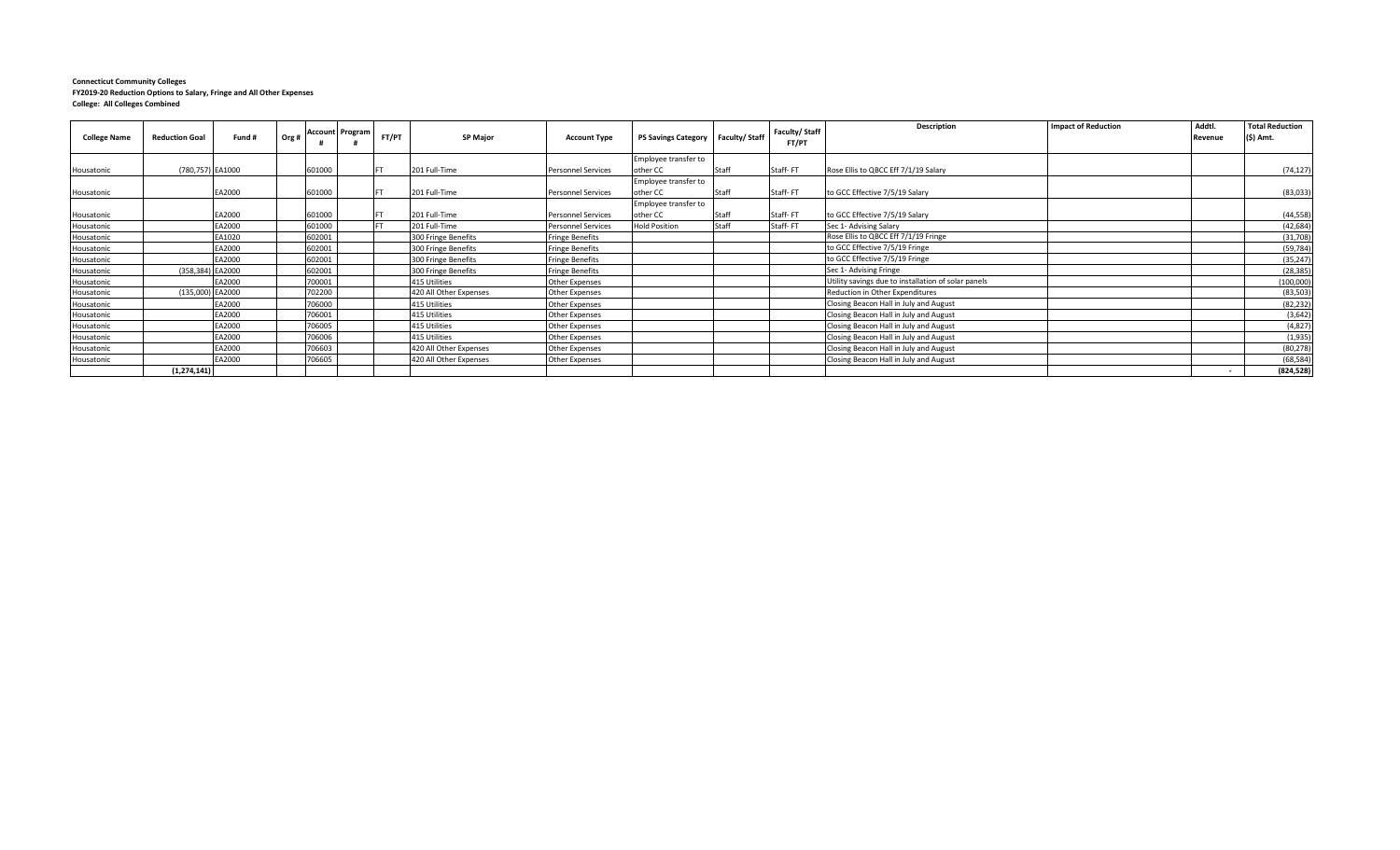| <b>College Name</b> | <b>Reduction Goal</b> | Fund # | Org# |        | <b>Account Program</b> | FT/PT | <b>SP Major</b>        | <b>Account Type</b>       | PS Savings Category   Faculty/ Staff |       | Faculty/ Staff<br><b>FT/PT</b> | <b>Description</b>                                  | <b>Impact of Reduction</b> | Addtl.<br>Revenue | <b>Total Reduction</b><br>(\$) Amt. |
|---------------------|-----------------------|--------|------|--------|------------------------|-------|------------------------|---------------------------|--------------------------------------|-------|--------------------------------|-----------------------------------------------------|----------------------------|-------------------|-------------------------------------|
|                     |                       |        |      |        |                        |       |                        |                           |                                      |       |                                |                                                     |                            |                   |                                     |
|                     |                       |        |      |        |                        |       |                        |                           | Employee transfer to                 |       |                                |                                                     |                            |                   |                                     |
| Housatonic          | (780,757) EA1000      |        |      | 601000 |                        |       | 201 Full-Time          | <b>Personnel Services</b> | other CC                             | Staff | Staff-FT                       | Rose Ellis to QBCC Eff 7/1/19 Salary                |                            |                   | (74, 127)                           |
|                     |                       |        |      |        |                        |       |                        |                           | Employee transfer to                 |       |                                |                                                     |                            |                   |                                     |
| Housatonic          |                       | EA2000 |      | 601000 |                        |       | 201 Full-Time          | <b>Personnel Services</b> | other CC                             | Staff | Staff-FT                       | to GCC Effective 7/5/19 Salary                      |                            |                   | (83, 033)                           |
|                     |                       |        |      |        |                        |       |                        |                           | Employee transfer to                 |       |                                |                                                     |                            |                   |                                     |
| Housatonic          |                       | EA2000 |      | 601000 |                        |       | 201 Full-Time          | <b>Personnel Services</b> | other CC                             | Staff | Staff-FT                       | to GCC Effective 7/5/19 Salary                      |                            |                   | (44, 558)                           |
| Housatonic          |                       | EA2000 |      | 601000 |                        |       | 201 Full-Time          | <b>Personnel Services</b> | <b>Hold Position</b>                 | Staff | Staff-FT                       | Sec 1- Advising Salary                              |                            |                   | (42, 684)                           |
| Housatonic          |                       | EA1020 |      | 602001 |                        |       | 300 Fringe Benefits    | <b>Fringe Benefits</b>    |                                      |       |                                | Rose Ellis to QBCC Eff 7/1/19 Fringe                |                            |                   | (31,708)                            |
| Housatonic          |                       | EA2000 |      | 602001 |                        |       | 300 Fringe Benefits    | <b>Fringe Benefits</b>    |                                      |       |                                | to GCC Effective 7/5/19 Fringe                      |                            |                   | (59, 784)                           |
| Housatonic          |                       | EA2000 |      | 602001 |                        |       | 300 Fringe Benefits    | <b>Fringe Benefits</b>    |                                      |       |                                | to GCC Effective 7/5/19 Fringe                      |                            |                   | (35, 247)                           |
| Housatonic          | (358,384) EA2000      |        |      | 602001 |                        |       | 300 Fringe Benefits    | <b>Fringe Benefits</b>    |                                      |       |                                | Sec 1- Advising Fringe                              |                            |                   | (28, 385)                           |
| Housatonic          |                       | EA2000 |      | 700001 |                        |       | 415 Utilities          | Other Expenses            |                                      |       |                                | Utility savings due to installation of solar panels |                            |                   | (100,000)                           |
| Housatonic          | (135,000) EA2000      |        |      | 702200 |                        |       | 420 All Other Expenses | <b>Other Expenses</b>     |                                      |       |                                | Reduction in Other Expenditures                     |                            |                   | (83, 503)                           |
| Housatonic          |                       | EA2000 |      | 706000 |                        |       | 415 Utilities          | Other Expenses            |                                      |       |                                | Closing Beacon Hall in July and August              |                            |                   | (82, 232)                           |
| Housatonic          |                       | EA2000 |      | 706001 |                        |       | 415 Utilities          | Other Expenses            |                                      |       |                                | Closing Beacon Hall in July and August              |                            |                   | (3,642)                             |
| Housatonic          |                       | EA2000 |      | 706005 |                        |       | 415 Utilities          | Other Expenses            |                                      |       |                                | Closing Beacon Hall in July and August              |                            |                   | (4,827)                             |
| Housatonic          |                       | EA2000 |      | 706006 |                        |       | 415 Utilities          | Other Expenses            |                                      |       |                                | Closing Beacon Hall in July and August              |                            |                   | (1,935)                             |
| Housatonic          |                       | EA2000 |      | 706603 |                        |       | 420 All Other Expenses | <b>Other Expenses</b>     |                                      |       |                                | Closing Beacon Hall in July and August              |                            |                   | (80, 278)                           |
| Housatonic          |                       | EA2000 |      | 706605 |                        |       | 420 All Other Expenses | <b>Other Expenses</b>     |                                      |       |                                | Closing Beacon Hall in July and August              |                            |                   | (68, 584)                           |
|                     | (1, 274, 141)         |        |      |        |                        |       |                        |                           |                                      |       |                                |                                                     |                            |                   | (824, 528)                          |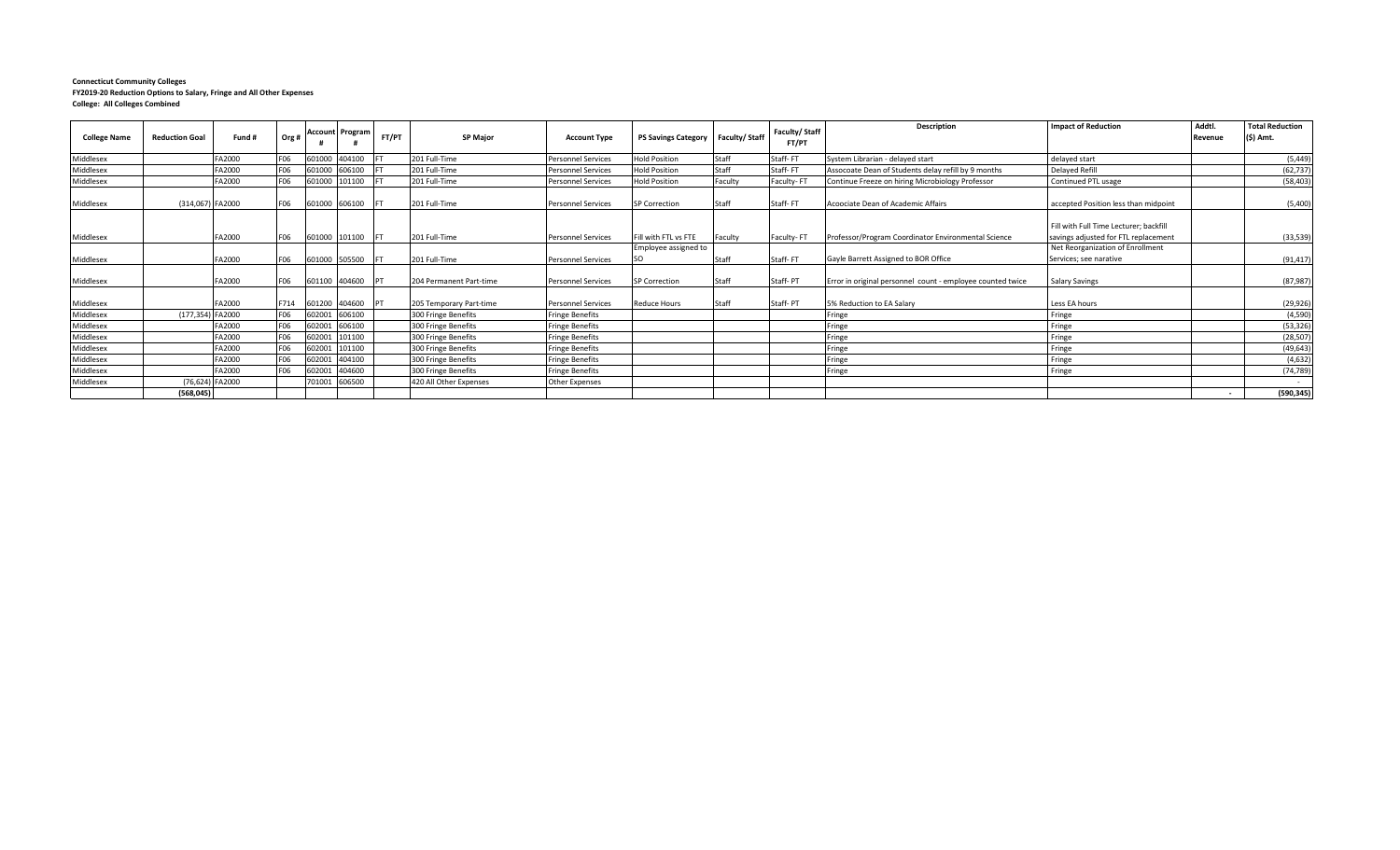|                     |                       |        |            | <b>Account Program</b> |            |                         |                           |                                      |         | Faculty/Staff | Description                                                | <b>Impact of Reduction</b>                                                     | Addtl.  | <b>Total Reduction</b> |
|---------------------|-----------------------|--------|------------|------------------------|------------|-------------------------|---------------------------|--------------------------------------|---------|---------------|------------------------------------------------------------|--------------------------------------------------------------------------------|---------|------------------------|
| <b>College Name</b> | <b>Reduction Goal</b> | Fund # | Org#       |                        | FT/PT      | <b>SP Major</b>         | <b>Account Type</b>       | PS Savings Category   Faculty/ Staff |         | <b>FT/PT</b>  |                                                            |                                                                                | Revenue | (\$) Amt.              |
| Middlesex           |                       | FA2000 |            | 601000 404100          | -lF1       | 201 Full-Time           | <b>Personnel Services</b> | <b>Hold Position</b>                 | Staff   | Staff-FT      | System Librarian - delayed start                           | delayed start                                                                  |         | (5, 449)               |
| Middlesex           |                       | FA2000 |            | 601000 606100          |            | 201 Full-Time           | <b>Personnel Services</b> | <b>Hold Position</b>                 | Staff   | Staff-FT      | Assocoate Dean of Students delay refill by 9 months        | Delayed Refill                                                                 |         | (62, 737)              |
| Middlesex           |                       | FA2000 | F06        | 601000 101100          |            | 201 Full-Time           | <b>Personnel Services</b> | <b>Hold Position</b>                 | Faculty | Faculty-FT    | Continue Freeze on hiring Microbiology Professor           | Continued PTL usage                                                            |         | (58, 403)              |
| Middlesex           | (314,067) FA2000      |        | <b>F06</b> | 601000 606100          | - IFT      | 201 Full-Time           | <b>Personnel Services</b> | <b>SP Correction</b>                 | Staff   | Staff-FT      | Acoociate Dean of Academic Affairs                         | accepted Position less than midpoint                                           |         | (5,400)                |
| Middlesex           |                       | FA2000 | <b>F06</b> | 601000 101100          | <b>IFT</b> | 201 Full-Time           | <b>Personnel Services</b> | Fill with FTL vs FTE                 | Faculty | Faculty-FT    | Professor/Program Coordinator Environmental Science        | Fill with Full Time Lecturer; backfill<br>savings adjusted for FTL replacement |         | (33, 539)              |
|                     |                       |        |            |                        |            |                         |                           | Employee assigned to                 |         |               |                                                            | Net Reorganization of Enrollment                                               |         |                        |
| Middlesex           |                       | FA2000 | <b>F06</b> | 601000 505500          | - I FT     | 201 Full-Time           | <b>Personnel Services</b> | SO                                   | Staff   | Staff-FT      | Gayle Barrett Assigned to BOR Office                       | Services; see narative                                                         |         | (91, 417)              |
| Middlesex           |                       | FA2000 | <b>F06</b> | 601100 404600          | <b>IPT</b> | 204 Permanent Part-time | <b>Personnel Services</b> | <b>SP Correction</b>                 | Staff   | Staff-PT      | Error in original personnel count - employee counted twice | Salary Savings                                                                 |         | (87, 987)              |
| Middlesex           |                       | FA2000 | F714       | 601200 404600 PT       |            | 205 Temporary Part-time | <b>Personnel Services</b> | <b>Reduce Hours</b>                  | Staff   | Staff-PT      | 5% Reduction to EA Salary                                  | Less EA hours                                                                  |         | (29, 926)              |
| Middlesex           | (177,354) FA2000      |        | <b>F06</b> | 602001 606100          |            | 300 Fringe Benefits     | <b>Fringe Benefits</b>    |                                      |         |               | Fringe                                                     | Fringe                                                                         |         | (4,590)                |
| Middlesex           |                       | FA2000 | F06        | 602001 606100          |            | 300 Fringe Benefits     | <b>Fringe Benefits</b>    |                                      |         |               | Fringe                                                     | Fringe                                                                         |         | (53, 326)              |
| Middlesex           |                       | FA2000 | F06        | 602001 101100          |            | 300 Fringe Benefits     | <b>Fringe Benefits</b>    |                                      |         |               | Fringe                                                     | Fringe                                                                         |         | (28, 507)              |
| Middlesex           |                       | FA2000 | F06        | 602001 101100          |            | 300 Fringe Benefits     | <b>Fringe Benefits</b>    |                                      |         |               | Fringe                                                     | Fringe                                                                         |         | (49, 643)              |
| Middlesex           |                       | FA2000 | F06        | 602001 404100          |            | 300 Fringe Benefits     | <b>Fringe Benefits</b>    |                                      |         |               | Fringe                                                     | Fringe                                                                         |         | (4,632)                |
| Middlesex           |                       | FA2000 |            | 602001 404600          |            | 300 Fringe Benefits     | <b>Fringe Benefits</b>    |                                      |         |               | Fringe                                                     | Fringe                                                                         |         | (74, 789)              |
| Middlesex           | (76,624) FA2000       |        |            | 701001 606500          |            | 420 All Other Expenses  | Other Expenses            |                                      |         |               |                                                            |                                                                                |         |                        |
|                     | (568, 045)            |        |            |                        |            |                         |                           |                                      |         |               |                                                            |                                                                                | $\sim$  | (590, 345)             |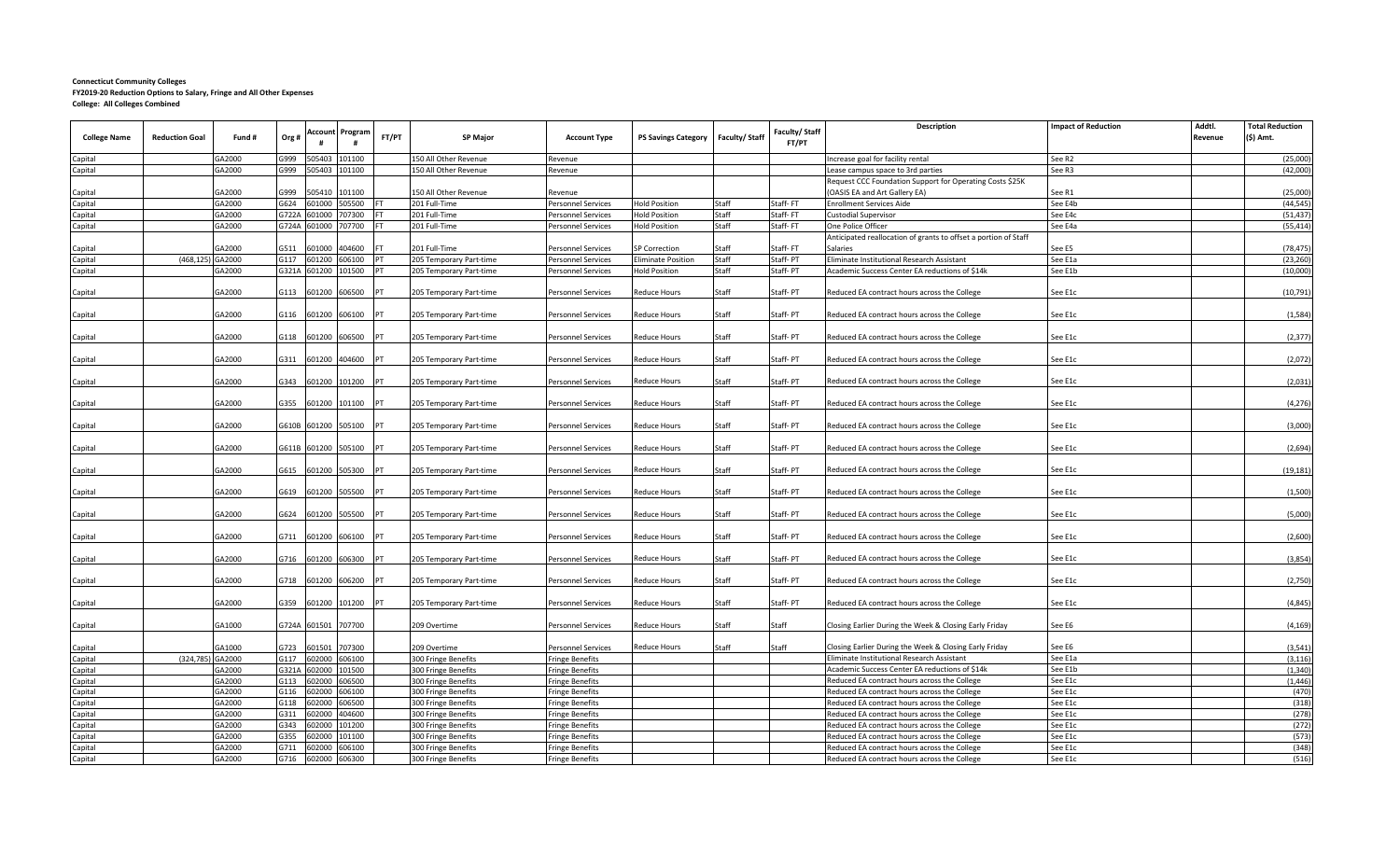|                     |                       |        |       |              |                             |           |                         |                           |                            |                | Faculty/ Staff | Description                                                     | <b>Impact of Reduction</b> | Addtl.  | <b>Total Reduction</b> |
|---------------------|-----------------------|--------|-------|--------------|-----------------------------|-----------|-------------------------|---------------------------|----------------------------|----------------|----------------|-----------------------------------------------------------------|----------------------------|---------|------------------------|
| <b>College Name</b> | <b>Reduction Goal</b> | Fund # | Org#  |              | <b>Account Program</b><br># | FT/PT     | <b>SP Major</b>         | <b>Account Type</b>       | <b>PS Savings Category</b> | Faculty/ Staff | FT/PT          |                                                                 |                            | Revenue | (\$) Amt.              |
| Capital             |                       | GA2000 | G999  | 505403       | 01100                       |           | 150 All Other Revenue   | Revenue                   |                            |                |                | Increase goal for facility rental                               | See R2                     |         | (25,000)               |
| apital              |                       | GA2000 | G999  | 505403       | 01100                       |           | 150 All Other Revenue   | Revenue                   |                            |                |                | ease campus space to 3rd parties                                | See R3                     |         | (42,000)               |
|                     |                       |        |       |              |                             |           |                         |                           |                            |                |                | Request CCC Foundation Support for Operating Costs \$25K        |                            |         |                        |
| Capital             |                       | GA2000 | G999  | 505410       | 101100                      |           | 150 All Other Revenue   | Revenue                   |                            |                |                | (OASIS EA and Art Gallery EA)                                   | See R1                     |         | (25,000)               |
| Capital             |                       | GA2000 | G624  | 601000       | 505500                      |           | 201 Full-Time           | <b>Personnel Services</b> | <b>Hold Position</b>       | Staff          | Staff-FT       | Enrollment Services Aide                                        | See E4b                    |         | (44, 545)              |
| Capital             |                       | GA2000 |       | G722A 601000 | 707300                      |           | 201 Full-Time           | <b>Personnel Services</b> | <b>Hold Position</b>       | Staff          | Staff-FT       | Custodial Supervisor                                            | See E4c                    |         | (51, 437)              |
| Capital             |                       | GA2000 |       | G724A 601000 | 707700                      |           | 201 Full-Time           | Personnel Services        | <b>Hold Position</b>       | Staff          | Staff-FT       | One Police Officer                                              | See E4a                    |         | (55, 414)              |
|                     |                       |        |       |              |                             |           |                         |                           |                            |                |                | Anticipated reallocation of grants to offset a portion of Staff |                            |         |                        |
| Capital             |                       | GA2000 | G511  | 601000       | 404600                      |           | 201 Full-Time           | Personnel Services        | <b>SP Correction</b>       | Staff          | Staff-FT       | Salaries                                                        | See E5                     |         | (78, 475)              |
| Capital             | (468, 125)            | GA2000 | G117  | 601200       | 606100                      |           | 205 Temporary Part-time | Personnel Services        | <b>Eliminate Position</b>  | Staff          | Staff-PT       | Ilminate Institutional Research Assistant                       | See E1a                    |         | (23, 260)              |
| Capital             |                       | GA2000 |       | G321A 601200 | 101500                      |           | 205 Temporary Part-time | Personnel Services        | <b>Hold Position</b>       | Staff          | Staff-PT       | Academic Success Center EA reductions of \$14k                  | See E1b                    |         | (10,000)               |
|                     |                       |        |       |              |                             |           |                         |                           |                            |                |                |                                                                 |                            |         |                        |
| Capital             |                       | GA2000 | G113  |              | 601200 606500               |           | 205 Temporary Part-time | Personnel Services        | <b>Reduce Hours</b>        | Staff          | Staff-PT       | Reduced EA contract hours across the College                    | See E1c                    |         | (10, 791)              |
|                     |                       |        |       |              |                             |           |                         |                           |                            |                |                |                                                                 |                            |         |                        |
| Capital             |                       | GA2000 | G116  |              | 601200 606100               |           | 205 Temporary Part-time | <b>Personnel Services</b> | <b>Reduce Hours</b>        | Staff          | Staff-PT       | Reduced EA contract hours across the College                    | See E1c                    |         | (1, 584)               |
|                     |                       |        |       |              |                             |           |                         |                           |                            |                |                |                                                                 |                            |         |                        |
| Capital             |                       | GA2000 | G118  |              | 601200 606500               |           | 205 Temporary Part-time | Personnel Services        | <b>Reduce Hours</b>        | Staff          | Staff-PT       | Reduced EA contract hours across the College                    | See E1c                    |         | (2, 377)               |
|                     |                       |        |       |              |                             |           |                         |                           |                            |                |                |                                                                 |                            |         |                        |
| Capital             |                       | GA2000 | G311  |              | 601200 404600               |           | 205 Temporary Part-time | Personnel Services        | <b>Reduce Hours</b>        | Staff          | Staff-PT       | Reduced EA contract hours across the College                    | See E1c                    |         | (2,072)                |
|                     |                       |        |       |              |                             |           |                         |                           |                            |                |                |                                                                 |                            |         |                        |
| Capital             |                       | GA2000 | G343  | 601200       | 101200                      |           | 205 Temporary Part-time | Personnel Services        | <b>Reduce Hours</b>        | Staff          | Staff-PT       | Reduced EA contract hours across the College                    | See E1c                    |         | (2,031)                |
|                     |                       |        |       |              |                             |           |                         |                           |                            |                |                |                                                                 |                            |         |                        |
| Capital             |                       | GA2000 | G355  | 601200       | 101100                      |           | 205 Temporary Part-time | Personnel Services        | <b>Reduce Hours</b>        | Staff          | Staff-PT       | Reduced EA contract hours across the College                    | See E1c                    |         | (4, 276)               |
|                     |                       |        |       |              |                             |           |                         |                           |                            |                |                |                                                                 |                            |         |                        |
| Capital             |                       | GA2000 |       | G610B 601200 | 505100                      |           | 205 Temporary Part-time | <b>Personnel Services</b> | <b>Reduce Hours</b>        | Staff          | Staff-PT       | Reduced EA contract hours across the College                    | See E1c                    |         | (3,000)                |
|                     |                       |        |       |              |                             |           |                         |                           |                            |                |                |                                                                 |                            |         |                        |
| Capital             |                       | GA2000 |       |              | G611B 601200 505100         |           | 205 Temporary Part-time | Personnel Services        | <b>Reduce Hours</b>        | Staff          | Staff-PT       | Reduced EA contract hours across the College                    | See E1c                    |         | (2,694)                |
|                     |                       |        |       |              |                             |           |                         |                           |                            |                |                |                                                                 |                            |         |                        |
| Capital             |                       | GA2000 | G615  |              | 601200 505300               |           | 205 Temporary Part-time | Personnel Services        | <b>Reduce Hours</b>        | Staff          | Staff-PT       | Reduced EA contract hours across the College                    | See E1c                    |         | (19, 181)              |
|                     |                       |        |       |              |                             |           |                         |                           |                            |                |                |                                                                 |                            |         |                        |
| Capital             |                       | GA2000 | G619  |              | 601200 505500               |           | 205 Temporary Part-time | Personnel Services        | Reduce Hours               | Staff          | Staff-PT       | Reduced EA contract hours across the College                    | See E1c                    |         | (1,500)                |
|                     |                       | GA2000 |       |              | 601200 505500               | <b>PT</b> |                         |                           | <b>Reduce Hours</b>        | Staff          | Staff-PT       | Reduced EA contract hours across the College                    | See E1c                    |         |                        |
| Capital             |                       |        | G624  |              |                             |           | 205 Temporary Part-time | Personnel Services        |                            |                |                |                                                                 |                            |         | (5,000)                |
| Capital             |                       | GA2000 | G711  |              | 601200 606100               |           | 205 Temporary Part-time | Personnel Services        | <b>Reduce Hours</b>        | Staff          | Staff-PT       | Reduced EA contract hours across the College                    | See E1c                    |         | (2,600)                |
|                     |                       |        |       |              |                             |           |                         |                           |                            |                |                |                                                                 |                            |         |                        |
| Capital             |                       | GA2000 | G716  |              | 601200 606300               |           | 205 Temporary Part-time | <b>Personnel Services</b> | <b>Reduce Hours</b>        | Staff          | Staff-PT       | Reduced EA contract hours across the College                    | See E1c                    |         | (3,854)                |
|                     |                       |        |       |              |                             |           |                         |                           |                            |                |                |                                                                 |                            |         |                        |
| Capital             |                       | GA2000 | G718  | 601200       | 606200                      |           | 205 Temporary Part-time | Personnel Services        | <b>Reduce Hours</b>        | Staff          | Staff-PT       | Reduced EA contract hours across the College                    | See E1c                    |         | (2,750)                |
|                     |                       |        |       |              |                             |           |                         |                           |                            |                |                |                                                                 |                            |         |                        |
| Capital             |                       | GA2000 | G359  | 601200       | 101200                      |           | 205 Temporary Part-time | <b>Personnel Services</b> | <b>Reduce Hours</b>        | Staff          | Staff-PT       | Reduced EA contract hours across the College                    | See E1c                    |         | (4, 845)               |
|                     |                       |        |       |              |                             |           |                         |                           |                            |                |                |                                                                 |                            |         |                        |
| Capital             |                       | GA1000 |       |              | G724A 601501 707700         |           | 209 Overtime            | Personnel Services        | <b>Reduce Hours</b>        | Staff          | Staff          | Closing Earlier During the Week & Closing Early Friday          | See E6                     |         | (4, 169)               |
|                     |                       |        |       |              |                             |           |                         |                           |                            |                |                |                                                                 |                            |         |                        |
| Capital             |                       | GA1000 | G723  | 601501       | 707300                      |           | 209 Overtime            | Personnel Services        | Reduce Hours               | Staff          | Staff          | Closing Earlier During the Week & Closing Early Friday          | See E6                     |         | (3, 541)               |
| Capital             | (324, 785)            | GA2000 | G117  | 602000       | 606100                      |           | 300 Fringe Benefits     | <b>Fringe Benefits</b>    |                            |                |                | Eliminate Institutional Research Assistant                      | See E1a                    |         | (3, 116)               |
| Capital             |                       | GA2000 | G321A | 602000       | 101500                      |           | 300 Fringe Benefits     | <b>Fringe Benefits</b>    |                            |                |                | Academic Success Center EA reductions of \$14k                  | See E1b                    |         | (1, 340)               |
| Capital             |                       | GA2000 | G113  | 602000       | 606500                      |           | 300 Fringe Benefits     | Fringe Benefits           |                            |                |                | Reduced EA contract hours across the College                    | See E1c                    |         | (1, 446)               |
| Capital             |                       | GA2000 | G116  | 602000       | 606100                      |           | 300 Fringe Benefits     | <b>Fringe Benefits</b>    |                            |                |                | Reduced EA contract hours across the College                    | See E1c                    |         | (470)                  |
| Capital             |                       | GA2000 | G118  | 602000       | 606500                      |           | 300 Fringe Benefits     | <b>Fringe Benefits</b>    |                            |                |                | Reduced EA contract hours across the College                    | See E1c                    |         | (318)                  |
| `apital             |                       | GA2000 | G311  | 602000       | 104600                      |           | 300 Fringe Benefits     | <b>Fringe Benefits</b>    |                            |                |                | Reduced EA contract hours across the College                    | See E1c                    |         | (278)                  |
| Capital             |                       | GA2000 | G343  | 602000       | 101200                      |           | 300 Fringe Benefits     | <b>Fringe Benefits</b>    |                            |                |                | Reduced EA contract hours across the College                    | See E1c                    |         | (272)                  |
| Capital             |                       | GA2000 | G355  | 602000       | 01100                       |           | 300 Fringe Benefits     | <b>Fringe Benefits</b>    |                            |                |                | Reduced EA contract hours across the College                    | See E1c                    |         | (573)                  |
| Capital             |                       | GA2000 | G711  | 602000       | 606100                      |           | 300 Fringe Benefits     | <b>Fringe Benefits</b>    |                            |                |                | Reduced EA contract hours across the College                    | See E1c                    |         | (348)                  |
| Capital             |                       | GA2000 | G716  | 602000       | 606300                      |           | 300 Fringe Benefits     | <b>Fringe Benefits</b>    |                            |                |                | Reduced EA contract hours across the College                    | See E1c                    |         | (516)                  |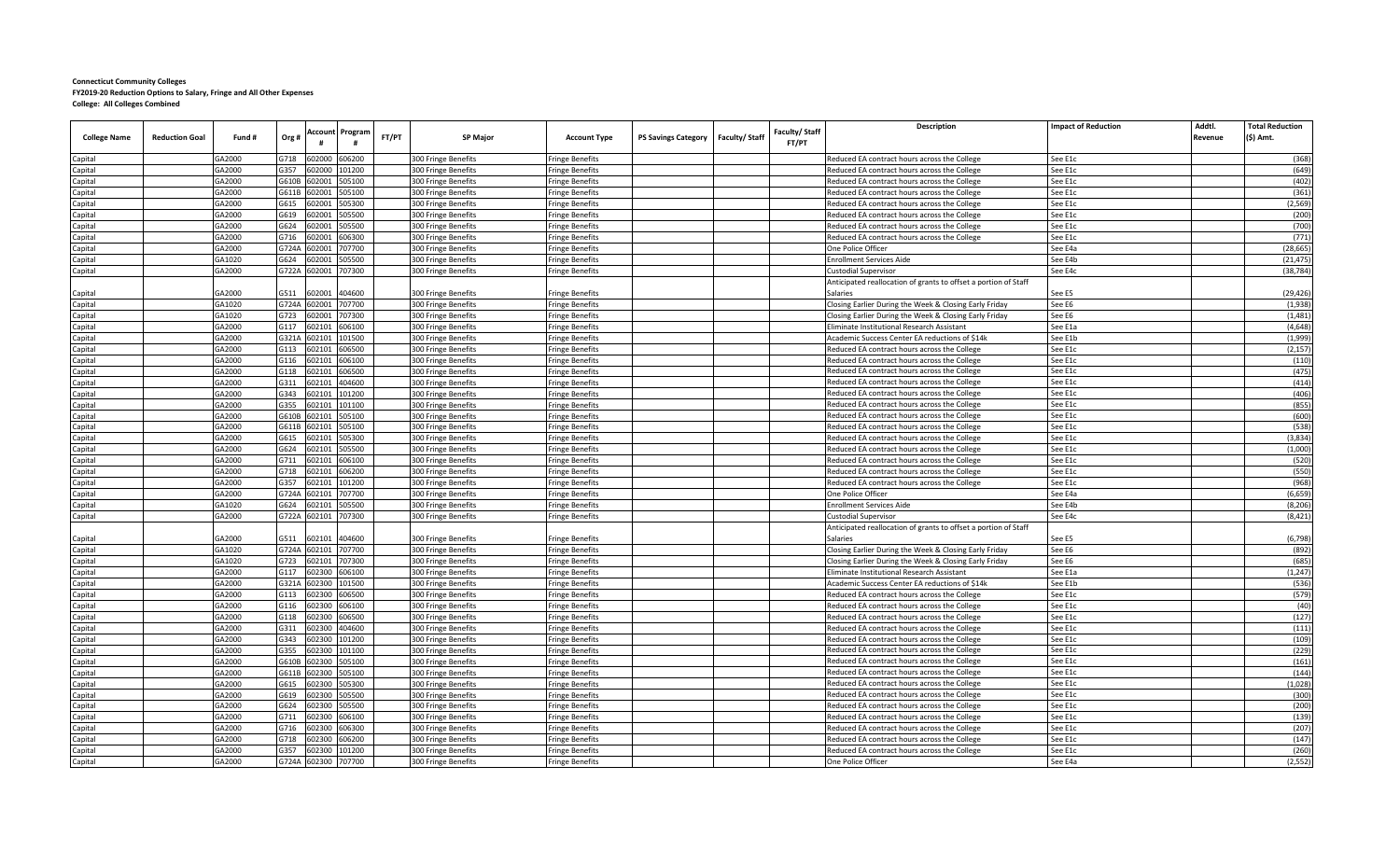|                     |                       |        |       |         |               |       |                     |                        |                            |                      |                               | Description                                                     | <b>Impact of Reduction</b> | Addtl.  | <b>Total Reduction</b> |
|---------------------|-----------------------|--------|-------|---------|---------------|-------|---------------------|------------------------|----------------------------|----------------------|-------------------------------|-----------------------------------------------------------------|----------------------------|---------|------------------------|
| <b>College Name</b> | <b>Reduction Goal</b> | Fund # | Org#  | Account | Program       | FT/PT | <b>SP Major</b>     | <b>Account Type</b>    | <b>PS Savings Category</b> | <b>Faculty/Staff</b> | Faculty/Staff<br><b>FT/PT</b> |                                                                 |                            | Revenue | (\$) Amt.              |
| Capital             |                       | GA2000 | G718  | 02000   | 606200        |       | 300 Fringe Benefits | Fringe Benefits        |                            |                      |                               | Reduced EA contract hours across the College                    | See E1c                    |         | (368)                  |
| Capital             |                       | GA2000 | G357  | 02000   | 101200        |       | 300 Fringe Benefits | Fringe Benefits        |                            |                      |                               | Reduced EA contract hours across the College                    | See E1c                    |         | (649)                  |
| Capital             |                       | GA2000 | G610B | 02001   | 505100        |       | 300 Fringe Benefits | <b>Fringe Benefits</b> |                            |                      |                               | Reduced EA contract hours across the College                    | See E1c                    |         | (402)                  |
| Capital             |                       | GA2000 | G611B | 02001   | 505100        |       | 300 Fringe Benefits | Fringe Benefits        |                            |                      |                               | Reduced EA contract hours across the College                    | See E1c                    |         | (361)                  |
| Capital             |                       | GA2000 | G615  | 02001   | 505300        |       | 300 Fringe Benefits | <b>Fringe Benefits</b> |                            |                      |                               | Reduced EA contract hours across the College                    | See E1c                    |         | (2, 569)               |
| Capital             |                       | GA2000 | G619  | 02001   | 505500        |       | 300 Fringe Benefits | Fringe Benefits        |                            |                      |                               | Reduced EA contract hours across the College                    | See E1c                    |         | (200)                  |
| Capital             |                       | GA2000 | G624  | 02001   | 505500        |       | 300 Fringe Benefits | Fringe Benefits        |                            |                      |                               | Reduced EA contract hours across the College                    | See E1c                    |         | (700)                  |
| Capital             |                       | GA2000 | G716  | 02001   | 606300        |       | 300 Fringe Benefits | Fringe Benefits        |                            |                      |                               | Reduced EA contract hours across the College                    | See E1c                    |         | (771)                  |
| Capital             |                       | GA2000 | G724A | 02001   | 707700        |       | 300 Fringe Benefits | Fringe Benefits        |                            |                      |                               | One Police Officer                                              | See E4a                    |         | (28, 665)              |
| Capital             |                       | GA1020 | G624  | 02001   | 505500        |       | 300 Fringe Benefits | <b>Fringe Benefits</b> |                            |                      |                               | Enrollment Services Aide                                        | See E4b                    |         | (21, 475)              |
| Capital             |                       | GA2000 | G722A | 02001   | 707300        |       | 300 Fringe Benefits | ringe Benefits         |                            |                      |                               | Custodial Supervisor                                            | See E4c                    |         | (38, 784)              |
|                     |                       |        |       |         |               |       |                     |                        |                            |                      |                               | Anticipated reallocation of grants to offset a portion of Staff |                            |         |                        |
| Capital             |                       | GA2000 | G511  | 02001   | 404600        |       | 300 Fringe Benefits | Fringe Benefits        |                            |                      |                               | Salaries                                                        | See E5                     |         | (29, 426)              |
| Capital             |                       | GA1020 | G724A | 602001  | 707700        |       | 300 Fringe Benefits | Fringe Benefits        |                            |                      |                               | Closing Earlier During the Week & Closing Early Friday          | See E6                     |         | (1,938)                |
| Capital             |                       | GA1020 | G723  |         | 02001 707300  |       | 300 Fringe Benefits | Fringe Benefits        |                            |                      |                               | Closing Earlier During the Week & Closing Early Friday          | See E6                     |         | (1, 481)               |
| Capital             |                       | GA2000 | G117  |         | 606100        |       | 300 Fringe Benefits | <b>Fringe Benefits</b> |                            |                      |                               | Eliminate Institutional Research Assistant                      | See E1a                    |         | (4,648)                |
|                     |                       | GA2000 | G321A |         | 02101 101500  |       |                     |                        |                            |                      |                               | Academic Success Center EA reductions of \$14k                  | See E1b                    |         |                        |
| Capital             |                       |        | G113  |         |               |       | 300 Fringe Benefits | <b>Fringe Benefits</b> |                            |                      |                               |                                                                 |                            |         | (1,999)<br>(2, 157)    |
| Capital             |                       | GA2000 |       | 02101   | 606500        |       | 300 Fringe Benefits | Fringe Benefits        |                            |                      |                               | Reduced EA contract hours across the College                    | See E1c                    |         |                        |
| Capital             |                       | GA2000 | G116  | 602101  | 606100        |       | 300 Fringe Benefits | Fringe Benefits        |                            |                      |                               | Reduced EA contract hours across the College                    | See E1c                    |         | (110)                  |
| Capital             |                       | GA2000 | G118  | 02101   | 606500        |       | 300 Fringe Benefits | Fringe Benefits        |                            |                      |                               | Reduced EA contract hours across the College                    | See E1c                    |         | (475)                  |
| Capital             |                       | GA2000 | G311  |         | 02101 404600  |       | 300 Fringe Benefits | Fringe Benefits        |                            |                      |                               | Reduced EA contract hours across the College                    | See E1c                    |         | (414)                  |
| Capital             |                       | GA2000 | G343  |         | 602101 101200 |       | 300 Fringe Benefits | <b>Fringe Benefits</b> |                            |                      |                               | Reduced EA contract hours across the College                    | See E1c                    |         | (406)                  |
| Capital             |                       | GA2000 | G355  | 02101   | 101100        |       | 300 Fringe Benefits | Fringe Benefits        |                            |                      |                               | Reduced EA contract hours across the College                    | See E1d                    |         | (855)                  |
| Capital             |                       | GA2000 | G610B | 02101   | 505100        |       | 300 Fringe Benefits | <b>Fringe Benefits</b> |                            |                      |                               | Reduced EA contract hours across the College                    | See E1c                    |         | (600)                  |
| Capital             |                       | GA2000 | G611B | 02101   | 505100        |       | 300 Fringe Benefits | Fringe Benefits        |                            |                      |                               | Reduced EA contract hours across the College                    | See E1c                    |         | (538)                  |
| Capital             |                       | GA2000 | G615  | 602101  | 505300        |       | 300 Fringe Benefits | Fringe Benefits        |                            |                      |                               | Reduced EA contract hours across the College                    | See E1c                    |         | (3,834)                |
| Capital             |                       | GA2000 | G624  | 02101   | 505500        |       | 300 Fringe Benefits | Fringe Benefits        |                            |                      |                               | Reduced EA contract hours across the College                    | See E1c                    |         | (1,000)                |
| Capital             |                       | GA2000 | G711  |         | 606100        |       | 300 Fringe Benefits | Fringe Benefits        |                            |                      |                               | Reduced EA contract hours across the College                    | See E1c                    |         | (520)                  |
| Capital             |                       | GA2000 | G718  |         | 02101 606200  |       | 300 Fringe Benefits | <b>Fringe Benefits</b> |                            |                      |                               | Reduced EA contract hours across the College                    | See E1c                    |         | (550)                  |
| Capital             |                       | GA2000 | G357  |         | 02101 101200  |       | 300 Fringe Benefits | Fringe Benefits        |                            |                      |                               | Reduced EA contract hours across the College                    | See E1d                    |         | (968)                  |
| Capital             |                       | GA2000 | G724A | 02101   | 707700        |       | 300 Fringe Benefits | Fringe Benefits        |                            |                      |                               | One Police Officer                                              | See E4a                    |         | (6, 659)               |
| Capital             |                       | GA1020 | G624  | 02101   | 505500        |       | 300 Fringe Benefits | Fringe Benefits        |                            |                      |                               | Inrollment Services Aide                                        | See E4b                    |         | (8, 206)               |
| Capital             |                       | GA2000 | G722A | 02101   | 707300        |       | 300 Fringe Benefits | Fringe Benefits        |                            |                      |                               | Custodial Supervisor                                            | See E4c                    |         | (8, 421)               |
|                     |                       |        |       |         |               |       |                     |                        |                            |                      |                               | Anticipated reallocation of grants to offset a portion of Staff |                            |         |                        |
| Capital             |                       | GA2000 | G511  | 502101  | 404600        |       | 300 Fringe Benefits | Fringe Benefits        |                            |                      |                               | Salaries                                                        | See E5                     |         | (6,798)                |
| Capital             |                       | GA1020 | G724A |         | 602101 707700 |       | 300 Fringe Benefits | <b>Fringe Benefits</b> |                            |                      |                               | Closing Earlier During the Week & Closing Early Friday          | See E6                     |         | (892)                  |
| Capital             |                       | GA1020 | G723  |         | 02101 707300  |       | 300 Fringe Benefits | Fringe Benefits        |                            |                      |                               | Closing Earlier During the Week & Closing Early Friday          | See E6                     |         | (685)                  |
| Capital             |                       | GA2000 | G117  |         | 02300 606100  |       | 300 Fringe Benefits | <b>Fringe Benefits</b> |                            |                      |                               | Eliminate Institutional Research Assistant                      | See E1a                    |         | (1, 247)               |
| Capital             |                       | GA2000 | G321A | 02300   | 101500        |       | 300 Fringe Benefits | Fringe Benefits        |                            |                      |                               | Academic Success Center EA reductions of \$14k                  | See E1b                    |         | (536)                  |
| Capital             |                       | GA2000 | G113  | 502300  | 606500        |       | 300 Fringe Benefits | Fringe Benefits        |                            |                      |                               | Reduced EA contract hours across the College                    | See E1c                    |         | (579)                  |
| Capital             |                       | GA2000 | G116  | 02300   | 606100        |       | 300 Fringe Benefits | Fringe Benefits        |                            |                      |                               | Reduced EA contract hours across the College                    | See E1c                    |         | (40)                   |
| Capital             |                       | GA2000 | G118  | 02300   | 606500        |       | 300 Fringe Benefits | Fringe Benefits        |                            |                      |                               | Reduced EA contract hours across the College                    | See E1c                    |         | (127)                  |
| Capital             |                       | GA2000 | G311  |         | 02300 404600  |       | 300 Fringe Benefits | Fringe Benefits        |                            |                      |                               | Reduced EA contract hours across the College                    | See E1c                    |         | (111)                  |
| Capital             |                       | GA2000 | G343  | 02300   | 101200        |       | 300 Fringe Benefits | Fringe Benefits        |                            |                      |                               | Reduced EA contract hours across the College                    | See E1c                    |         | (109)                  |
| Capital             |                       | GA2000 | G355  |         | 02300 101100  |       | 300 Fringe Benefits | <b>Fringe Benefits</b> |                            |                      |                               | Reduced EA contract hours across the College                    | See E1c                    |         | (229)                  |
| Capital             |                       | GA2000 | G610B | 02300   | 505100        |       | 300 Fringe Benefits | Fringe Benefits        |                            |                      |                               | Reduced EA contract hours across the College                    | See E1c                    |         | (161)                  |
|                     |                       | GA2000 | G611B | 02300   | 505100        |       | 300 Fringe Benefits |                        |                            |                      |                               | Reduced EA contract hours across the College                    | See E1c                    |         |                        |
| Capital             |                       |        |       |         |               |       |                     | <b>Fringe Benefits</b> |                            |                      |                               |                                                                 |                            |         | (144)                  |
| Capital             |                       | GA2000 | G615  | 02300   | 505300        |       | 300 Fringe Benefits | <b>Fringe Benefits</b> |                            |                      |                               | Reduced EA contract hours across the College                    | See E1c                    |         | (1,028)                |
| Capital             |                       | GA2000 | G619  | 02300   | 505500        |       | 300 Fringe Benefits | Fringe Benefits        |                            |                      |                               | Reduced EA contract hours across the College                    | See E1c                    |         | (300)                  |
| Capital             |                       | GA2000 | G624  | 02300   | 505500        |       | 300 Fringe Benefits | Fringe Benefits        |                            |                      |                               | Reduced EA contract hours across the College                    | See E1c                    |         | (200)                  |
| Capital             |                       | GA2000 | G711  | 02300   | 606100        |       | 300 Fringe Benefits | Fringe Benefits        |                            |                      |                               | Reduced EA contract hours across the College                    | See E1c                    |         | (139)                  |
| Capital             |                       | GA2000 | G716  | 02300   | 606300        |       | 300 Fringe Benefits | Fringe Benefits        |                            |                      |                               | Reduced EA contract hours across the College                    | See E1c                    |         | (207)                  |
| Capital             |                       | GA2000 | G718  | 02300   | 606200        |       | 300 Fringe Benefits | Fringe Benefits        |                            |                      |                               | Reduced EA contract hours across the College                    | See E1c                    |         | (147)                  |
| Capital             |                       | GA2000 | G357  | 02300   | 01200         |       | 300 Fringe Benefits | <b>Fringe Benefits</b> |                            |                      |                               | Reduced EA contract hours across the College                    | See E1c                    |         | (260)                  |
| Capital             |                       | GA2000 | G724A |         | 602300 707700 |       | 300 Fringe Benefits | Fringe Benefits        |                            |                      |                               | One Police Officer                                              | See E4a                    |         | (2, 552)               |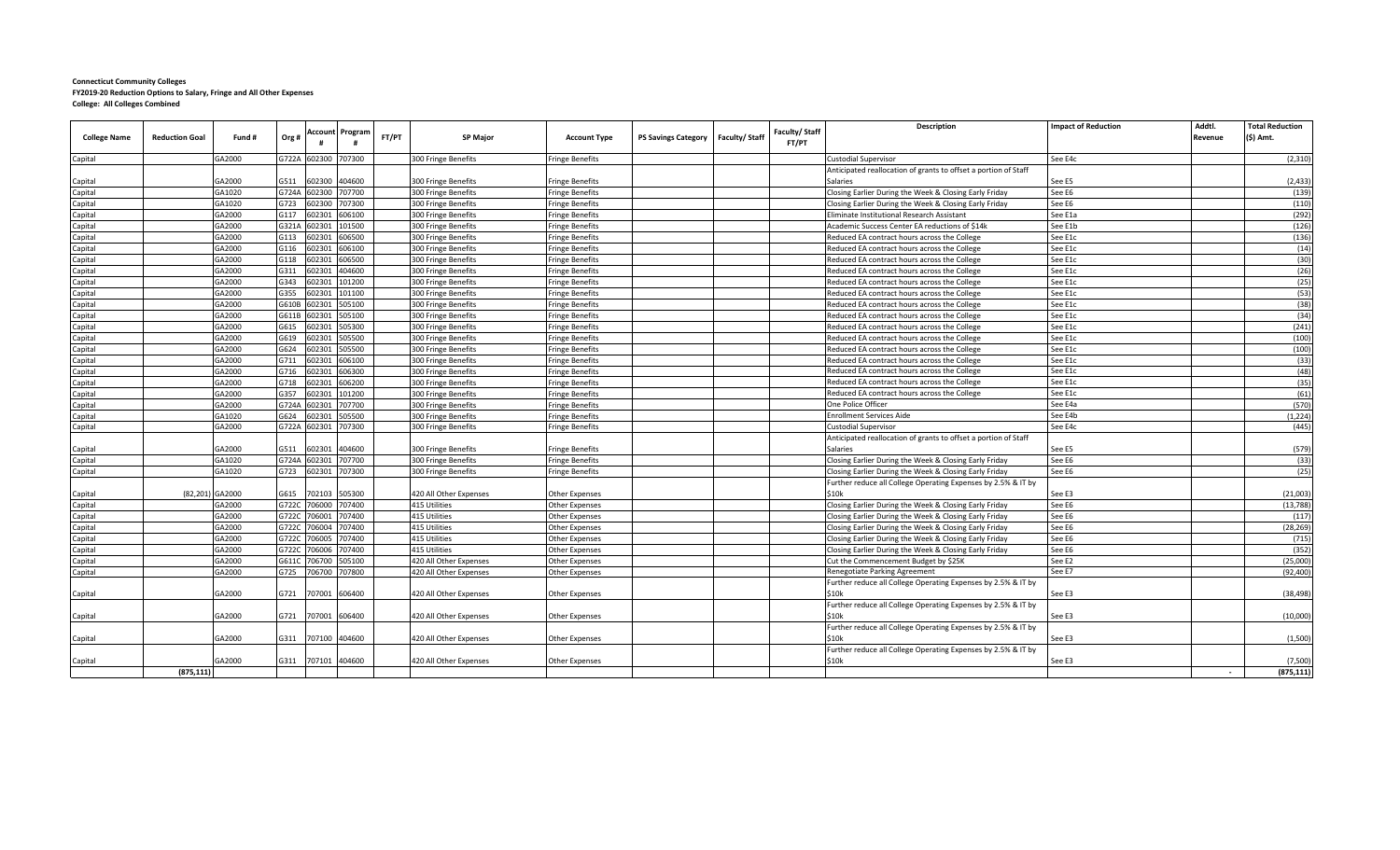|                     |                       |        |       |                     |                        |       |                            |                        |                            |               |                         | Description                                                     | <b>Impact of Reduction</b> | Addtl.  | <b>Total Reduction</b> |
|---------------------|-----------------------|--------|-------|---------------------|------------------------|-------|----------------------------|------------------------|----------------------------|---------------|-------------------------|-----------------------------------------------------------------|----------------------------|---------|------------------------|
| <b>College Name</b> | <b>Reduction Goal</b> | Fund # | Org#  |                     | <b>Account Program</b> | FT/PT | <b>SP Major</b>            | <b>Account Type</b>    | <b>PS Savings Category</b> | Faculty/Staff | Faculty/ Staff<br>FT/PT |                                                                 |                            | Revenue | (\$) Amt.              |
| Capital             |                       | GA2000 |       | G722A 602300 707300 |                        |       | 300 Fringe Benefits        | <b>Fringe Benefits</b> |                            |               |                         | Custodial Supervisor                                            | See E4c                    |         | (2, 310)               |
|                     |                       |        |       |                     |                        |       |                            |                        |                            |               |                         | Anticipated reallocation of grants to offset a portion of Staff |                            |         |                        |
| Capital             |                       | GA2000 | G511  | 602300              | 404600                 |       | 300 Fringe Benefits        | <b>Fringe Benefits</b> |                            |               |                         | Salaries                                                        | See E5                     |         | (2, 433)               |
| Capital             |                       | GA1020 | G724A | 602300              | 707700                 |       | 300 Fringe Benefits        | <b>Fringe Benefits</b> |                            |               |                         | Closing Earlier During the Week & Closing Early Friday          | See E6                     |         | (139)                  |
| Capital             |                       | GA1020 | G723  | 602300              | 707300                 |       | 300 Fringe Benefits        | <b>Fringe Benefits</b> |                            |               |                         | Closing Earlier During the Week & Closing Early Friday          | See E6                     |         | (110)                  |
| Capital             |                       | GA2000 | G117  | 602301              | 606100                 |       | 300 Fringe Benefits        | <b>Fringe Benefits</b> |                            |               |                         | Eliminate Institutional Research Assistant                      | See E1a                    |         | (292)                  |
| Capital             |                       | GA2000 | G321A | 502301              | 101500                 |       | 300 Fringe Benefits        | <b>Fringe Benefits</b> |                            |               |                         | Academic Success Center EA reductions of \$14k                  | See E1b                    |         | (126)                  |
| Capital             |                       | GA2000 | G113  | 602301              | 606500                 |       | 300 Fringe Benefits        | <b>Fringe Benefits</b> |                            |               |                         | Reduced EA contract hours across the College                    | See E1c                    |         | (136)                  |
| Capital             |                       | GA2000 | G116  | 502301              | 606100                 |       | 300 Fringe Benefits        | <b>Fringe Benefits</b> |                            |               |                         | Reduced EA contract hours across the College                    | See E1c                    |         | (14)                   |
| Capital             |                       | GA2000 | G118  | 502301              | 506500                 |       | 300 Fringe Benefits        | <b>Fringe Benefits</b> |                            |               |                         | Reduced EA contract hours across the College                    | See E1c                    |         | (30)                   |
| Capital             |                       | GA2000 | G311  | 602301              | 404600                 |       | 300 Fringe Benefits        | <b>Fringe Benefits</b> |                            |               |                         | Reduced EA contract hours across the College                    | See E1c                    |         | (26)                   |
| Capital             |                       | GA2000 | G343  | 602301              | 101200                 |       | 300 Fringe Benefits        | <b>Fringe Benefits</b> |                            |               |                         | Reduced EA contract hours across the College                    | See E1c                    |         | (25)                   |
| Capital             |                       | GA2000 | G355  | 502301              | 101100                 |       | 300 Fringe Benefits        | <b>Fringe Benefits</b> |                            |               |                         | Reduced EA contract hours across the College                    | See E1c                    |         | (53)                   |
| Capital             |                       | GA2000 | G610B | 502301              | 505100                 |       | 300 Fringe Benefits        | <b>Fringe Benefits</b> |                            |               |                         | Reduced EA contract hours across the College                    | See E1c                    |         | (38)                   |
| Capital             |                       | GA2000 | G611B | 502301              | 505100                 |       | <b>300 Fringe Benefits</b> | <b>Fringe Benefits</b> |                            |               |                         | Reduced EA contract hours across the College                    | See E1c                    |         | (34)                   |
| Capital             |                       | GA2000 | G615  | 502301              | 505300                 |       | 300 Fringe Benefits        | <b>Fringe Benefits</b> |                            |               |                         | Reduced EA contract hours across the College                    | See E1c                    |         | (241)                  |
| Capital             |                       | GA2000 | G619  | 02301               | 505500                 |       | 300 Fringe Benefits        | <b>Fringe Benefits</b> |                            |               |                         | Reduced EA contract hours across the College                    | See E1c                    |         | (100)                  |
| Capital             |                       | GA2000 | G624  | 602301              | 505500                 |       | 300 Fringe Benefits        | <b>Fringe Benefits</b> |                            |               |                         | Reduced EA contract hours across the College                    | See E1c                    |         | (100)                  |
| Capital             |                       | GA2000 | G711  | 602301              | 606100                 |       | 300 Fringe Benefits        | <b>Fringe Benefits</b> |                            |               |                         | Reduced EA contract hours across the College                    | See E1c                    |         | (33)                   |
| Capital             |                       | GA2000 | G716  | 602301              | 606300                 |       | 300 Fringe Benefits        | <b>Fringe Benefits</b> |                            |               |                         | Reduced EA contract hours across the College                    | See E1c                    |         | (48)                   |
| Capital             |                       | GA2000 | G718  | 502301              | 606200                 |       | 300 Fringe Benefits        | <b>Fringe Benefits</b> |                            |               |                         | Reduced EA contract hours across the College                    | See E1c                    |         | (35)                   |
| Capital             |                       | GA2000 | G357  | 602301              | 101200                 |       | 300 Fringe Benefits        | <b>Fringe Benefits</b> |                            |               |                         | Reduced EA contract hours across the College                    | See E1c                    |         | (61)                   |
| Capital             |                       | GA2000 | G724A | 602301              | 707700                 |       | 300 Fringe Benefits        | <b>Fringe Benefits</b> |                            |               |                         | One Police Officer                                              | See E4a                    |         | (570)                  |
| Capital             |                       | GA1020 | G624  | 502301              | 605500                 |       | 300 Fringe Benefits        | <b>Fringe Benefits</b> |                            |               |                         | <b>Enrollment Services Aide</b>                                 | See E4b                    |         | (1, 224)               |
| Capital             |                       | GA2000 | G722A | 602301              | 707300                 |       | 300 Fringe Benefits        | <b>Fringe Benefits</b> |                            |               |                         | Custodial Supervisor                                            | See E4c                    |         | (445)                  |
|                     |                       |        |       |                     |                        |       |                            |                        |                            |               |                         | Anticipated reallocation of grants to offset a portion of Staff |                            |         |                        |
| Capital             |                       | GA2000 | G511  | 602301              | 404600                 |       | 300 Fringe Benefits        | <b>Fringe Benefits</b> |                            |               |                         | Salaries                                                        | See E5                     |         | (579)                  |
| Capital             |                       | GA1020 |       | G724A 602301        | 707700                 |       | 300 Fringe Benefits        | <b>Fringe Benefits</b> |                            |               |                         | Closing Earlier During the Week & Closing Early Friday          | See E6                     |         | (33)                   |
| Capital             |                       | GA1020 | G723  | 602301              | 707300                 |       | 300 Fringe Benefits        | <b>Fringe Benefits</b> |                            |               |                         | Closing Earlier During the Week & Closing Early Friday          | See E6                     |         | (25)                   |
|                     |                       |        |       |                     |                        |       |                            |                        |                            |               |                         | Further reduce all College Operating Expenses by 2.5% & IT by   |                            |         |                        |
| Capital             | (82, 201)             | GA2000 | G615  | 702103 505300       |                        |       | 420 All Other Expenses     | <b>Other Expenses</b>  |                            |               |                         | \$10k                                                           | See E3                     |         | (21,003)               |
| Capital             |                       | GA2000 | G722C |                     | 706000 707400          |       | 415 Utilities              | <b>Other Expenses</b>  |                            |               |                         | Closing Earlier During the Week & Closing Early Friday          | See E6                     |         | (13, 788)              |
| Capital             |                       | GA2000 | G722C | 706001              | 707400                 |       | 415 Utilities              | <b>Other Expenses</b>  |                            |               |                         | Closing Earlier During the Week & Closing Early Friday          | See E6                     |         | (117)                  |
| Capital             |                       | GA2000 | G722C | 06004               | 707400                 |       | 415 Utilities              | <b>Other Expenses</b>  |                            |               |                         | Closing Earlier During the Week & Closing Early Friday          | See E6                     |         | (28, 269)              |
| Capital             |                       | GA2000 | G722C | 06005               | 707400                 |       | 415 Utilities              | <b>Other Expenses</b>  |                            |               |                         | Closing Earlier During the Week & Closing Early Friday          | See E6                     |         | (715                   |
| Capital             |                       | GA2000 | G722C | '06006              | 707400                 |       | 415 Utilities              | <b>Other Expenses</b>  |                            |               |                         | Closing Earlier During the Week & Closing Early Friday          | See E6                     |         | (352)                  |
| Capital             |                       | GA2000 | G611C | 06700               | 505100                 |       | 420 All Other Expenses     | <b>Other Expenses</b>  |                            |               |                         | Cut the Commencement Budget by \$25K                            | See E2                     |         | (25,000)               |
| Capital             |                       | GA2000 | G725  | 06700               | 707800                 |       | 420 All Other Expenses     | <b>Other Expenses</b>  |                            |               |                         | Renegotiate Parking Agreement                                   | See E7                     |         | (92, 400)              |
|                     |                       |        |       |                     |                        |       |                            |                        |                            |               |                         | Further reduce all College Operating Expenses by 2.5% & IT by   |                            |         |                        |
| Capital             |                       | GA2000 | G721  | 707001              | 606400                 |       | 420 All Other Expenses     | <b>Other Expenses</b>  |                            |               |                         | \$10k                                                           | See E3                     |         | (38, 498)              |
|                     |                       |        |       |                     |                        |       |                            |                        |                            |               |                         | Further reduce all College Operating Expenses by 2.5% & IT by   |                            |         |                        |
| Capital             |                       | GA2000 | G721  | 707001              | 606400                 |       | 420 All Other Expenses     | <b>Other Expenses</b>  |                            |               |                         | \$10k                                                           | See E3                     |         | (10,000)               |
|                     |                       |        |       |                     |                        |       |                            |                        |                            |               |                         | Further reduce all College Operating Expenses by 2.5% & IT by   |                            |         |                        |
| Capital             |                       | GA2000 | G311  |                     | 707100 404600          |       | 420 All Other Expenses     | <b>Other Expenses</b>  |                            |               |                         | \$10k                                                           | See E3                     |         | (1,500)                |
|                     |                       |        |       |                     |                        |       |                            |                        |                            |               |                         | Further reduce all College Operating Expenses by 2.5% & IT by   |                            |         |                        |
| Capital             |                       | GA2000 | G311  | 707101              | 404600                 |       | 420 All Other Expenses     | <b>Other Expenses</b>  |                            |               |                         | \$10k                                                           | See E3                     |         | (7,500)                |
|                     | (875, 111)            |        |       |                     |                        |       |                            |                        |                            |               |                         |                                                                 |                            |         | (875, 111)             |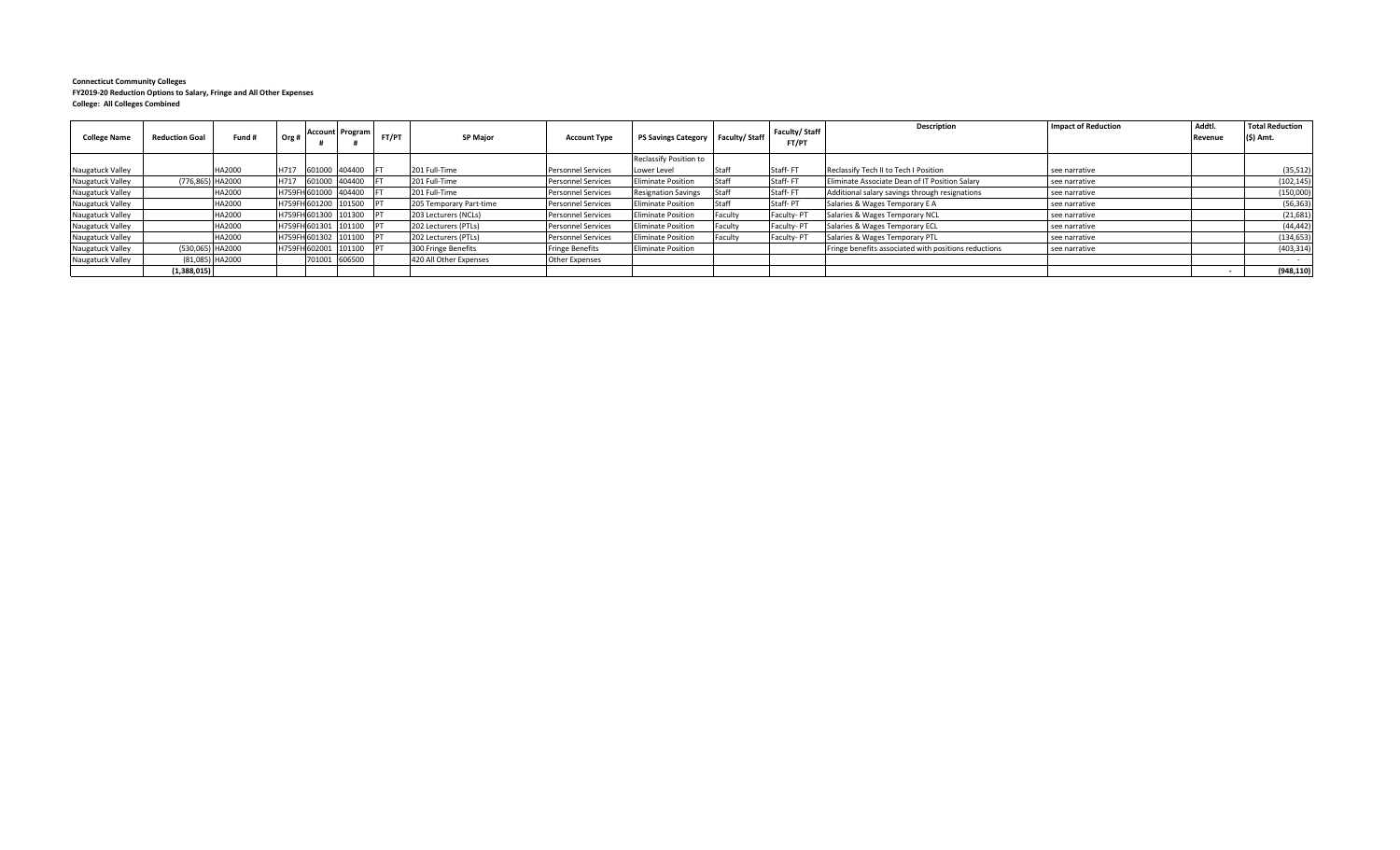|                     |                       |        |      | <b>Account Program</b>  | FT/PT |                         |                           |                                      |         | Faculty/Staff | <b>Description</b>                                   | Impact of Reduction | Addtl.  | <b>Total Reduction</b> |
|---------------------|-----------------------|--------|------|-------------------------|-------|-------------------------|---------------------------|--------------------------------------|---------|---------------|------------------------------------------------------|---------------------|---------|------------------------|
| <b>College Name</b> | <b>Reduction Goal</b> | Fund # | Org# |                         |       | SP Major                | <b>Account Type</b>       | PS Savings Category   Faculty/ Staff |         | <b>FT/PT</b>  |                                                      |                     | Revenue | (\$) Amt.              |
|                     |                       |        |      |                         |       |                         |                           | Reclassify Position to               |         |               |                                                      |                     |         |                        |
| Naugatuck Valley    |                       | HA2000 |      | H717 601000 404400      |       | 201 Full-Time           | <b>Personnel Services</b> | Lower Level                          | Staff   | Staff-FT      | Reclassify Tech II to Tech I Position                | see narrative       |         | (35, 512)              |
| Naugatuck Valley    | (776,865) HA2000      |        |      | H717 601000 404400      |       | 201 Full-Time           | <b>Personnel Services</b> | <b>Eliminate Position</b>            | Staff   | Staff-FT      | Eliminate Associate Dean of IT Position Salary       | see narrative       |         | (102, 145)             |
| Naugatuck Valley    |                       | HA2000 |      | H759FH 601000 404400 F  |       | 201 Full-Time           | <b>Personnel Services</b> | <b>Resignation Savings</b>           | Staff   | Staff-FT      | Additional salary savings through resignations       | see narrative       |         | (150,000)              |
| Naugatuck Valley    |                       | HA2000 |      | H759FH 601200 101500    |       | 205 Temporary Part-time | <b>Personnel Services</b> | <b>Eliminate Position</b>            | Staff   | Staff-PT      | Salaries & Wages Temporary E A                       | see narrative       |         | (56, 363)              |
| Naugatuck Valley    |                       | HA2000 |      | H759FH 601300 101300 Pi |       | 203 Lecturers (NCLs)    | <b>Personnel Services</b> | <b>Eliminate Position</b>            | Faculty | Faculty-PT    | Salaries & Wages Temporary NCL                       | see narrative       |         | (21, 681)              |
| Naugatuck Valley    |                       | HA2000 |      | H759FH 601301 101100 PT |       | 202 Lecturers (PTLs)    | <b>Personnel Services</b> | <b>Eliminate Position</b>            | Faculty | Faculty-PT    | Salaries & Wages Temporary ECL                       | see narrative       |         | (44, 442)              |
| Naugatuck Valley    |                       | HA2000 |      | H759FH 601302 101100    |       | 202 Lecturers (PTLs)    | <b>Personnel Services</b> | <b>Eliminate Position</b>            | Faculty | Faculty-PT    | Salaries & Wages Temporary PTL                       | see narrative       |         | (134, 653)             |
| Naugatuck Valley    | (530,065) HA2000      |        |      | H759FH 602001 101100    |       | 300 Fringe Benefits     | <b>Fringe Benefits</b>    | <b>Eliminate Position</b>            |         |               | Fringe benefits associated with positions reductions | see narrative       |         | (403, 314)             |
| Naugatuck Valley    | (81,085) HA2000       |        |      | 701001 606500           |       | 420 All Other Expenses  | Other Expenses            |                                      |         |               |                                                      |                     |         |                        |
|                     | (1,388,015)           |        |      |                         |       |                         |                           |                                      |         |               |                                                      |                     |         | (948, 110)             |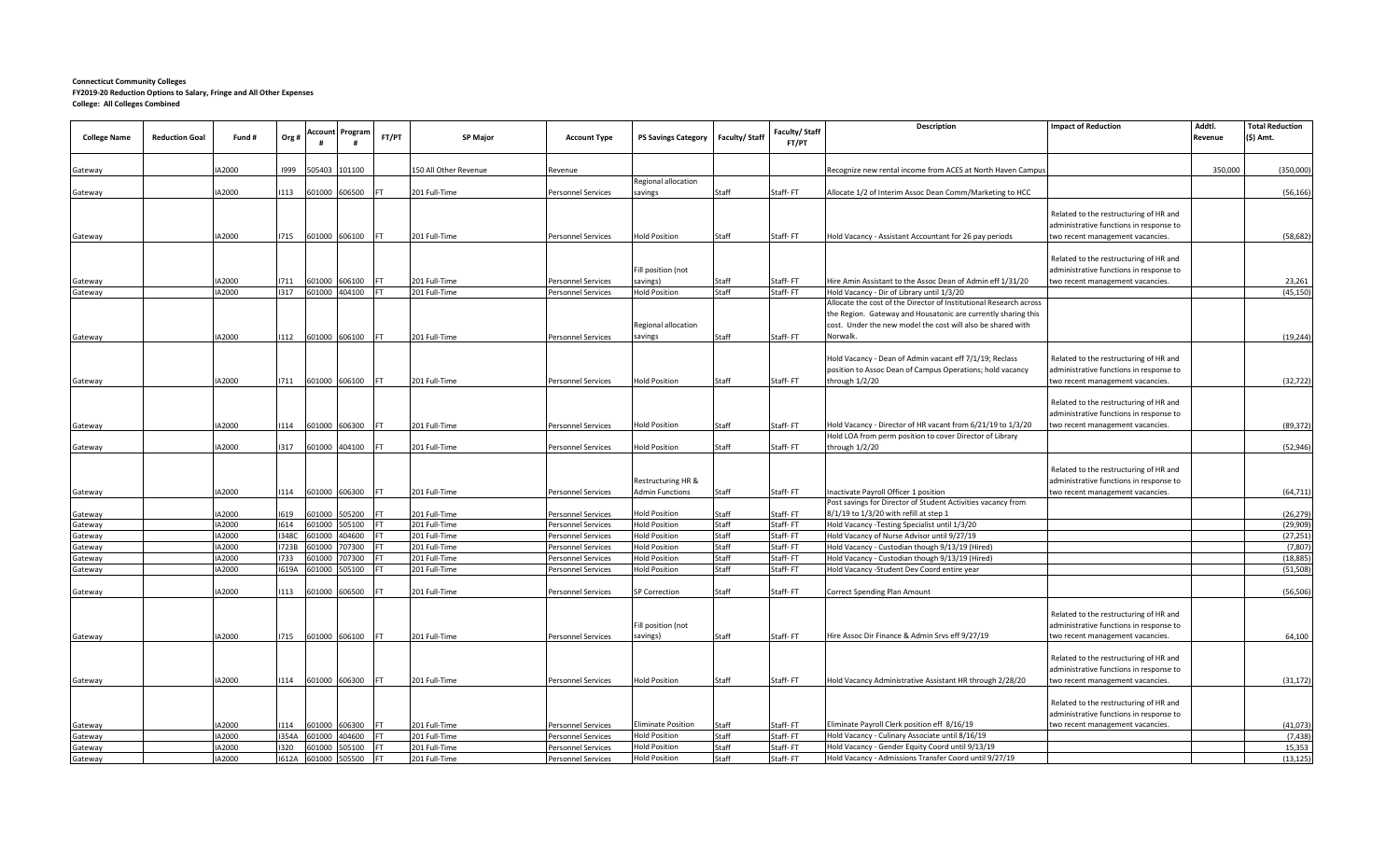|                     |                       |        |              |                      |            |                       |                           |                            |               | Faculty/ Staff | Description                                                        | <b>Impact of Reduction</b>                                                        | Addtl.  | <b>Total Reduction</b> |
|---------------------|-----------------------|--------|--------------|----------------------|------------|-----------------------|---------------------------|----------------------------|---------------|----------------|--------------------------------------------------------------------|-----------------------------------------------------------------------------------|---------|------------------------|
| <b>College Name</b> | <b>Reduction Goal</b> | Fund # | Org#         | Account Program<br># | FT/PT      | <b>SP Major</b>       | <b>Account Type</b>       | <b>PS Savings Category</b> | Faculty/Staff | FT/PT          |                                                                    |                                                                                   | Revenue | (\$) Amt.              |
|                     |                       |        |              |                      |            |                       |                           |                            |               |                |                                                                    |                                                                                   |         |                        |
| Gateway             |                       | IA2000 | 1999         | 505403<br>101100     |            | 150 All Other Revenue | Revenue                   | Regional allocation        |               |                | Recognize new rental income from ACES at North Haven Campus        |                                                                                   | 350,000 | (350,000)              |
| Gateway             |                       | IA2000 | 113          | 601000<br>606500     |            | 201 Full-Time         | Personnel Services        | savings                    | Staff         | Staff-FT       | Allocate 1/2 of Interim Assoc Dean Comm/Marketing to HCC           |                                                                                   |         | (56, 166)              |
|                     |                       |        |              |                      |            |                       |                           |                            |               |                |                                                                    |                                                                                   |         |                        |
|                     |                       |        |              |                      |            |                       |                           |                            |               |                |                                                                    | Related to the restructuring of HR and                                            |         |                        |
|                     |                       |        |              |                      |            |                       |                           |                            |               |                |                                                                    | administrative functions in response to                                           |         |                        |
| Gateway             |                       | IA2000 | 1715         | 601000 606100 FT     |            | 201 Full-Time         | <b>Personnel Services</b> | <b>Hold Position</b>       | Staff         | Staff-FT       | Hold Vacancy - Assistant Accountant for 26 pay periods             | two recent management vacancies.                                                  |         | (58, 682)              |
|                     |                       |        |              |                      |            |                       |                           |                            |               |                |                                                                    |                                                                                   |         |                        |
|                     |                       |        |              |                      |            |                       |                           |                            |               |                |                                                                    | Related to the restructuring of HR and                                            |         |                        |
|                     |                       |        |              |                      |            |                       |                           | Fill position (not         |               |                |                                                                    | administrative functions in response to                                           |         |                        |
| Gateway             |                       | IA2000 | 711          | 501000<br>606100     | <b>IFT</b> | 201 Full-Time         | <b>Personnel Services</b> | savings)                   | Staff         | Staff-FT       | Hire Amin Assistant to the Assoc Dean of Admin eff 1/31/20         | two recent management vacancies.                                                  |         | 23,261                 |
| Gatewav             |                       | IA2000 | 1317         | 601000 404100        | <b>IFT</b> | 201 Full-Time         | <b>Personnel Services</b> | <b>Hold Position</b>       | Staff         | Staff-FT       | Hold Vacancy - Dir of Library until 1/3/20                         |                                                                                   |         | (45.150)               |
|                     |                       |        |              |                      |            |                       |                           |                            |               |                | Allocate the cost of the Director of Institutional Research across |                                                                                   |         |                        |
|                     |                       |        |              |                      |            |                       |                           |                            |               |                | the Region. Gateway and Housatonic are currently sharing this      |                                                                                   |         |                        |
|                     |                       |        |              |                      |            |                       |                           | Regional allocation        |               |                | cost. Under the new model the cost will also be shared with        |                                                                                   |         |                        |
| Gateway             |                       | IA2000 | 1112         | 601000 606100        | <b>IFT</b> | 201 Full-Time         | <b>Personnel Services</b> | savings                    | Staff         | Staff-FT       | Norwalk.                                                           |                                                                                   |         | (19, 244)              |
|                     |                       |        |              |                      |            |                       |                           |                            |               |                |                                                                    |                                                                                   |         |                        |
|                     |                       |        |              |                      |            |                       |                           |                            |               |                | Hold Vacancy - Dean of Admin vacant eff 7/1/19; Reclass            | Related to the restructuring of HR and                                            |         |                        |
|                     |                       |        |              |                      |            |                       |                           |                            |               |                | position to Assoc Dean of Campus Operations; hold vacancy          | administrative functions in response to                                           |         |                        |
| Gateway             |                       | IA2000 | 1711         | 601000 606100        | IFT.       | 201 Full-Time         | Personnel Services        | <b>Hold Position</b>       | Staff         | Staff-FT       | through 1/2/20                                                     | two recent management vacancies.                                                  |         | (32, 722)              |
|                     |                       |        |              |                      |            |                       |                           |                            |               |                |                                                                    |                                                                                   |         |                        |
|                     |                       |        |              |                      |            |                       |                           |                            |               |                |                                                                    | Related to the restructuring of HR and<br>administrative functions in response to |         |                        |
|                     |                       | IA2000 | 1114         | 601000<br>606300     | <b>IFT</b> | 201 Full-Time         | <b>Personnel Services</b> | <b>Hold Position</b>       | Staff         | Staff-FT       | Hold Vacancy - Director of HR vacant from 6/21/19 to 1/3/20        | two recent management vacancies.                                                  |         | (89, 372)              |
| Gateway             |                       |        |              |                      |            |                       |                           |                            |               |                | Hold LOA from perm position to cover Director of Library           |                                                                                   |         |                        |
| Gateway             |                       | A2000  | 1317         | 601000 404100        | <b>IFT</b> | 201 Full-Time         | <b>Personnel Services</b> | <b>Hold Position</b>       | Staff         | Staff-FT       | through 1/2/20                                                     |                                                                                   |         | (52, 946)              |
|                     |                       |        |              |                      |            |                       |                           |                            |               |                |                                                                    |                                                                                   |         |                        |
|                     |                       |        |              |                      |            |                       |                           |                            |               |                |                                                                    | Related to the restructuring of HR and                                            |         |                        |
|                     |                       |        |              |                      |            |                       |                           | Restructuring HR &         |               |                |                                                                    | administrative functions in response to                                           |         |                        |
| Gateway             |                       | IA2000 | 1114         | 601000 606300        | <b>FT</b>  | 201 Full-Time         | <b>Personnel Services</b> | <b>Admin Functions</b>     | Staff         | Staff-FT       | Inactivate Payroll Officer 1 position                              | two recent management vacancies.                                                  |         | (64, 711)              |
|                     |                       |        |              |                      |            |                       |                           |                            |               |                | Post savings for Director of Student Activities vacancy from       |                                                                                   |         |                        |
| Gateway             |                       | IA2000 | 1619         | 501000<br>505200     |            | 201 Full-Time         | Personnel Services        | <b>Hold Position</b>       | Staff         | Staff-FT       | 8/1/19 to 1/3/20 with refill at step 1                             |                                                                                   |         | (26, 279)              |
| Gateway             |                       | IA2000 | 1614         | 601000<br>505100     |            | 201 Full-Time         | <b>Personnel Services</b> | <b>Hold Position</b>       | Staff         | Staff-FT       | Hold Vacancy -Testing Specialist until 1/3/20                      |                                                                                   |         | (29, 909)              |
| Gateway             |                       | IA2000 | 1348C        | 404600<br>601000     |            | 201 Full-Time         | Personnel Services        | <b>Hold Position</b>       | Staff         | Staff-FT       | Hold Vacancy of Nurse Advisor until 9/27/19                        |                                                                                   |         | (27, 251)              |
| Gateway             |                       | IA2000 | 1723B        | 601000<br>707300     |            | 201 Full-Time         | Personnel Services        | <b>Hold Position</b>       | Staff         | Staff-FT       | Hold Vacancy - Custodian though 9/13/19 (Hired)                    |                                                                                   |         | (7, 807)               |
| Gateway             |                       | IA2000 | 1733         | 601000<br>07300      |            | 201 Full-Time         | <b>Personnel Services</b> | <b>Hold Position</b>       | Staff         | Staff-FT       | Hold Vacancy - Custodian though 9/13/19 (Hired)                    |                                                                                   |         | (18, 885)              |
| Gateway             |                       | IA2000 | <b>1619A</b> | 601000<br>505100     |            | 201 Full-Time         | <b>Personnel Services</b> | <b>Hold Position</b>       | Staff         | Staff-FT       | Hold Vacancy -Student Dev Coord entire year                        |                                                                                   |         | (51, 508)              |
|                     |                       |        |              |                      |            |                       |                           |                            |               |                |                                                                    |                                                                                   |         |                        |
| Gateway             |                       | IA2000 | 113          | 606500<br>501000     |            | 201 Full-Time         | <b>Personnel Services</b> | <b>SP Correction</b>       | Staff         | Staff-FT       | Correct Spending Plan Amount                                       |                                                                                   |         | (56, 506)              |
|                     |                       |        |              |                      |            |                       |                           |                            |               |                |                                                                    |                                                                                   |         |                        |
|                     |                       |        |              |                      |            |                       |                           |                            |               |                |                                                                    | Related to the restructuring of HR and                                            |         |                        |
|                     |                       |        |              |                      |            |                       |                           | Fill position (not         |               |                |                                                                    | administrative functions in response to                                           |         |                        |
| Gateway             |                       | IA2000 | 1715         | 601000 606100        | <b>FT</b>  | 201 Full-Time         | <b>Personnel Services</b> | savings)                   | Staff         | Staff-FT       | Hire Assoc Dir Finance & Admin Srvs eff 9/27/19                    | two recent management vacancies.                                                  |         | 64,100                 |
|                     |                       |        |              |                      |            |                       |                           |                            |               |                |                                                                    |                                                                                   |         |                        |
|                     |                       |        |              |                      |            |                       |                           |                            |               |                |                                                                    | Related to the restructuring of HR and                                            |         |                        |
|                     |                       |        |              |                      |            |                       |                           |                            |               |                |                                                                    | administrative functions in response to                                           |         |                        |
| Gateway             |                       | A2000  | 1114         | 601000 606300        | <b>FT</b>  | 201 Full-Time         | <b>Personnel Services</b> | <b>Hold Position</b>       | Staff         | Staff-FT       | Hold Vacancy Administrative Assistant HR through 2/28/20           | two recent management vacancies.                                                  |         | (31, 172)              |
|                     |                       |        |              |                      |            |                       |                           |                            |               |                |                                                                    |                                                                                   |         |                        |
|                     |                       |        |              |                      |            |                       |                           |                            |               |                |                                                                    | Related to the restructuring of HR and<br>administrative functions in response to |         |                        |
|                     |                       | IA2000 | 114          | 601000<br>606300     | IFT.       | 201 Full-Time         | <b>Personnel Services</b> | <b>Eliminate Position</b>  | Staff         | Staff-FT       | Eliminate Payroll Clerk position eff 8/16/19                       | two recent management vacancies.                                                  |         | (41, 073)              |
| Gateway<br>Gateway  |                       | IA2000 | 1354A        | 404600<br>601000     |            | 201 Full-Time         | <b>Personnel Services</b> | <b>Hold Position</b>       | Staff         | Staff-FT       | Hold Vacancy - Culinary Associate until 8/16/19                    |                                                                                   |         | (7, 438)               |
| Gateway             |                       | IA2000 | 320          | 501000<br>505100     |            | 201 Full-Time         | Personnel Services        | <b>Hold Position</b>       | Staff         | Staff-FT       | Hold Vacancy - Gender Equity Coord until 9/13/19                   |                                                                                   |         | 15,353                 |
| Gateway             |                       | IA2000 | <b>1612A</b> | 505500<br>601000     |            | 201 Full-Time         | Personnel Services        | <b>Hold Position</b>       | Staff         | Staff-FT       | Hold Vacancy - Admissions Transfer Coord until 9/27/19             |                                                                                   |         | (13, 125)              |
|                     |                       |        |              |                      |            |                       |                           |                            |               |                |                                                                    |                                                                                   |         |                        |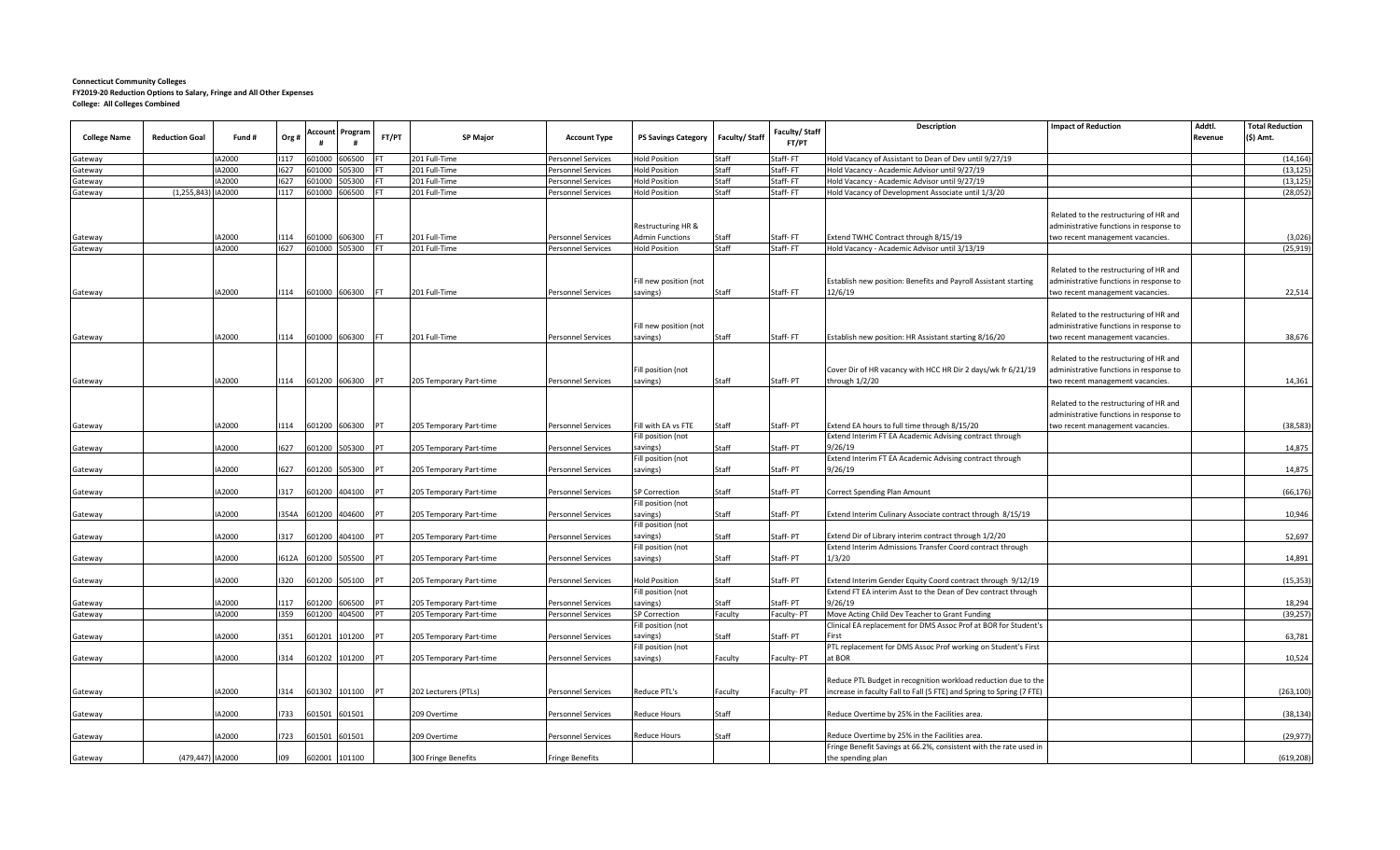|                     |                       |        |              |              |                  |            |                         |                           |                                           |                |                               | Description                                                                                             | <b>Impact of Reduction</b>              | Addtl.  | <b>Total Reduction</b> |
|---------------------|-----------------------|--------|--------------|--------------|------------------|------------|-------------------------|---------------------------|-------------------------------------------|----------------|-------------------------------|---------------------------------------------------------------------------------------------------------|-----------------------------------------|---------|------------------------|
| <b>College Name</b> | <b>Reduction Goal</b> | Fund#  | Org #        | Account<br># | Program<br>#     | FT/PT      | <b>SP Major</b>         | <b>Account Type</b>       | <b>PS Savings Category</b>                | Faculty/ Staff | <b>Faculty/Staff</b><br>FT/PT |                                                                                                         |                                         | Revenue | (\$) Amt.              |
| Gateway             |                       | IA2000 | 1117         | 601000       | 506500           |            | 201 Full-Time           | <b>Personnel Services</b> | <b>Hold Position</b>                      | Staff          | Staff-FT                      | Hold Vacancy of Assistant to Dean of Dev until 9/27/19                                                  |                                         |         | (14, 164)              |
| Gateway             |                       | IA2000 | 1627         | 501000       | 05300            |            | 201 Full-Time           | Personnel Services        | <b>Hold Position</b>                      | Staff          | Staff-FT                      | Hold Vacancy - Academic Advisor until 9/27/19                                                           |                                         |         | (13, 125)              |
| Gateway             |                       | IA2000 | 1627         | 601000       | 605300 FT        |            | 201 Full-Time           | Personnel Services        | <b>Hold Position</b>                      | Staff          | Staff-FT                      | Hold Vacancy - Academic Advisor until 9/27/19                                                           |                                         |         | (13, 125)              |
| Gateway             | (1, 255, 843)         | IA2000 | 1117         | 601000       | 606500           | -lF1       | 201 Full-Time           | Personnel Services        | <b>Hold Position</b>                      | Staff          | Staff-FT                      | Hold Vacancy of Development Associate until 1/3/20                                                      |                                         |         | (28, 052)              |
|                     |                       |        |              |              |                  |            |                         |                           |                                           |                |                               |                                                                                                         |                                         |         |                        |
|                     |                       |        |              |              |                  |            |                         |                           |                                           |                |                               |                                                                                                         | Related to the restructuring of HR and  |         |                        |
|                     |                       |        |              |              |                  |            |                         |                           | Restructuring HR &                        |                |                               |                                                                                                         | administrative functions in response to |         |                        |
| Gateway             |                       | A2000  | 114<br>1627  | 601000       | 606300           |            | 201 Full-Time           | Personnel Services        | <b>Admin Functions</b>                    | Staff<br>Staff | Staff-FT                      | Extend TWHC Contract through 8/15/19                                                                    | two recent management vacancies.        |         | (3,026)                |
| Gateway             |                       | IA2000 |              | 601000       | 505300           | <b>IFT</b> | 201 Full-Time           | <b>Personnel Services</b> | <b>Hold Position</b>                      |                | Staff-FT                      | Hold Vacancy - Academic Advisor until 3/13/19                                                           |                                         |         | (25, 919)              |
|                     |                       |        |              |              |                  |            |                         |                           |                                           |                |                               |                                                                                                         | Related to the restructuring of HR and  |         |                        |
|                     |                       |        |              |              |                  |            |                         |                           | Fill new position (not                    |                |                               | Establish new position: Benefits and Payroll Assistant starting                                         | administrative functions in response to |         |                        |
| Gateway             |                       | A2000  | 114          |              | 601000 606300 FT |            | 201 Full-Time           | <b>Personnel Services</b> | savings)                                  | Staff          | Staff-FT                      | 12/6/19                                                                                                 | two recent management vacancies.        |         | 22,514                 |
|                     |                       |        |              |              |                  |            |                         |                           |                                           |                |                               |                                                                                                         |                                         |         |                        |
|                     |                       |        |              |              |                  |            |                         |                           |                                           |                |                               |                                                                                                         | Related to the restructuring of HR and  |         |                        |
|                     |                       |        |              |              |                  |            |                         |                           | Fill new position (not                    |                |                               |                                                                                                         | administrative functions in response to |         |                        |
| Gateway             |                       | A2000  | 114          |              | 601000 606300    |            | 201 Full-Time           | Personnel Services        | savings)                                  | Staff          | Staff-FT                      | Establish new position: HR Assistant starting 8/16/20                                                   | two recent management vacancies.        |         | 38,676                 |
|                     |                       |        |              |              |                  |            |                         |                           |                                           |                |                               |                                                                                                         |                                         |         |                        |
|                     |                       |        |              |              |                  |            |                         |                           |                                           |                |                               |                                                                                                         | Related to the restructuring of HR and  |         |                        |
|                     |                       |        |              |              |                  |            |                         |                           | Fill position (not                        |                |                               | Cover Dir of HR vacancy with HCC HR Dir 2 days/wk fr 6/21/19                                            | administrative functions in response to |         |                        |
| Gateway             |                       | IA2000 | 114          |              | 601200 606300    | <b>IPT</b> | 205 Temporary Part-time | <b>Personnel Services</b> | savings)                                  | Staff          | Staff-PT                      | through 1/2/20                                                                                          | two recent management vacancies.        |         | 14,361                 |
|                     |                       |        |              |              |                  |            |                         |                           |                                           |                |                               |                                                                                                         |                                         |         |                        |
|                     |                       |        |              |              |                  |            |                         |                           |                                           |                |                               |                                                                                                         | Related to the restructuring of HR and  |         |                        |
|                     |                       | A2000  | 114          |              |                  |            |                         |                           |                                           |                |                               |                                                                                                         | administrative functions in response to |         | (38, 583)              |
| Gateway             |                       |        |              | 601200       | 606300 PT        |            | 205 Temporary Part-time | Personnel Services        | Fill with EA vs FTE<br>Fill position (not | Staff          | Staff-PT                      | Extend EA hours to full time through 8/15/20<br>Extend Interim FT EA Academic Advising contract through | two recent management vacancies.        |         |                        |
| Gateway             |                       | A2000  | 1627         |              | 601200 505300    | - I PT     | 205 Temporary Part-time | Personnel Services        | savings)                                  | Staff          | Staff- PT                     | 9/26/19                                                                                                 |                                         |         | 14,875                 |
|                     |                       |        |              |              |                  |            |                         |                           | Fill position (not                        |                |                               | Extend Interim FT EA Academic Advising contract through                                                 |                                         |         |                        |
| Gateway             |                       | A2000  | 1627         | 601200       | 505300           |            | 205 Temporary Part-time | <b>Personnel Services</b> | savings)                                  | Staff          | Staff-PT                      | 9/26/19                                                                                                 |                                         |         | 14,875                 |
|                     |                       |        |              |              |                  |            |                         |                           |                                           |                |                               |                                                                                                         |                                         |         |                        |
| Gateway             |                       | A2000  | 1317         |              | 601200 404100 PT |            | 205 Temporary Part-time | Personnel Services        | <b>SP Correction</b>                      | Staff          | Staff-PT                      | Correct Spending Plan Amount                                                                            |                                         |         | (66, 176)              |
|                     |                       |        |              |              |                  |            |                         |                           | Fill position (not                        |                |                               |                                                                                                         |                                         |         |                        |
| Gateway             |                       | IA2000 | 354A         | 601200       | 404600 PT        |            | 205 Temporary Part-time | Personnel Services        | savings)                                  | Staff          | Staff-PT                      | Extend Interim Culinary Associate contract through 8/15/19                                              |                                         |         | 10,946                 |
|                     |                       |        |              |              |                  |            |                         |                           | Fill position (not                        |                |                               |                                                                                                         |                                         |         |                        |
| Gateway             |                       | IA2000 | 1317         | 601200       | 404100           |            | 205 Temporary Part-time | Personnel Services        | savings)                                  | Staff          | Staff- PT                     | Extend Dir of Library interim contract through 1/2/20                                                   |                                         |         | 52,697                 |
|                     |                       |        |              |              |                  |            |                         |                           | Fill position (not                        |                |                               | Extend Interim Admissions Transfer Coord contract through                                               |                                         |         |                        |
| Gateway             |                       | IA2000 | <b>I612A</b> | 601200       | 505500           | <b>IPT</b> | 205 Temporary Part-time | Personnel Services        | savings)                                  | Staff          | Staff-PT                      | 1/3/20                                                                                                  |                                         |         | 14,891                 |
|                     |                       | A2000  | 1320         | 601200       | 505100           |            | 205 Temporary Part-time | Personnel Services        | <b>Hold Position</b>                      | Staff          | Staff-PT                      | Extend Interim Gender Equity Coord contract through 9/12/19                                             |                                         |         | (15, 353)              |
| Gateway             |                       |        |              |              |                  |            |                         |                           | Fill position (not                        |                |                               | Extend FT EA interim Asst to the Dean of Dev contract through                                           |                                         |         |                        |
| Gateway             |                       | A2000  | 117          | 601200       | 606500           |            | 205 Temporary Part-time | <b>Personnel Services</b> | savings)                                  | Staff          | Staff- PT                     | 9/26/19                                                                                                 |                                         |         | 18,294                 |
| Gateway             |                       | IA2000 | 1359         | 601200       | 404500           | <b>IPT</b> | 205 Temporary Part-time | <b>Personnel Services</b> | <b>SP Correction</b>                      | Faculty        | Faculty-PT                    | Move Acting Child Dev Teacher to Grant Funding                                                          |                                         |         | (39, 257)              |
|                     |                       |        |              |              |                  |            |                         |                           | Fill position (not                        |                |                               | Clinical EA replacement for DMS Assoc Prof at BOR for Student's                                         |                                         |         |                        |
| Gateway             |                       | IA2000 | 1351         | 601201       | 101200           | IPT        | 205 Temporary Part-time | <b>Personnel Services</b> | savings)                                  | Staff          | Staff-PT                      | First                                                                                                   |                                         |         | 63,781                 |
|                     |                       |        |              |              |                  |            |                         |                           | Fill position (not                        |                |                               | PTL replacement for DMS Assoc Prof working on Student's First                                           |                                         |         |                        |
| Gateway             |                       | IA2000 | 1314         | 601202       | 101200           |            | 205 Temporary Part-time | <b>Personnel Services</b> | savings)                                  | Faculty        | Faculty-PT                    | at BOR                                                                                                  |                                         |         | 10,524                 |
|                     |                       |        |              |              |                  |            |                         |                           |                                           |                |                               |                                                                                                         |                                         |         |                        |
|                     |                       |        |              |              |                  |            |                         |                           |                                           |                |                               | Reduce PTL Budget in recognition workload reduction due to the                                          |                                         |         |                        |
| Gateway             |                       | IA2000 | 1314         | 601302       | 101100           | <b>IPT</b> | 202 Lecturers (PTLs)    | <b>Personnel Services</b> | Reduce PTL's                              | Faculty        | Faculty-PT                    | increase in faculty Fall to Fall (5 FTE) and Spring to Spring (7 FTE)                                   |                                         |         | (263, 100)             |
|                     |                       |        |              |              |                  |            |                         |                           |                                           |                |                               |                                                                                                         |                                         |         |                        |
| Gateway             |                       | IA2000 | 1733         | 601501       | 601501           |            | 209 Overtime            | <b>Personnel Services</b> | <b>Reduce Hours</b>                       | Staff          |                               | Reduce Overtime by 25% in the Facilities area.                                                          |                                         |         | (38, 134)              |
|                     |                       | A2000  | 1723         | 601501       | 601501           |            | 209 Overtime            | <b>Personnel Services</b> | <b>Reduce Hours</b>                       | Staff          |                               | Reduce Overtime by 25% in the Facilities area.                                                          |                                         |         | (29, 977)              |
| Gateway             |                       |        |              |              |                  |            |                         |                           |                                           |                |                               | Fringe Benefit Savings at 66.2%, consistent with the rate used in                                       |                                         |         |                        |
| Gateway             | (479,447) IA2000      |        | 109          | 602001       | 101100           |            | 300 Fringe Benefits     | <b>Fringe Benefits</b>    |                                           |                |                               | the spending plan                                                                                       |                                         |         | (619, 208)             |
|                     |                       |        |              |              |                  |            |                         |                           |                                           |                |                               |                                                                                                         |                                         |         |                        |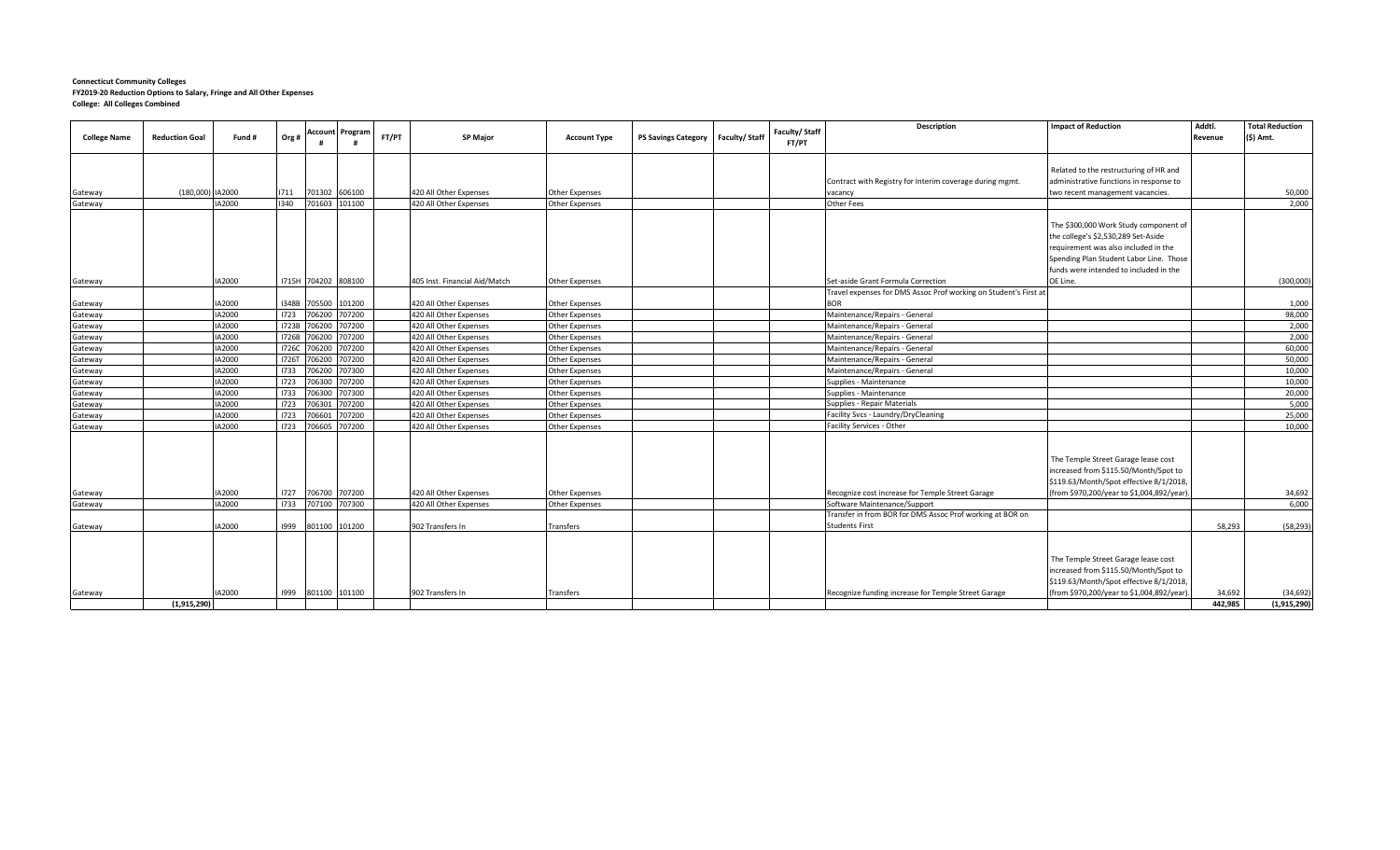|                     |                       |        |              |        | <b>Account Program</b> |       |                               |                       |                            |               | Faculty/ Staff | <b>Description</b>                                               | <b>Impact of Reduction</b>                | Addtl.  | <b>Total Reduction</b> |
|---------------------|-----------------------|--------|--------------|--------|------------------------|-------|-------------------------------|-----------------------|----------------------------|---------------|----------------|------------------------------------------------------------------|-------------------------------------------|---------|------------------------|
| <b>College Name</b> | <b>Reduction Goal</b> | Fund # | Org#         |        |                        | FT/PT | <b>SP Major</b>               | <b>Account Type</b>   | <b>PS Savings Category</b> | Faculty/Staff | <b>FT/PT</b>   |                                                                  |                                           | Revenue | (\$) Amt.              |
|                     |                       |        |              |        |                        |       |                               |                       |                            |               |                |                                                                  |                                           |         |                        |
|                     |                       |        |              |        |                        |       |                               |                       |                            |               |                |                                                                  | Related to the restructuring of HR and    |         |                        |
|                     |                       |        |              |        |                        |       |                               |                       |                            |               |                | Contract with Registry for Interim coverage during mgmt.         | administrative functions in response to   |         |                        |
| Gateway             | (180,000) IA2000      |        | 1711         |        | 701302 606100          |       | 420 All Other Expenses        | <b>Other Expenses</b> |                            |               |                | vacancy                                                          | two recent management vacancies.          |         | 50,000                 |
| Gateway             |                       | IA2000 | 1340         |        | 701603 101100          |       | 420 All Other Expenses        | Other Expenses        |                            |               |                | <b>Other Fees</b>                                                |                                           |         | 2,000                  |
|                     |                       |        |              |        |                        |       |                               |                       |                            |               |                |                                                                  |                                           |         |                        |
|                     |                       |        |              |        |                        |       |                               |                       |                            |               |                |                                                                  | The \$300,000 Work Study component of     |         |                        |
|                     |                       |        |              |        |                        |       |                               |                       |                            |               |                |                                                                  | the college's \$2,530,289 Set-Aside       |         |                        |
|                     |                       |        |              |        |                        |       |                               |                       |                            |               |                |                                                                  | requirement was also included in the      |         |                        |
|                     |                       |        |              |        |                        |       |                               |                       |                            |               |                |                                                                  | Spending Plan Student Labor Line. Those   |         |                        |
|                     |                       |        |              |        |                        |       |                               |                       |                            |               |                |                                                                  | funds were intended to included in the    |         |                        |
| Gateway             |                       | IA2000 |              |        | 1715H 704202 808100    |       | 405 Inst. Financial Aid/Match | <b>Other Expenses</b> |                            |               |                | Set-aside Grant Formula Correction                               | OE Line.                                  |         | (300,000)              |
|                     |                       |        |              |        |                        |       |                               |                       |                            |               |                | Travel expenses for DMS Assoc Prof working on Student's First at |                                           |         |                        |
| Gateway             |                       | IA2000 |              |        | 1348B 705500 101200    |       | 420 All Other Expenses        | Other Expenses        |                            |               |                | <b>BOR</b>                                                       |                                           |         | 1,000                  |
| Gateway             |                       | IA2000 | 1723         | 706200 | 707200                 |       | 420 All Other Expenses        | <b>Other Expenses</b> |                            |               |                | Maintenance/Repairs - General                                    |                                           |         | 98,000                 |
| Gateway             |                       | IA2000 | 1723B        | 706200 | 707200                 |       | 420 All Other Expenses        | Other Expenses        |                            |               |                | Maintenance/Repairs - General                                    |                                           |         | 2,000                  |
| Gateway             |                       | IA2000 | 1726B        | 706200 | 707200                 |       | 420 All Other Expenses        | <b>Other Expenses</b> |                            |               |                | Maintenance/Repairs - General                                    |                                           |         | 2,000                  |
| Gateway             |                       | IA2000 | <b>1726C</b> | 706200 | 707200                 |       | 420 All Other Expenses        | <b>Other Expenses</b> |                            |               |                | Maintenance/Repairs - General                                    |                                           |         | 60,000                 |
| Gateway             |                       | IA2000 | <b>1726T</b> | '06200 | 707200                 |       | 420 All Other Expenses        | <b>Other Expenses</b> |                            |               |                | Maintenance/Repairs - General                                    |                                           |         | 50,000                 |
| Gateway             |                       | IA2000 | 1733         | 706200 | 707300                 |       | 420 All Other Expenses        | <b>Other Expenses</b> |                            |               |                | Maintenance/Repairs - General                                    |                                           |         | 10,000                 |
| Gateway             |                       | IA2000 | 1723         | 706300 | 707200                 |       | 420 All Other Expenses        | <b>Other Expenses</b> |                            |               |                | Supplies - Maintenance                                           |                                           |         | 10,000                 |
| Gateway             |                       | IA2000 | 1733         | 706300 | 707300                 |       | 420 All Other Expenses        | <b>Other Expenses</b> |                            |               |                | Supplies - Maintenance                                           |                                           |         | 20,000                 |
| Gateway             |                       | IA2000 | 1723         | 706301 | 707200                 |       | 420 All Other Expenses        | <b>Other Expenses</b> |                            |               |                | Supplies - Repair Materials                                      |                                           |         | 5,000                  |
| Gateway             |                       | IA2000 | 1723         | '06601 | 707200                 |       | 420 All Other Expenses        | Other Expenses        |                            |               |                | Facility Svcs - Laundry/DryCleaning                              |                                           |         | 25,000                 |
| Gateway             |                       | IA2000 | 1723         | 706605 | 707200                 |       | 420 All Other Expenses        | <b>Other Expenses</b> |                            |               |                | Facility Services - Other                                        |                                           |         | 10,000                 |
|                     |                       |        |              |        |                        |       |                               |                       |                            |               |                |                                                                  |                                           |         |                        |
|                     |                       |        |              |        |                        |       |                               |                       |                            |               |                |                                                                  |                                           |         |                        |
|                     |                       |        |              |        |                        |       |                               |                       |                            |               |                |                                                                  | The Temple Street Garage lease cost       |         |                        |
|                     |                       |        |              |        |                        |       |                               |                       |                            |               |                |                                                                  | increased from \$115.50/Month/Spot to     |         |                        |
|                     |                       |        |              |        |                        |       |                               |                       |                            |               |                |                                                                  | \$119.63/Month/Spot effective 8/1/2018,   |         |                        |
| Gateway             |                       | IA2000 | 1727         |        | 706700 707200          |       | 420 All Other Expenses        | Other Expenses        |                            |               |                | Recognize cost increase for Temple Street Garage                 | (from \$970,200/year to \$1,004,892/year) |         | 34,692                 |
| Gateway             |                       | IA2000 | 1733         | 707100 | 707300                 |       | 420 All Other Expenses        | <b>Other Expenses</b> |                            |               |                | Software Maintenance/Support                                     |                                           |         | 6,000                  |
|                     |                       |        |              |        |                        |       |                               |                       |                            |               |                | Transfer in from BOR for DMS Assoc Prof working at BOR on        |                                           |         |                        |
| Gateway             |                       | IA2000 | 1999         |        | 801100 101200          |       | 902 Transfers In              | Transfers             |                            |               |                | <b>Students First</b>                                            |                                           | 58,293  | (58, 293)              |
|                     |                       |        |              |        |                        |       |                               |                       |                            |               |                |                                                                  |                                           |         |                        |
|                     |                       |        |              |        |                        |       |                               |                       |                            |               |                |                                                                  |                                           |         |                        |
|                     |                       |        |              |        |                        |       |                               |                       |                            |               |                |                                                                  | The Temple Street Garage lease cost       |         |                        |
|                     |                       |        |              |        |                        |       |                               |                       |                            |               |                |                                                                  | increased from \$115.50/Month/Spot to     |         |                        |
|                     |                       |        |              |        |                        |       |                               |                       |                            |               |                |                                                                  | \$119.63/Month/Spot effective 8/1/2018    |         |                        |
| Gateway             |                       | IA2000 | 1999         |        | 801100 101100          |       | 902 Transfers In              | Transfers             |                            |               |                | Recognize funding increase for Temple Street Garage              | (from \$970,200/year to \$1,004,892/year) | 34,692  | (34, 692)              |
|                     | (1,915,290)           |        |              |        |                        |       |                               |                       |                            |               |                |                                                                  |                                           | 442,985 | (1,915,290)            |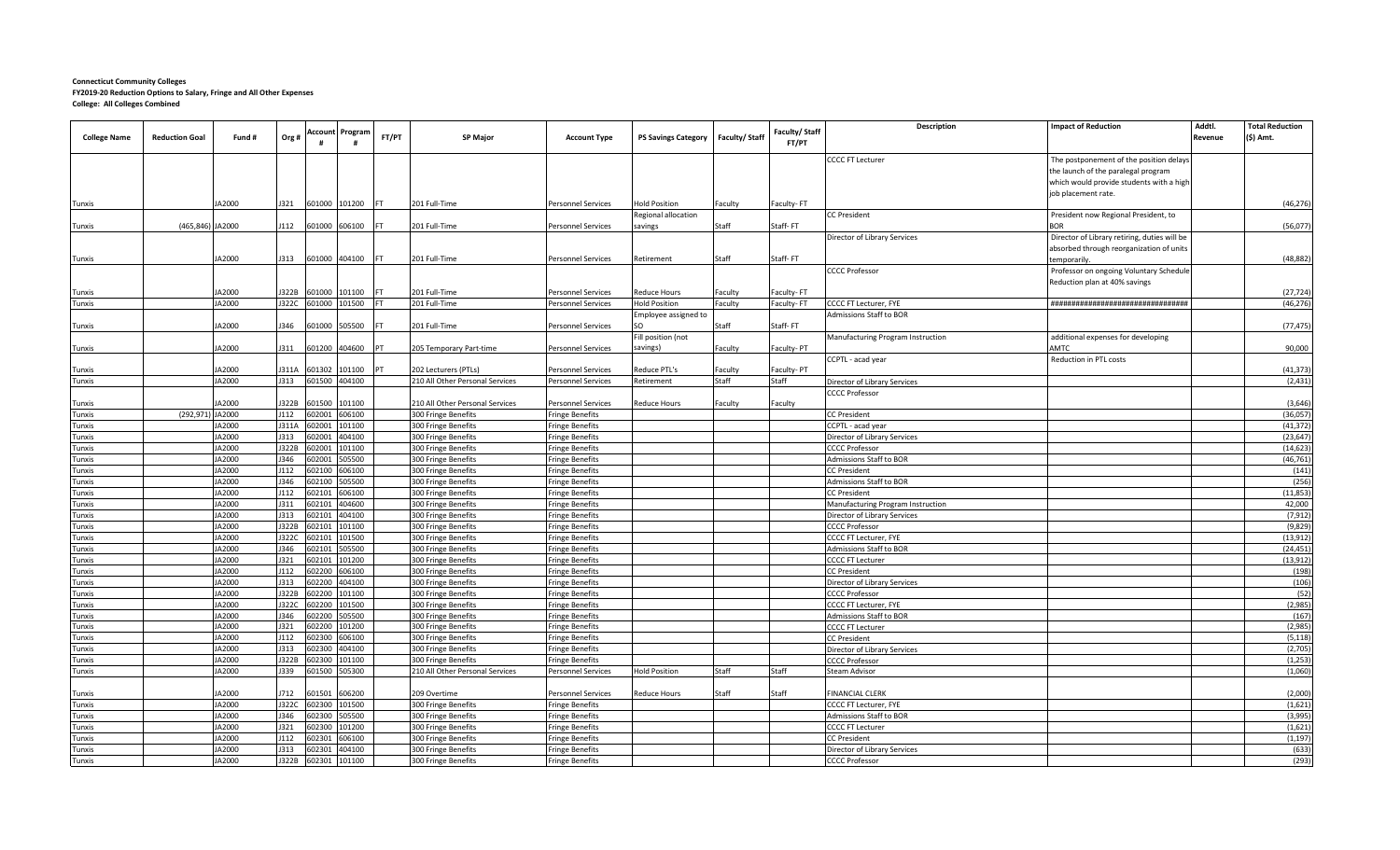|                     |                       |        |             |              |                        |            |                                 |                           |                                      |         |                                | Description                       | <b>Impact of Reduction</b>                   | Addtl.  | <b>Total Reduction</b> |
|---------------------|-----------------------|--------|-------------|--------------|------------------------|------------|---------------------------------|---------------------------|--------------------------------------|---------|--------------------------------|-----------------------------------|----------------------------------------------|---------|------------------------|
| <b>College Name</b> | <b>Reduction Goal</b> | Fund # | Org#        |              | <b>Account Program</b> | FT/PT      | <b>SP Major</b>                 | <b>Account Type</b>       | PS Savings Category   Faculty/ Staff |         | Faculty/ Staff<br><b>FT/PT</b> |                                   |                                              | Revenue | (\$) Amt.              |
|                     |                       |        |             |              |                        |            |                                 |                           |                                      |         |                                |                                   |                                              |         |                        |
|                     |                       |        |             |              |                        |            |                                 |                           |                                      |         |                                | <b>CCCC FT Lecturer</b>           | The postponement of the position delays      |         |                        |
|                     |                       |        |             |              |                        |            |                                 |                           |                                      |         |                                |                                   | the launch of the paralegal program          |         |                        |
|                     |                       |        |             |              |                        |            |                                 |                           |                                      |         |                                |                                   | which would provide students with a high     |         |                        |
|                     |                       |        |             |              |                        |            |                                 |                           |                                      |         |                                |                                   | job placement rate.                          |         |                        |
| Tunxis              |                       | JA2000 | J321        |              | 601000 101200          | <b>IFT</b> | 201 Full-Time                   | <b>Personnel Services</b> | <b>Hold Position</b>                 | Faculty | Faculty-FT                     |                                   |                                              |         | (46, 276)              |
|                     |                       |        |             |              |                        |            |                                 |                           | Regional allocation                  |         |                                | CC President                      | President now Regional President, to         |         |                        |
| Tunxis              | (465,846) JA2000      |        | J112        |              | 601000 606100          |            | 201 Full-Time                   | <b>Personnel Services</b> | savings                              | Staff   | Staff- FT                      |                                   |                                              |         | (56,077)               |
|                     |                       |        |             |              |                        |            |                                 |                           |                                      |         |                                | Director of Library Services      | Director of Library retiring, duties will be |         |                        |
|                     |                       |        |             |              |                        |            |                                 |                           |                                      |         |                                |                                   | absorbed through reorganization of units     |         |                        |
| Tunxis              |                       | JA2000 | J313        |              | 601000 404100          | <b>FT</b>  | 201 Full-Time                   | <b>Personnel Services</b> | Retirement                           | Staff   | Staff-FT                       |                                   | temporarily.                                 |         | (48, 882)              |
|                     |                       |        |             |              |                        |            |                                 |                           |                                      |         |                                | <b>CCCC Professor</b>             | Professor on ongoing Voluntary Schedule      |         |                        |
|                     |                       |        |             |              |                        |            |                                 |                           |                                      |         |                                |                                   | Reduction plan at 40% savings                |         |                        |
| Tunxis              |                       | JA2000 | J322B       |              | 601000 101100          |            | 201 Full-Time                   | <b>Personnel Services</b> | <b>Reduce Hours</b>                  | Faculty | Faculty-FT                     |                                   |                                              |         | (27, 724)              |
| Tunxis              |                       | JA2000 | J322C       | 601000       | 101500                 |            | 201 Full-Time                   | <b>Personnel Services</b> | <b>Hold Position</b>                 | Faculty | Faculty-FT                     | <b>CCCC FT Lecturer, FYE</b>      |                                              |         | (46, 276)              |
|                     |                       |        |             |              |                        |            |                                 |                           | mployee assigned to                  |         |                                | Admissions Staff to BOR           |                                              |         |                        |
| Tunxis              |                       | JA2000 | 1346        |              | 601000 505500          |            | 201 Full-Time                   | <b>Personnel Services</b> |                                      | Staff   | Staff- FT                      |                                   |                                              |         | (77, 475)              |
|                     |                       |        |             |              |                        |            |                                 |                           | ill position (not                    |         |                                | Manufacturing Program Instruction | additional expenses for developing           |         |                        |
| Tunxis              |                       | JA2000 | J311        |              | 601200 404600          |            | 205 Temporary Part-time         | <b>Personnel Services</b> | savings)                             | Faculty | Faculty-PT                     |                                   | <b>AMTC</b>                                  |         | 90,000                 |
|                     |                       |        |             |              |                        |            |                                 |                           |                                      |         |                                | CCPTL - acad year                 | Reduction in PTL costs                       |         |                        |
| Tunxis              |                       | JA2000 |             | J311A 601302 | 101100                 |            | 202 Lecturers (PTLs)            | Personnel Services        | Reduce PTL's                         | Faculty | Faculty-PT                     |                                   |                                              |         | (41, 373)              |
| Tunxis              |                       | JA2000 | J313        |              | 601500 404100          |            | 210 All Other Personal Services | Personnel Services        | Retirement                           | Staff   | Staff                          | Director of Library Services      |                                              |         | (2, 431)               |
|                     |                       |        |             |              |                        |            |                                 |                           |                                      |         |                                | <b>CCCC Professor</b>             |                                              |         |                        |
| unxis               |                       | JA2000 | J322B       | 601500       | 101100                 |            | 210 All Other Personal Services | <b>Personnel Services</b> | <b>Reduce Hours</b>                  | Faculty | Faculty                        |                                   |                                              |         | (3,646)                |
| unxis               | (292,971              | JA2000 | J112        | 602001       | 606100                 |            | 300 Fringe Benefits             | Fringe Benefits           |                                      |         |                                | CC President                      |                                              |         | (36,057)               |
| Tunxis              |                       | JA2000 | J311A       | 602001       | 101100                 |            | 300 Fringe Benefits             | <b>Fringe Benefits</b>    |                                      |         |                                | CCPTL - acad year                 |                                              |         | (41, 372)              |
| Tunxis              |                       | JA2000 | <b>J313</b> | 602001       | 404100                 |            | 300 Fringe Benefits             | <b>Fringe Benefits</b>    |                                      |         |                                | Director of Library Services      |                                              |         | (23, 647)              |
| Tunxis              |                       | JA2000 | J322B       | 602001       | 01100                  |            | 300 Fringe Benefits             | <b>Fringe Benefits</b>    |                                      |         |                                | <b>CCCC Professor</b>             |                                              |         | (14, 623)              |
| unxis               |                       | JA2000 | J346        | 602001       | 05500                  |            | 300 Fringe Benefits             | <b>Fringe Benefits</b>    |                                      |         |                                | Admissions Staff to BOR           |                                              |         | (46, 761)              |
| unxis               |                       | JA2000 | J112        | 602100       | 06100                  |            | 300 Fringe Benefits             | <b>Fringe Benefits</b>    |                                      |         |                                | CC President                      |                                              |         | (141)                  |
| Tunxis              |                       | JA2000 | J346        | 602100       | 05500                  |            | 300 Fringe Benefits             | Fringe Benefits           |                                      |         |                                | Admissions Staff to BOR           |                                              |         | (256)                  |
| Tunxis              |                       | JA2000 | J112        | 602101       | 506100                 |            | 300 Fringe Benefits             | <b>Fringe Benefits</b>    |                                      |         |                                | CC President                      |                                              |         | (11, 853)              |
| Tunxis              |                       | JA2000 | J311        | 602101       | 104600                 |            | 300 Fringe Benefits             | <b>Fringe Benefits</b>    |                                      |         |                                | Manufacturing Program Instruction |                                              |         | 42,000                 |
| unxis               |                       | JA2000 | <b>J313</b> | 602101       | 404100                 |            | 300 Fringe Benefits             | <b>Fringe Benefits</b>    |                                      |         |                                | Director of Library Services      |                                              |         | (7, 912)               |
| unxis               |                       | JA2000 | J322B       | 602101       | 01100                  |            | 300 Fringe Benefits             | <b>Fringe Benefits</b>    |                                      |         |                                | <b>CCCC Professor</b>             |                                              |         | (9,829)                |
| unxis               |                       | JA2000 | J322C       | 602101       | 01500                  |            | 300 Fringe Benefits             | <b>Fringe Benefits</b>    |                                      |         |                                | CCCC FT Lecturer, FYE             |                                              |         | (13, 912)              |
| unxis               |                       | JA2000 | J346        | 602101       | 05500                  |            | 300 Fringe Benefits             | Fringe Benefits           |                                      |         |                                | <b>Admissions Staff to BOR</b>    |                                              |         | (24, 451)              |
| Tunxis              |                       | JA2000 | J321        | 602101       | 01200                  |            | 300 Fringe Benefits             | <b>Fringe Benefits</b>    |                                      |         |                                | <b>CCCC FT Lecturer</b>           |                                              |         | (13, 912)              |
| Tunxis              |                       | JA2000 | J112        | 602200       | 606100                 |            | 300 Fringe Benefits             | Fringe Benefits           |                                      |         |                                | CC President                      |                                              |         | (198)                  |
| Tunxis              |                       | JA2000 | J313        | 602200       | 104100                 |            | 300 Fringe Benefits             | <b>Fringe Benefits</b>    |                                      |         |                                | Director of Library Services      |                                              |         | (106)                  |
| unxis               |                       | JA2000 | J322B       | 602200       | 01100                  |            | 300 Fringe Benefits             | <b>Fringe Benefits</b>    |                                      |         |                                | <b>CCCC Professor</b>             |                                              |         | (52)                   |
| unxis               |                       | JA2000 | J322C       | 602200       | 01500                  |            | 300 Fringe Benefits             | <b>Fringe Benefits</b>    |                                      |         |                                | CCCC FT Lecturer, FYE             |                                              |         | (2,985)                |
| unxis               |                       | JA2000 | J346        | 602200       | 05500                  |            | 300 Fringe Benefits             | Fringe Benefits           |                                      |         |                                | <b>Admissions Staff to BOR</b>    |                                              |         | (167)                  |
| unxis               |                       | JA2000 | J321        | 602200       | 01200                  |            | 300 Fringe Benefits             | <b>Fringe Benefits</b>    |                                      |         |                                | <b>CCCC FT Lecturer</b>           |                                              |         | (2,985)                |
| Tunxis              |                       | JA2000 | J112        | 602300       | 606100                 |            | 300 Fringe Benefits             | <b>Fringe Benefits</b>    |                                      |         |                                | CC President                      |                                              |         | (5, 118)               |
| Tunxis              |                       | JA2000 | <b>J313</b> | 602300       | 104100                 |            | 300 Fringe Benefits             | <b>Fringe Benefits</b>    |                                      |         |                                | Director of Library Services      |                                              |         | (2,705)                |
| Tunxis              |                       | JA2000 | J322B       | 602300       | 01100                  |            | 300 Fringe Benefits             | <b>Fringe Benefits</b>    |                                      |         |                                | <b>CCCC Professor</b>             |                                              |         | (1, 253)               |
| Tunxis              |                       | JA2000 | J339        | 601500       | 505300                 |            | 210 All Other Personal Services | Personnel Services        | <b>Hold Position</b>                 | Staff   | Staff                          | Steam Advisor                     |                                              |         | (1,060)                |
|                     |                       |        |             |              |                        |            |                                 |                           |                                      |         |                                |                                   |                                              |         |                        |
| Tunxis              |                       | JA2000 | 1712        | 601501       | 606200                 |            | 209 Overtime                    | <b>Personnel Services</b> | Reduce Hours                         | Staff   | Staff                          | <b>INANCIAL CLERK</b>             |                                              |         | (2,000)                |
| Tunxis              |                       | JA2000 | J322C       | 602300       | 101500                 |            | 300 Fringe Benefits             | <b>Fringe Benefits</b>    |                                      |         |                                | <b>CCCC FT Lecturer, FYE</b>      |                                              |         | (1,621)                |
| Tunxis              |                       | JA2000 | J346        | 602300       | 505500                 |            | 300 Fringe Benefits             | <b>Fringe Benefits</b>    |                                      |         |                                | Admissions Staff to BOR           |                                              |         | (3,995)                |
| Tunxis              |                       | JA2000 | J321        | 602300       | 101200                 |            | 300 Fringe Benefits             | <b>Fringe Benefits</b>    |                                      |         |                                | <b>CCCC FT Lecturer</b>           |                                              |         | (1,621)                |
| unxis               |                       | JA2000 | J112        | 602301       | 06100                  |            | 300 Fringe Benefits             | <b>Fringe Benefits</b>    |                                      |         |                                | CC President                      |                                              |         | (1, 197)               |
| Tunxis              |                       | JA2000 | <b>J313</b> | 602301       | 104100                 |            | 300 Fringe Benefits             | <b>Fringe Benefits</b>    |                                      |         |                                | Director of Library Services      |                                              |         | (633)                  |
| Tunxis              |                       | JA2000 | J322B       | 602301       | 101100                 |            | 300 Fringe Benefits             | <b>Fringe Benefits</b>    |                                      |         |                                | <b>CCCC Professor</b>             |                                              |         | (293)                  |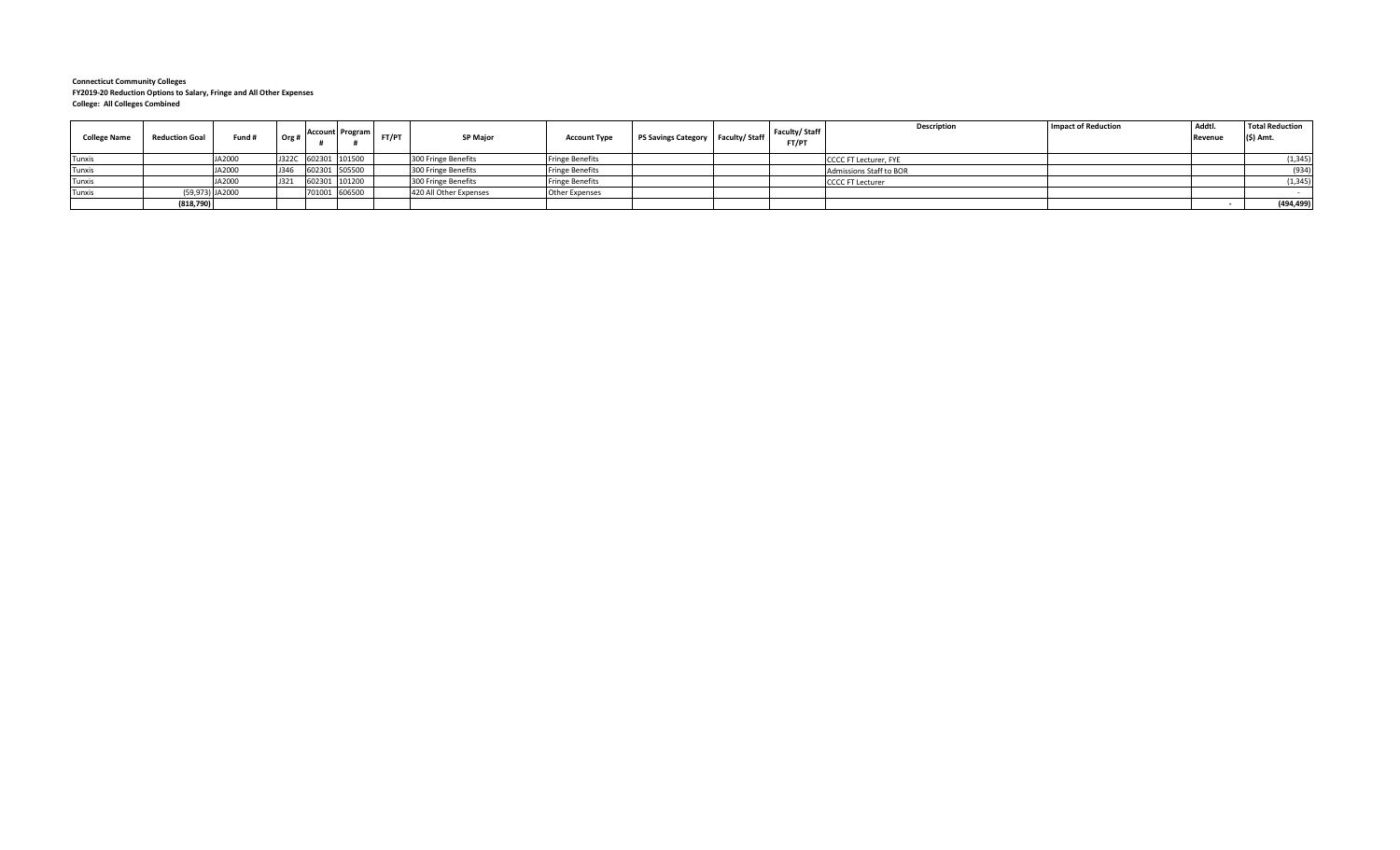| <b>College Name</b> | <b>Reduction Goal</b> | Fund # | Org# | Account Program     | FT/PT | SP Major               | <b>Account Type</b>    | PS Savings Category Faculty/ Staff | <b>Faculty/Staff</b><br>FT/PT | <b>Description</b>           | Impact of Reduction | Addtl.<br>Revenue | <b>Total Reduction</b><br>(\$) Amt. |
|---------------------|-----------------------|--------|------|---------------------|-------|------------------------|------------------------|------------------------------------|-------------------------------|------------------------------|---------------------|-------------------|-------------------------------------|
| Tunxis              |                       | JA2000 |      | J322C 602301 101500 |       | 300 Fringe Benefits    | <b>Fringe Benefits</b> |                                    |                               | <b>CCCC FT Lecturer, FYE</b> |                     |                   | (1, 345)                            |
| Tunxis              |                       | JA2000 |      | 602301 505500       |       | 300 Fringe Benefits    | <b>Fringe Benefits</b> |                                    |                               | Admissions Staff to BOR      |                     |                   | (934)                               |
| Tunxis              |                       | JA2000 |      | 602301 101200       |       | 300 Fringe Benefits    | <b>Fringe Benefits</b> |                                    |                               | <b>CCCC FT Lecturer</b>      |                     |                   | (1, 345)                            |
| Tunxis              | (59,973) JA2000       |        |      | 701001 606500       |       | 420 All Other Expenses | Other Expenses         |                                    |                               |                              |                     |                   |                                     |
|                     | (818,790)             |        |      |                     |       |                        |                        |                                    |                               |                              |                     |                   | (494, 499)                          |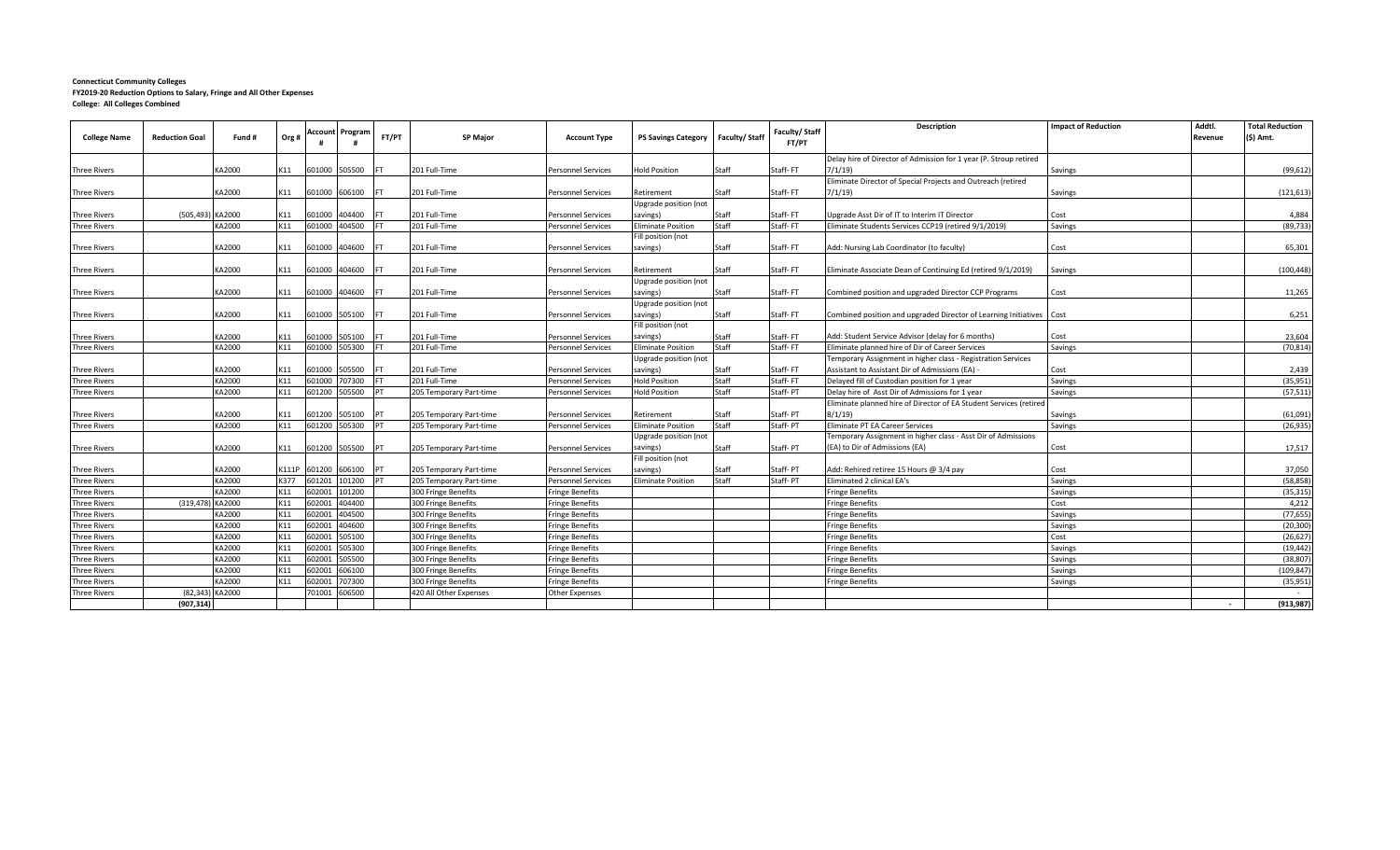|                     |                       |        |       |        |                        |           |                         |                           |                                   |               | Faculty/ Staff | <b>Description</b>                                                     | <b>Impact of Reduction</b> | Addtl.  | <b>Total Reduction</b> |
|---------------------|-----------------------|--------|-------|--------|------------------------|-----------|-------------------------|---------------------------|-----------------------------------|---------------|----------------|------------------------------------------------------------------------|----------------------------|---------|------------------------|
| <b>College Name</b> | <b>Reduction Goal</b> | Fund # | Org#  |        | <b>Account Program</b> | FT/PT     | <b>SP Major</b>         | <b>Account Type</b>       | <b>PS Savings Category</b>        | Faculty/Staff | <b>FT/PT</b>   |                                                                        |                            | Revenue | (\$) Amt.              |
|                     |                       |        |       |        |                        |           |                         |                           |                                   |               |                |                                                                        |                            |         |                        |
|                     |                       |        |       |        |                        |           |                         |                           |                                   |               |                | Delay hire of Director of Admission for 1 year (P. Stroup retired      |                            |         |                        |
| <b>Three Rivers</b> |                       | KA2000 | K11   | 601000 | 505500                 |           | 201 Full-Time           | <b>Personnel Services</b> | <b>Hold Position</b>              | Staff         | Staff-FT       | 7/1/19                                                                 | Savings                    |         | (99, 612)              |
|                     |                       |        |       |        |                        |           |                         |                           |                                   |               |                | Eliminate Director of Special Projects and Outreach (retired           |                            |         |                        |
| <b>Three Rivers</b> |                       | KA2000 | K11   | 601000 | 606100                 |           | 201 Full-Time           | <b>Personnel Services</b> | Retirement                        | Staff         | Staff-FT       | 7/1/19)                                                                | Savings                    |         | (121, 613)             |
|                     |                       |        |       |        |                        |           |                         |                           | Upgrade position (not             |               |                |                                                                        |                            |         |                        |
| Three Rivers        | (505,493) KA2000      |        | K11   | 601000 | 404400                 |           | 201 Full-Time           | Personnel Services        | savings)                          | Staff         | Staff-FT       | Jpgrade Asst Dir of IT to Interim IT Director                          | Cost                       |         | 4,884                  |
| <b>Three Rivers</b> |                       | KA2000 | K11   | 601000 | 404500                 |           | 201 Full-Time           | <b>Personnel Services</b> | <b>Eliminate Position</b>         | Staff         | Staff-FT       | Eliminate Students Services CCP19 (retired 9/1/2019)                   | Savings                    |         | (89, 733)              |
|                     |                       |        |       |        |                        |           |                         |                           | Fill position (not                |               |                |                                                                        |                            |         |                        |
| <b>Three Rivers</b> |                       | KA2000 | K11   |        | 601000 404600          |           | 201 Full-Time           | <b>Personnel Services</b> | savings)                          | Staff         | Staff-FT       | Add: Nursing Lab Coordinator (to faculty)                              | Cost                       |         | 65,301                 |
|                     |                       |        |       |        |                        |           |                         |                           |                                   |               |                |                                                                        |                            |         |                        |
| <b>Three Rivers</b> |                       | KA2000 | K11   | 601000 | 404600                 |           | 201 Full-Time           | <b>Personnel Services</b> | Retirement                        | Staff         | Staff-FT       | Eliminate Associate Dean of Continuing Ed (retired 9/1/2019)           | Savings                    |         | (100, 448)             |
|                     |                       |        |       | 601000 |                        |           |                         |                           | Upgrade position (not             | Staff         |                |                                                                        |                            |         |                        |
| Three Rivers        |                       | KA2000 | K11   |        | 404600                 |           | 201 Full-Time           | <b>Personnel Services</b> | savings)<br>Upgrade position (not |               | Staff-FT       | Combined position and upgraded Director CCP Programs                   | Cost                       |         | 11,265                 |
|                     |                       |        |       |        |                        |           | 201 Full-Time           |                           | savings)                          | Staff         | Staff-FT       |                                                                        |                            |         | 6,251                  |
| <b>Three Rivers</b> |                       | KA2000 | K11   | 601000 | 505100                 |           |                         | <b>Personnel Services</b> | Fill position (not                |               |                | Combined position and upgraded Director of Learning Initiatives   Cost |                            |         |                        |
|                     |                       | KA2000 | K11   |        | 601000 505100          |           | 201 Full-Time           | <b>Personnel Services</b> | savings)                          | Staff         | Staff-FT       | Add: Student Service Advisor (delay for 6 months)                      | Cost                       |         | 23,604                 |
| <b>Three Rivers</b> |                       | KA2000 | K11   | 601000 | 505300                 |           | 201 Full-Time           |                           | <b>Eliminate Position</b>         | Staff         | Staff-FT       | Eliminate planned hire of Dir of Career Services                       | Savings                    |         | (70, 814)              |
| <b>Three Rivers</b> |                       |        |       |        |                        |           |                         | <b>Personnel Services</b> | Upgrade position (not             |               |                | Temporary Assignment in higher class - Registration Services           |                            |         |                        |
| <b>Three Rivers</b> |                       | KA2000 | K11   | 601000 | 505500                 |           | 201 Full-Time           | <b>Personnel Services</b> | savings)                          | Staff         | Staff-FT       | Assistant to Assistant Dir of Admissions (EA) -                        | Cost                       |         | 2,439                  |
| <b>Three Rivers</b> |                       | KA2000 | K11   | 601000 | 707300                 |           | 201 Full-Time           | <b>Personnel Services</b> | <b>Hold Position</b>              | Staff         | Staff-FT       | Delayed fill of Custodian position for 1 year                          | Savings                    |         | (35, 951)              |
|                     |                       | KA2000 | K11   | 601200 | 505500                 |           |                         |                           | <b>Hold Position</b>              | Staff         | Staff-PT       | Delay hire of Asst Dir of Admissions for 1 year                        | Savings                    |         | (57, 511)              |
| <b>Three Rivers</b> |                       |        |       |        |                        |           | 205 Temporary Part-time | Personnel Services        |                                   |               |                | Eliminate planned hire of Director of EA Student Services (retired     |                            |         |                        |
| <b>Three Rivers</b> |                       | KA2000 | K11   | 601200 | 505100                 |           | 205 Temporary Part-time | <b>Personnel Services</b> | Retirement                        | Staff         | Staff-PT       | 8/1/19                                                                 | Savings                    |         | (61,091)               |
| <b>Three Rivers</b> |                       | KA2000 | K11   |        | 601200 505300          | <b>PT</b> | 205 Temporary Part-time | <b>Personnel Services</b> | <b>Eliminate Position</b>         | Staff         | Staff-PT       | Eliminate PT EA Career Services                                        | Savings                    |         | (26, 935)              |
|                     |                       |        |       |        |                        |           |                         |                           | Upgrade position (not             |               |                | Temporary Assignment in higher class - Asst Dir of Admissions          |                            |         |                        |
| Three Rivers        |                       | KA2000 | K11   |        | 601200 505500          |           | 205 Temporary Part-time | <b>Personnel Services</b> | savings)                          | Staff         | Staff-PT       | (EA) to Dir of Admissions (EA)                                         | Cost                       |         | 17,517                 |
|                     |                       |        |       |        |                        |           |                         |                           | Fill position (not                |               |                |                                                                        |                            |         |                        |
| Three Rivers        |                       | KA2000 | K111P | 601200 | 606100                 |           | 205 Temporary Part-time | <b>Personnel Services</b> | savings)                          | Staff         | Staff-PT       | Add: Rehired retiree 15 Hours @ 3/4 pay                                | Cost                       |         | 37,050                 |
| Three Rivers        |                       | KA2000 | K377  | 601201 | 101200 PT              |           | 205 Temporary Part-time | <b>Personnel Services</b> | <b>Eliminate Position</b>         | Staff         | Staff-PT       | Eliminated 2 clinical EA's                                             | Savings                    |         | (58, 858)              |
| <b>Three Rivers</b> |                       | KA2000 | K11   | 602001 | 101200                 |           | 300 Fringe Benefits     | <b>Fringe Benefits</b>    |                                   |               |                | <b>Fringe Benefits</b>                                                 | Savings                    |         | (35, 315)              |
| <b>Three Rivers</b> | (319.478)             | KA2000 | K11   | 602001 | 404400                 |           | 300 Fringe Benefits     | <b>Fringe Benefits</b>    |                                   |               |                | Fringe Benefits                                                        | Cost                       |         | 4,212                  |
| Three Rivers        |                       | KA2000 | K11   | 602001 | 404500                 |           | 300 Fringe Benefits     | <b>Fringe Benefits</b>    |                                   |               |                | Fringe Benefits                                                        | Savings                    |         | (77, 655)              |
| <b>Three Rivers</b> |                       | KA2000 | K11   | 602001 | 404600                 |           | 300 Fringe Benefits     | <b>Fringe Benefits</b>    |                                   |               |                | Fringe Benefits                                                        | Savings                    |         | (20, 300)              |
| Three Rivers        |                       | KA2000 | K11   | 602001 | 505100                 |           | 300 Fringe Benefits     | <b>Fringe Benefits</b>    |                                   |               |                | Fringe Benefits                                                        | Cost                       |         | (26, 627)              |
| <b>Three Rivers</b> |                       | KA2000 | K11   | 602001 | 505300                 |           | 300 Fringe Benefits     | <b>Fringe Benefits</b>    |                                   |               |                | Fringe Benefits                                                        | Savings                    |         | (19, 442)              |
| <b>Three Rivers</b> |                       | KA2000 | K11   | 602001 | 505500                 |           | 300 Fringe Benefits     | <b>Fringe Benefits</b>    |                                   |               |                | <b>Fringe Benefits</b>                                                 | Savings                    |         | (38, 807)              |
| Three Rivers        |                       | KA2000 | K11   | 502001 | 06100                  |           | 300 Fringe Benefits     | <b>Fringe Benefits</b>    |                                   |               |                | Fringe Benefits                                                        | Savings                    |         | (109, 847)             |
| Three Rivers        |                       | KA2000 | K11   | 602001 | 707300                 |           | 300 Fringe Benefits     | <b>Fringe Benefits</b>    |                                   |               |                | Fringe Benefits                                                        | Savings                    |         | (35, 951)              |
| Three Rivers        | (82,343) KA2000       |        |       | 701001 | 606500                 |           | 420 All Other Expenses  | Other Expenses            |                                   |               |                |                                                                        |                            |         |                        |
|                     | (907, 314)            |        |       |        |                        |           |                         |                           |                                   |               |                |                                                                        |                            |         | (913, 987)             |
|                     |                       |        |       |        |                        |           |                         |                           |                                   |               |                |                                                                        |                            |         |                        |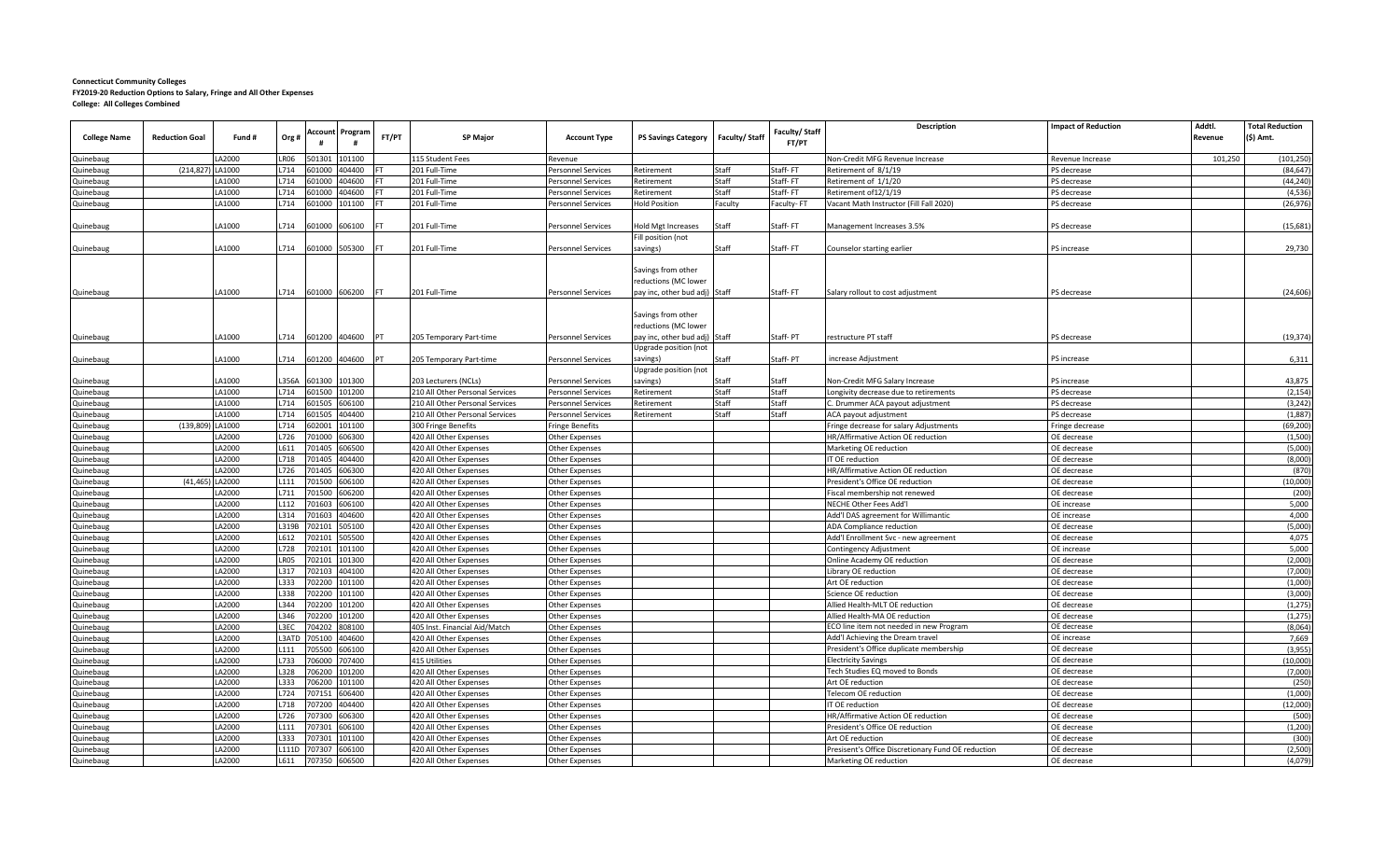| Account<br>Org#<br>FT/PT<br>(\$) Amt.<br><b>College Name</b><br><b>Reduction Goal</b><br>Fund #<br><b>SP Maior</b><br><b>Account Type</b><br><b>PS Savings Category</b><br><b>Faculty/Staff</b><br>Revenue<br>#<br><b>FT/PT</b><br>Quinebaug<br>LA2000<br>501301<br>01100<br><b>Non-Credit MFG Revenue Increase</b><br>101,250<br>R06.<br>115 Student Fees<br>Revenue Increase<br>Revenue<br>Quinebaug<br>(214, 827)<br>) LA1000<br>L714<br>601000<br>404400<br>201 Full-Time<br>Staff<br>Staff-FT<br>Retirement of 8/1/19<br>PS decrease<br>Personnel Services<br>Retirement<br>404600<br>Staff-FT<br>Retirement of 1/1/20<br>PS decrease<br>LA1000<br>L714<br>601000<br>201 Full-Time<br>Retirement<br>Staff<br>Quinebaug<br>Personnel Services<br>714<br>Staff<br>Staff-FT<br>Quinebaug<br>LA1000<br>601000<br>404600<br>201 Full-Time<br>Retirement of12/1/19<br>PS decrease<br>Personnel Services<br><b>Retirement</b><br>LA1000<br>L714<br>601000<br>101100<br>Vacant Math Instructor (Fill Fall 2020)<br>Quinebaug<br>201 Full-Time<br>Personnel Services<br><b>Hold Position</b><br>Faculty<br>Faculty-FT<br>PS decrease<br>714<br>LA1000<br>601000<br>506100<br>201 Full-Time<br>Personnel Services<br><b>Hold Mgt Increases</b><br>Staff<br>Staff- FT<br>Management Increases 3.5%<br>PS decrease<br>Quinebaug<br>Fill position (not<br>LA1000<br>savings)<br>Staff-FT<br>PS increase<br>L714<br>601000<br>505300<br>201 Full-Time<br>Staff<br>Counselor starting earlier<br><b>IFT</b><br><b>Personnel Services</b><br>Quinebaug<br>Savings from other<br>reductions (MC lower<br>pay inc, other bud adj) Staff<br>LA1000<br>L714<br>601000 606200<br>201 Full-Time<br>Personnel Services<br>Staff-FT<br>Salary rollout to cost adjustment<br>PS decrease<br>Quinebaug<br><b>IFT</b><br>Savings from other<br>reductions (MC lower<br>LA1000<br>pay inc, other bud adj) Staff<br>Staff- PT<br>estructure PT staff<br>.714<br>601200 404600<br>205 Temporary Part-time<br>Personnel Services<br>PS decrease<br>Quinebaug<br>I PT<br>Upgrade position (not<br>LA1000<br>601200<br>404600<br>Staff-PT<br>.714<br>Personnel Services<br>Staff<br>Quinebaug<br>205 Temporary Part-time<br>savings)<br>increase Adjustment<br>PS increase<br>Upgrade position (not<br>601300<br>101300<br>Quinebaug<br>LA1000<br>356A<br>203 Lecturers (NCLs)<br>Personnel Services<br>savings)<br>Staff<br>Staff<br><b>Non-Credit MFG Salary Increase</b><br>PS increase<br>Staff<br>Quinebaug<br>LA1000<br>L714<br>601500<br>101200<br>210 All Other Personal Services<br>Staff<br>PS decrease<br>Personnel Services<br>Retirement<br>ongivity decrease due to retirements<br>Staff<br>LA1000<br>L714<br>601505<br>606100<br>210 All Other Personal Services<br>Retirement<br>Staff<br>PS decrease<br>Quinebaug<br><b>Personnel Services</b><br>C. Drummer ACA payout adjustment<br>LA1000<br>L714<br>601505<br>404400<br>210 All Other Personal Services<br>Staff<br>Staff<br>Quinebaug<br>Personnel Services<br>Retirement<br>ACA payout adjustment<br>PS decrease<br>LA1000<br>L714<br>Quinebaug<br>(139, 809)<br>602001<br>01100<br>300 Fringe Benefits<br>Fringe decrease for salary Adjustments<br>Fringe decrease<br><b>Fringe Benefits</b><br>LA2000<br>1726<br>'01000<br>606300<br>420 All Other Expenses<br>Quinebaug<br>Other Expenses<br>HR/Affirmative Action OE reduction<br>OE decrease<br>Quinebaug<br>LA2000<br>1611<br>01405<br>06500<br>Marketing OE reduction<br>OE decrease<br>420 All Other Expenses<br>Other Expenses<br>404400<br>LA2000<br>L718<br>01405<br>420 All Other Expenses<br>Quinebaug<br><b>Other Expenses</b><br>T OE reduction<br>OE decrease<br>Quinebaug<br>LA2000<br>726<br>06300<br>01405<br>420 All Other Expenses<br>HR/Affirmative Action OE reduction<br>OE decrease<br>Other Expenses<br>(41,465) LA2000<br>L111<br>701500<br>06100<br>420 All Other Expenses<br>President's Office OE reduction<br>OE decrease<br>Quinebaug<br>Other Expenses<br>LA2000<br>L711<br>01500<br>606200<br>420 All Other Expenses<br>iscal membership not renewed<br>OE decrease<br>Quinebaug<br>Other Expenses<br>Quinebaug<br>LA2000<br>L112<br>701603<br>606100<br>420 All Other Expenses<br>OE increase<br>Other Expenses<br>NECHE Other Fees Add'l<br>LA2000<br>L314<br>01603<br>104600<br>420 All Other Expenses<br>Quinebaug<br>Other Expenses<br>Add'l DAS agreement for Willimantic<br>OE increase<br>LA2000<br>319B<br>02101<br>05100<br>Quinebaug<br>420 All Other Expenses<br>ADA Compliance reduction<br>OE decrease<br>Other Expenses<br>LA2000<br>L612<br>702101<br>05500<br>Quinebaug<br>420 All Other Expenses<br><b>Other Expenses</b><br>Add'l Enrollment Svc - new agreement<br>OE decrease<br>Quinebaug<br>LA2000<br>728<br>01100<br>02101<br>420 All Other Expenses<br>Contingency Adjustment<br>OE increase<br>Other Expenses<br>LA2000<br>LR05<br>702101<br>01300<br>420 All Other Expenses<br>Quinebaug<br>Other Expenses<br>Online Academy OE reduction<br>OE decrease<br>LA2000<br><b>317</b><br>02103<br>404100<br>420 All Other Expenses<br>ibrary OE reduction<br>OE decrease<br>Other Expenses<br>Quinebaug<br>Quinebaug<br>LA2000<br>L333<br>702200<br>01100<br>420 All Other Expenses<br>Other Expenses<br>Art OE reduction<br>OE decrease<br>LA2000<br>338<br>02200<br>01100<br>cience OE reduction<br>OE decrease<br>420 All Other Expenses<br>Quinebaug<br>Other Expenses<br>LA2000<br>344<br>02200<br>01200<br>Quinebaug<br>420 All Other Expenses<br>Allied Health-MLT OE reduction<br>OE decrease<br>Other Expenses<br>LA2000<br>L346<br>702200<br>01200<br>Quinebaug<br>420 All Other Expenses<br><b>Other Expenses</b><br>Allied Health-MA OE reduction<br>OE decrease<br>L3EC<br>Quinebaug<br>LA2000<br>'04202<br>08100<br>405 Inst. Financial Aid/Match<br>ECO line item not needed in new Program<br>OE decrease<br><b>Other Expenses</b><br>LA2000<br>L3ATD<br>705100<br>04600<br>420 All Other Expenses<br>Quinebaug<br><b>Other Expenses</b><br>Add'l Achieving the Dream travel<br>OE increase<br>LA2000<br>111<br>05500<br>606100<br>420 All Other Expenses<br>resident's Office duplicate membership<br>OE decrease<br>Other Expenses<br>Quinebaug<br>Quinebaug<br>LA2000<br>L733<br>706000<br>07400<br>415 Utilities<br>Other Expenses<br><b>Electricity Savings</b><br>OE decrease<br>LA2000<br>328<br>'06200<br>01200<br>ech Studies EQ moved to Bonds<br>OE decrease<br>420 All Other Expenses<br>Quinebaug<br>Other Expenses<br>LA2000<br>L333<br>Quinebaug<br>706200<br>01100<br>420 All Other Expenses<br>Other Expenses<br>Art OE reduction<br>OE decrease<br>LA2000<br>L724<br>707151<br>06400<br>420 All Other Expenses<br><b>Felecom OE reduction</b><br>OE decrease<br>Quinebaug<br>Other Expenses<br>L718<br>Quinebaug<br>LA2000<br>07200<br>404400<br>420 All Other Expenses<br>Other Expenses<br>T OE reduction<br>OE decrease<br>LA2000<br>L726<br>707300<br>06300<br>Quinebaug<br>420 All Other Expenses<br><b>Other Expenses</b><br>HR/Affirmative Action OE reduction<br>OE decrease<br>LA2000<br>606100<br>resident's Office OE reduction<br>OE decrease<br>L111<br>07301<br>420 All Other Expenses<br>Quinebaug<br>Other Expenses<br>Quinebaug<br>LA2000<br>L333<br>07301<br>01100<br>420 All Other Expenses<br>Other Expenses<br>Art OE reduction<br>OE decrease |           |  |      |       |         |                        |                       |  |                      | Description                                                    | <b>Impact of Reduction</b> | Addtl. | <b>Total Reduction</b> |                    |
|-----------------------------------------------------------------------------------------------------------------------------------------------------------------------------------------------------------------------------------------------------------------------------------------------------------------------------------------------------------------------------------------------------------------------------------------------------------------------------------------------------------------------------------------------------------------------------------------------------------------------------------------------------------------------------------------------------------------------------------------------------------------------------------------------------------------------------------------------------------------------------------------------------------------------------------------------------------------------------------------------------------------------------------------------------------------------------------------------------------------------------------------------------------------------------------------------------------------------------------------------------------------------------------------------------------------------------------------------------------------------------------------------------------------------------------------------------------------------------------------------------------------------------------------------------------------------------------------------------------------------------------------------------------------------------------------------------------------------------------------------------------------------------------------------------------------------------------------------------------------------------------------------------------------------------------------------------------------------------------------------------------------------------------------------------------------------------------------------------------------------------------------------------------------------------------------------------------------------------------------------------------------------------------------------------------------------------------------------------------------------------------------------------------------------------------------------------------------------------------------------------------------------------------------------------------------------------------------------------------------------------------------------------------------------------------------------------------------------------------------------------------------------------------------------------------------------------------------------------------------------------------------------------------------------------------------------------------------------------------------------------------------------------------------------------------------------------------------------------------------------------------------------------------------------------------------------------------------------------------------------------------------------------------------------------------------------------------------------------------------------------------------------------------------------------------------------------------------------------------------------------------------------------------------------------------------------------------------------------------------------------------------------------------------------------------------------------------------------------------------------------------------------------------------------------------------------------------------------------------------------------------------------------------------------------------------------------------------------------------------------------------------------------------------------------------------------------------------------------------------------------------------------------------------------------------------------------------------------------------------------------------------------------------------------------------------------------------------------------------------------------------------------------------------------------------------------------------------------------------------------------------------------------------------------------------------------------------------------------------------------------------------------------------------------------------------------------------------------------------------------------------------------------------------------------------------------------------------------------------------------------------------------------------------------------------------------------------------------------------------------------------------------------------------------------------------------------------------------------------------------------------------------------------------------------------------------------------------------------------------------------------------------------------------------------------------------------------------------------------------------------------------------------------------------------------------------------------------------------------------------------------------------------------------------------------------------------------------------------------------------------------------------------------------------------------------------------------------------------------------------------------------------------------------------------------------------------------------------------------------------------------------------------------------------------------------------------------------------------------------------------------------------------------------------------------------------------------------------------------------------------------------------------------------------------------------------------------------------------------------------------------------------------------------------------------------------------------------------------------------------------------------------------------------------------------------------------------------------------------------------------------------------------------------------------------------------------------------------------------------------------------------------------------------------------------------------------------------------------------------------------------------------------------------------------------------------------------------------------------------------------------------------------------------------------------------------------------------------------------------------------------------------------------------------------------------------------------------------------------------------------------------------------------------------------------------------------------------------------------------------------------------------------------------------------------------------------------------------------------|-----------|--|------|-------|---------|------------------------|-----------------------|--|----------------------|----------------------------------------------------------------|----------------------------|--------|------------------------|--------------------|
|                                                                                                                                                                                                                                                                                                                                                                                                                                                                                                                                                                                                                                                                                                                                                                                                                                                                                                                                                                                                                                                                                                                                                                                                                                                                                                                                                                                                                                                                                                                                                                                                                                                                                                                                                                                                                                                                                                                                                                                                                                                                                                                                                                                                                                                                                                                                                                                                                                                                                                                                                                                                                                                                                                                                                                                                                                                                                                                                                                                                                                                                                                                                                                                                                                                                                                                                                                                                                                                                                                                                                                                                                                                                                                                                                                                                                                                                                                                                                                                                                                                                                                                                                                                                                                                                                                                                                                                                                                                                                                                                                                                                                                                                                                                                                                                                                                                                                                                                                                                                                                                                                                                                                                                                                                                                                                                                                                                                                                                                                                                                                                                                                                                                                                                                                                                                                                                                                                                                                                                                                                                                                                                                                                                                                                                                                                                                                                                                                                                                                                                                                                                                                                                                                                                                                                                                                                                                                                                                                                                                                                                                                                                                                                                                                                                                                                                                                           |           |  |      |       | Program |                        |                       |  | <b>Faculty/Staff</b> |                                                                |                            |        |                        |                    |
|                                                                                                                                                                                                                                                                                                                                                                                                                                                                                                                                                                                                                                                                                                                                                                                                                                                                                                                                                                                                                                                                                                                                                                                                                                                                                                                                                                                                                                                                                                                                                                                                                                                                                                                                                                                                                                                                                                                                                                                                                                                                                                                                                                                                                                                                                                                                                                                                                                                                                                                                                                                                                                                                                                                                                                                                                                                                                                                                                                                                                                                                                                                                                                                                                                                                                                                                                                                                                                                                                                                                                                                                                                                                                                                                                                                                                                                                                                                                                                                                                                                                                                                                                                                                                                                                                                                                                                                                                                                                                                                                                                                                                                                                                                                                                                                                                                                                                                                                                                                                                                                                                                                                                                                                                                                                                                                                                                                                                                                                                                                                                                                                                                                                                                                                                                                                                                                                                                                                                                                                                                                                                                                                                                                                                                                                                                                                                                                                                                                                                                                                                                                                                                                                                                                                                                                                                                                                                                                                                                                                                                                                                                                                                                                                                                                                                                                                                           |           |  |      |       |         |                        |                       |  |                      |                                                                |                            |        |                        |                    |
|                                                                                                                                                                                                                                                                                                                                                                                                                                                                                                                                                                                                                                                                                                                                                                                                                                                                                                                                                                                                                                                                                                                                                                                                                                                                                                                                                                                                                                                                                                                                                                                                                                                                                                                                                                                                                                                                                                                                                                                                                                                                                                                                                                                                                                                                                                                                                                                                                                                                                                                                                                                                                                                                                                                                                                                                                                                                                                                                                                                                                                                                                                                                                                                                                                                                                                                                                                                                                                                                                                                                                                                                                                                                                                                                                                                                                                                                                                                                                                                                                                                                                                                                                                                                                                                                                                                                                                                                                                                                                                                                                                                                                                                                                                                                                                                                                                                                                                                                                                                                                                                                                                                                                                                                                                                                                                                                                                                                                                                                                                                                                                                                                                                                                                                                                                                                                                                                                                                                                                                                                                                                                                                                                                                                                                                                                                                                                                                                                                                                                                                                                                                                                                                                                                                                                                                                                                                                                                                                                                                                                                                                                                                                                                                                                                                                                                                                                           |           |  |      |       |         |                        |                       |  |                      |                                                                |                            |        |                        | (101, 250)         |
|                                                                                                                                                                                                                                                                                                                                                                                                                                                                                                                                                                                                                                                                                                                                                                                                                                                                                                                                                                                                                                                                                                                                                                                                                                                                                                                                                                                                                                                                                                                                                                                                                                                                                                                                                                                                                                                                                                                                                                                                                                                                                                                                                                                                                                                                                                                                                                                                                                                                                                                                                                                                                                                                                                                                                                                                                                                                                                                                                                                                                                                                                                                                                                                                                                                                                                                                                                                                                                                                                                                                                                                                                                                                                                                                                                                                                                                                                                                                                                                                                                                                                                                                                                                                                                                                                                                                                                                                                                                                                                                                                                                                                                                                                                                                                                                                                                                                                                                                                                                                                                                                                                                                                                                                                                                                                                                                                                                                                                                                                                                                                                                                                                                                                                                                                                                                                                                                                                                                                                                                                                                                                                                                                                                                                                                                                                                                                                                                                                                                                                                                                                                                                                                                                                                                                                                                                                                                                                                                                                                                                                                                                                                                                                                                                                                                                                                                                           |           |  |      |       |         |                        |                       |  |                      |                                                                |                            |        |                        | (84, 647)          |
|                                                                                                                                                                                                                                                                                                                                                                                                                                                                                                                                                                                                                                                                                                                                                                                                                                                                                                                                                                                                                                                                                                                                                                                                                                                                                                                                                                                                                                                                                                                                                                                                                                                                                                                                                                                                                                                                                                                                                                                                                                                                                                                                                                                                                                                                                                                                                                                                                                                                                                                                                                                                                                                                                                                                                                                                                                                                                                                                                                                                                                                                                                                                                                                                                                                                                                                                                                                                                                                                                                                                                                                                                                                                                                                                                                                                                                                                                                                                                                                                                                                                                                                                                                                                                                                                                                                                                                                                                                                                                                                                                                                                                                                                                                                                                                                                                                                                                                                                                                                                                                                                                                                                                                                                                                                                                                                                                                                                                                                                                                                                                                                                                                                                                                                                                                                                                                                                                                                                                                                                                                                                                                                                                                                                                                                                                                                                                                                                                                                                                                                                                                                                                                                                                                                                                                                                                                                                                                                                                                                                                                                                                                                                                                                                                                                                                                                                                           |           |  |      |       |         |                        |                       |  |                      |                                                                |                            |        |                        | (44, 240)          |
|                                                                                                                                                                                                                                                                                                                                                                                                                                                                                                                                                                                                                                                                                                                                                                                                                                                                                                                                                                                                                                                                                                                                                                                                                                                                                                                                                                                                                                                                                                                                                                                                                                                                                                                                                                                                                                                                                                                                                                                                                                                                                                                                                                                                                                                                                                                                                                                                                                                                                                                                                                                                                                                                                                                                                                                                                                                                                                                                                                                                                                                                                                                                                                                                                                                                                                                                                                                                                                                                                                                                                                                                                                                                                                                                                                                                                                                                                                                                                                                                                                                                                                                                                                                                                                                                                                                                                                                                                                                                                                                                                                                                                                                                                                                                                                                                                                                                                                                                                                                                                                                                                                                                                                                                                                                                                                                                                                                                                                                                                                                                                                                                                                                                                                                                                                                                                                                                                                                                                                                                                                                                                                                                                                                                                                                                                                                                                                                                                                                                                                                                                                                                                                                                                                                                                                                                                                                                                                                                                                                                                                                                                                                                                                                                                                                                                                                                                           |           |  |      |       |         |                        |                       |  |                      |                                                                |                            |        |                        | (4,536)            |
|                                                                                                                                                                                                                                                                                                                                                                                                                                                                                                                                                                                                                                                                                                                                                                                                                                                                                                                                                                                                                                                                                                                                                                                                                                                                                                                                                                                                                                                                                                                                                                                                                                                                                                                                                                                                                                                                                                                                                                                                                                                                                                                                                                                                                                                                                                                                                                                                                                                                                                                                                                                                                                                                                                                                                                                                                                                                                                                                                                                                                                                                                                                                                                                                                                                                                                                                                                                                                                                                                                                                                                                                                                                                                                                                                                                                                                                                                                                                                                                                                                                                                                                                                                                                                                                                                                                                                                                                                                                                                                                                                                                                                                                                                                                                                                                                                                                                                                                                                                                                                                                                                                                                                                                                                                                                                                                                                                                                                                                                                                                                                                                                                                                                                                                                                                                                                                                                                                                                                                                                                                                                                                                                                                                                                                                                                                                                                                                                                                                                                                                                                                                                                                                                                                                                                                                                                                                                                                                                                                                                                                                                                                                                                                                                                                                                                                                                                           |           |  |      |       |         |                        |                       |  |                      |                                                                |                            |        |                        | (26, 976)          |
|                                                                                                                                                                                                                                                                                                                                                                                                                                                                                                                                                                                                                                                                                                                                                                                                                                                                                                                                                                                                                                                                                                                                                                                                                                                                                                                                                                                                                                                                                                                                                                                                                                                                                                                                                                                                                                                                                                                                                                                                                                                                                                                                                                                                                                                                                                                                                                                                                                                                                                                                                                                                                                                                                                                                                                                                                                                                                                                                                                                                                                                                                                                                                                                                                                                                                                                                                                                                                                                                                                                                                                                                                                                                                                                                                                                                                                                                                                                                                                                                                                                                                                                                                                                                                                                                                                                                                                                                                                                                                                                                                                                                                                                                                                                                                                                                                                                                                                                                                                                                                                                                                                                                                                                                                                                                                                                                                                                                                                                                                                                                                                                                                                                                                                                                                                                                                                                                                                                                                                                                                                                                                                                                                                                                                                                                                                                                                                                                                                                                                                                                                                                                                                                                                                                                                                                                                                                                                                                                                                                                                                                                                                                                                                                                                                                                                                                                                           |           |  |      |       |         |                        |                       |  |                      |                                                                |                            |        |                        |                    |
|                                                                                                                                                                                                                                                                                                                                                                                                                                                                                                                                                                                                                                                                                                                                                                                                                                                                                                                                                                                                                                                                                                                                                                                                                                                                                                                                                                                                                                                                                                                                                                                                                                                                                                                                                                                                                                                                                                                                                                                                                                                                                                                                                                                                                                                                                                                                                                                                                                                                                                                                                                                                                                                                                                                                                                                                                                                                                                                                                                                                                                                                                                                                                                                                                                                                                                                                                                                                                                                                                                                                                                                                                                                                                                                                                                                                                                                                                                                                                                                                                                                                                                                                                                                                                                                                                                                                                                                                                                                                                                                                                                                                                                                                                                                                                                                                                                                                                                                                                                                                                                                                                                                                                                                                                                                                                                                                                                                                                                                                                                                                                                                                                                                                                                                                                                                                                                                                                                                                                                                                                                                                                                                                                                                                                                                                                                                                                                                                                                                                                                                                                                                                                                                                                                                                                                                                                                                                                                                                                                                                                                                                                                                                                                                                                                                                                                                                                           |           |  |      |       |         |                        |                       |  |                      |                                                                |                            |        |                        | (15, 681)          |
|                                                                                                                                                                                                                                                                                                                                                                                                                                                                                                                                                                                                                                                                                                                                                                                                                                                                                                                                                                                                                                                                                                                                                                                                                                                                                                                                                                                                                                                                                                                                                                                                                                                                                                                                                                                                                                                                                                                                                                                                                                                                                                                                                                                                                                                                                                                                                                                                                                                                                                                                                                                                                                                                                                                                                                                                                                                                                                                                                                                                                                                                                                                                                                                                                                                                                                                                                                                                                                                                                                                                                                                                                                                                                                                                                                                                                                                                                                                                                                                                                                                                                                                                                                                                                                                                                                                                                                                                                                                                                                                                                                                                                                                                                                                                                                                                                                                                                                                                                                                                                                                                                                                                                                                                                                                                                                                                                                                                                                                                                                                                                                                                                                                                                                                                                                                                                                                                                                                                                                                                                                                                                                                                                                                                                                                                                                                                                                                                                                                                                                                                                                                                                                                                                                                                                                                                                                                                                                                                                                                                                                                                                                                                                                                                                                                                                                                                                           |           |  |      |       |         |                        |                       |  |                      |                                                                |                            |        |                        |                    |
|                                                                                                                                                                                                                                                                                                                                                                                                                                                                                                                                                                                                                                                                                                                                                                                                                                                                                                                                                                                                                                                                                                                                                                                                                                                                                                                                                                                                                                                                                                                                                                                                                                                                                                                                                                                                                                                                                                                                                                                                                                                                                                                                                                                                                                                                                                                                                                                                                                                                                                                                                                                                                                                                                                                                                                                                                                                                                                                                                                                                                                                                                                                                                                                                                                                                                                                                                                                                                                                                                                                                                                                                                                                                                                                                                                                                                                                                                                                                                                                                                                                                                                                                                                                                                                                                                                                                                                                                                                                                                                                                                                                                                                                                                                                                                                                                                                                                                                                                                                                                                                                                                                                                                                                                                                                                                                                                                                                                                                                                                                                                                                                                                                                                                                                                                                                                                                                                                                                                                                                                                                                                                                                                                                                                                                                                                                                                                                                                                                                                                                                                                                                                                                                                                                                                                                                                                                                                                                                                                                                                                                                                                                                                                                                                                                                                                                                                                           |           |  |      |       |         |                        |                       |  |                      |                                                                |                            |        |                        | 29,730             |
|                                                                                                                                                                                                                                                                                                                                                                                                                                                                                                                                                                                                                                                                                                                                                                                                                                                                                                                                                                                                                                                                                                                                                                                                                                                                                                                                                                                                                                                                                                                                                                                                                                                                                                                                                                                                                                                                                                                                                                                                                                                                                                                                                                                                                                                                                                                                                                                                                                                                                                                                                                                                                                                                                                                                                                                                                                                                                                                                                                                                                                                                                                                                                                                                                                                                                                                                                                                                                                                                                                                                                                                                                                                                                                                                                                                                                                                                                                                                                                                                                                                                                                                                                                                                                                                                                                                                                                                                                                                                                                                                                                                                                                                                                                                                                                                                                                                                                                                                                                                                                                                                                                                                                                                                                                                                                                                                                                                                                                                                                                                                                                                                                                                                                                                                                                                                                                                                                                                                                                                                                                                                                                                                                                                                                                                                                                                                                                                                                                                                                                                                                                                                                                                                                                                                                                                                                                                                                                                                                                                                                                                                                                                                                                                                                                                                                                                                                           |           |  |      |       |         |                        |                       |  |                      |                                                                |                            |        |                        |                    |
|                                                                                                                                                                                                                                                                                                                                                                                                                                                                                                                                                                                                                                                                                                                                                                                                                                                                                                                                                                                                                                                                                                                                                                                                                                                                                                                                                                                                                                                                                                                                                                                                                                                                                                                                                                                                                                                                                                                                                                                                                                                                                                                                                                                                                                                                                                                                                                                                                                                                                                                                                                                                                                                                                                                                                                                                                                                                                                                                                                                                                                                                                                                                                                                                                                                                                                                                                                                                                                                                                                                                                                                                                                                                                                                                                                                                                                                                                                                                                                                                                                                                                                                                                                                                                                                                                                                                                                                                                                                                                                                                                                                                                                                                                                                                                                                                                                                                                                                                                                                                                                                                                                                                                                                                                                                                                                                                                                                                                                                                                                                                                                                                                                                                                                                                                                                                                                                                                                                                                                                                                                                                                                                                                                                                                                                                                                                                                                                                                                                                                                                                                                                                                                                                                                                                                                                                                                                                                                                                                                                                                                                                                                                                                                                                                                                                                                                                                           |           |  |      |       |         |                        |                       |  |                      |                                                                |                            |        |                        |                    |
|                                                                                                                                                                                                                                                                                                                                                                                                                                                                                                                                                                                                                                                                                                                                                                                                                                                                                                                                                                                                                                                                                                                                                                                                                                                                                                                                                                                                                                                                                                                                                                                                                                                                                                                                                                                                                                                                                                                                                                                                                                                                                                                                                                                                                                                                                                                                                                                                                                                                                                                                                                                                                                                                                                                                                                                                                                                                                                                                                                                                                                                                                                                                                                                                                                                                                                                                                                                                                                                                                                                                                                                                                                                                                                                                                                                                                                                                                                                                                                                                                                                                                                                                                                                                                                                                                                                                                                                                                                                                                                                                                                                                                                                                                                                                                                                                                                                                                                                                                                                                                                                                                                                                                                                                                                                                                                                                                                                                                                                                                                                                                                                                                                                                                                                                                                                                                                                                                                                                                                                                                                                                                                                                                                                                                                                                                                                                                                                                                                                                                                                                                                                                                                                                                                                                                                                                                                                                                                                                                                                                                                                                                                                                                                                                                                                                                                                                                           |           |  |      |       |         |                        |                       |  |                      |                                                                |                            |        |                        |                    |
|                                                                                                                                                                                                                                                                                                                                                                                                                                                                                                                                                                                                                                                                                                                                                                                                                                                                                                                                                                                                                                                                                                                                                                                                                                                                                                                                                                                                                                                                                                                                                                                                                                                                                                                                                                                                                                                                                                                                                                                                                                                                                                                                                                                                                                                                                                                                                                                                                                                                                                                                                                                                                                                                                                                                                                                                                                                                                                                                                                                                                                                                                                                                                                                                                                                                                                                                                                                                                                                                                                                                                                                                                                                                                                                                                                                                                                                                                                                                                                                                                                                                                                                                                                                                                                                                                                                                                                                                                                                                                                                                                                                                                                                                                                                                                                                                                                                                                                                                                                                                                                                                                                                                                                                                                                                                                                                                                                                                                                                                                                                                                                                                                                                                                                                                                                                                                                                                                                                                                                                                                                                                                                                                                                                                                                                                                                                                                                                                                                                                                                                                                                                                                                                                                                                                                                                                                                                                                                                                                                                                                                                                                                                                                                                                                                                                                                                                                           |           |  |      |       |         |                        |                       |  |                      |                                                                |                            |        |                        | (24, 606)          |
|                                                                                                                                                                                                                                                                                                                                                                                                                                                                                                                                                                                                                                                                                                                                                                                                                                                                                                                                                                                                                                                                                                                                                                                                                                                                                                                                                                                                                                                                                                                                                                                                                                                                                                                                                                                                                                                                                                                                                                                                                                                                                                                                                                                                                                                                                                                                                                                                                                                                                                                                                                                                                                                                                                                                                                                                                                                                                                                                                                                                                                                                                                                                                                                                                                                                                                                                                                                                                                                                                                                                                                                                                                                                                                                                                                                                                                                                                                                                                                                                                                                                                                                                                                                                                                                                                                                                                                                                                                                                                                                                                                                                                                                                                                                                                                                                                                                                                                                                                                                                                                                                                                                                                                                                                                                                                                                                                                                                                                                                                                                                                                                                                                                                                                                                                                                                                                                                                                                                                                                                                                                                                                                                                                                                                                                                                                                                                                                                                                                                                                                                                                                                                                                                                                                                                                                                                                                                                                                                                                                                                                                                                                                                                                                                                                                                                                                                                           |           |  |      |       |         |                        |                       |  |                      |                                                                |                            |        |                        |                    |
|                                                                                                                                                                                                                                                                                                                                                                                                                                                                                                                                                                                                                                                                                                                                                                                                                                                                                                                                                                                                                                                                                                                                                                                                                                                                                                                                                                                                                                                                                                                                                                                                                                                                                                                                                                                                                                                                                                                                                                                                                                                                                                                                                                                                                                                                                                                                                                                                                                                                                                                                                                                                                                                                                                                                                                                                                                                                                                                                                                                                                                                                                                                                                                                                                                                                                                                                                                                                                                                                                                                                                                                                                                                                                                                                                                                                                                                                                                                                                                                                                                                                                                                                                                                                                                                                                                                                                                                                                                                                                                                                                                                                                                                                                                                                                                                                                                                                                                                                                                                                                                                                                                                                                                                                                                                                                                                                                                                                                                                                                                                                                                                                                                                                                                                                                                                                                                                                                                                                                                                                                                                                                                                                                                                                                                                                                                                                                                                                                                                                                                                                                                                                                                                                                                                                                                                                                                                                                                                                                                                                                                                                                                                                                                                                                                                                                                                                                           |           |  |      |       |         |                        |                       |  |                      |                                                                |                            |        |                        |                    |
|                                                                                                                                                                                                                                                                                                                                                                                                                                                                                                                                                                                                                                                                                                                                                                                                                                                                                                                                                                                                                                                                                                                                                                                                                                                                                                                                                                                                                                                                                                                                                                                                                                                                                                                                                                                                                                                                                                                                                                                                                                                                                                                                                                                                                                                                                                                                                                                                                                                                                                                                                                                                                                                                                                                                                                                                                                                                                                                                                                                                                                                                                                                                                                                                                                                                                                                                                                                                                                                                                                                                                                                                                                                                                                                                                                                                                                                                                                                                                                                                                                                                                                                                                                                                                                                                                                                                                                                                                                                                                                                                                                                                                                                                                                                                                                                                                                                                                                                                                                                                                                                                                                                                                                                                                                                                                                                                                                                                                                                                                                                                                                                                                                                                                                                                                                                                                                                                                                                                                                                                                                                                                                                                                                                                                                                                                                                                                                                                                                                                                                                                                                                                                                                                                                                                                                                                                                                                                                                                                                                                                                                                                                                                                                                                                                                                                                                                                           |           |  |      |       |         |                        |                       |  |                      |                                                                |                            |        |                        |                    |
|                                                                                                                                                                                                                                                                                                                                                                                                                                                                                                                                                                                                                                                                                                                                                                                                                                                                                                                                                                                                                                                                                                                                                                                                                                                                                                                                                                                                                                                                                                                                                                                                                                                                                                                                                                                                                                                                                                                                                                                                                                                                                                                                                                                                                                                                                                                                                                                                                                                                                                                                                                                                                                                                                                                                                                                                                                                                                                                                                                                                                                                                                                                                                                                                                                                                                                                                                                                                                                                                                                                                                                                                                                                                                                                                                                                                                                                                                                                                                                                                                                                                                                                                                                                                                                                                                                                                                                                                                                                                                                                                                                                                                                                                                                                                                                                                                                                                                                                                                                                                                                                                                                                                                                                                                                                                                                                                                                                                                                                                                                                                                                                                                                                                                                                                                                                                                                                                                                                                                                                                                                                                                                                                                                                                                                                                                                                                                                                                                                                                                                                                                                                                                                                                                                                                                                                                                                                                                                                                                                                                                                                                                                                                                                                                                                                                                                                                                           |           |  |      |       |         |                        |                       |  |                      |                                                                |                            |        |                        | (19, 374)          |
|                                                                                                                                                                                                                                                                                                                                                                                                                                                                                                                                                                                                                                                                                                                                                                                                                                                                                                                                                                                                                                                                                                                                                                                                                                                                                                                                                                                                                                                                                                                                                                                                                                                                                                                                                                                                                                                                                                                                                                                                                                                                                                                                                                                                                                                                                                                                                                                                                                                                                                                                                                                                                                                                                                                                                                                                                                                                                                                                                                                                                                                                                                                                                                                                                                                                                                                                                                                                                                                                                                                                                                                                                                                                                                                                                                                                                                                                                                                                                                                                                                                                                                                                                                                                                                                                                                                                                                                                                                                                                                                                                                                                                                                                                                                                                                                                                                                                                                                                                                                                                                                                                                                                                                                                                                                                                                                                                                                                                                                                                                                                                                                                                                                                                                                                                                                                                                                                                                                                                                                                                                                                                                                                                                                                                                                                                                                                                                                                                                                                                                                                                                                                                                                                                                                                                                                                                                                                                                                                                                                                                                                                                                                                                                                                                                                                                                                                                           |           |  |      |       |         |                        |                       |  |                      |                                                                |                            |        |                        |                    |
|                                                                                                                                                                                                                                                                                                                                                                                                                                                                                                                                                                                                                                                                                                                                                                                                                                                                                                                                                                                                                                                                                                                                                                                                                                                                                                                                                                                                                                                                                                                                                                                                                                                                                                                                                                                                                                                                                                                                                                                                                                                                                                                                                                                                                                                                                                                                                                                                                                                                                                                                                                                                                                                                                                                                                                                                                                                                                                                                                                                                                                                                                                                                                                                                                                                                                                                                                                                                                                                                                                                                                                                                                                                                                                                                                                                                                                                                                                                                                                                                                                                                                                                                                                                                                                                                                                                                                                                                                                                                                                                                                                                                                                                                                                                                                                                                                                                                                                                                                                                                                                                                                                                                                                                                                                                                                                                                                                                                                                                                                                                                                                                                                                                                                                                                                                                                                                                                                                                                                                                                                                                                                                                                                                                                                                                                                                                                                                                                                                                                                                                                                                                                                                                                                                                                                                                                                                                                                                                                                                                                                                                                                                                                                                                                                                                                                                                                                           |           |  |      |       |         |                        |                       |  |                      |                                                                |                            |        |                        | 6,311              |
|                                                                                                                                                                                                                                                                                                                                                                                                                                                                                                                                                                                                                                                                                                                                                                                                                                                                                                                                                                                                                                                                                                                                                                                                                                                                                                                                                                                                                                                                                                                                                                                                                                                                                                                                                                                                                                                                                                                                                                                                                                                                                                                                                                                                                                                                                                                                                                                                                                                                                                                                                                                                                                                                                                                                                                                                                                                                                                                                                                                                                                                                                                                                                                                                                                                                                                                                                                                                                                                                                                                                                                                                                                                                                                                                                                                                                                                                                                                                                                                                                                                                                                                                                                                                                                                                                                                                                                                                                                                                                                                                                                                                                                                                                                                                                                                                                                                                                                                                                                                                                                                                                                                                                                                                                                                                                                                                                                                                                                                                                                                                                                                                                                                                                                                                                                                                                                                                                                                                                                                                                                                                                                                                                                                                                                                                                                                                                                                                                                                                                                                                                                                                                                                                                                                                                                                                                                                                                                                                                                                                                                                                                                                                                                                                                                                                                                                                                           |           |  |      |       |         |                        |                       |  |                      |                                                                |                            |        |                        |                    |
|                                                                                                                                                                                                                                                                                                                                                                                                                                                                                                                                                                                                                                                                                                                                                                                                                                                                                                                                                                                                                                                                                                                                                                                                                                                                                                                                                                                                                                                                                                                                                                                                                                                                                                                                                                                                                                                                                                                                                                                                                                                                                                                                                                                                                                                                                                                                                                                                                                                                                                                                                                                                                                                                                                                                                                                                                                                                                                                                                                                                                                                                                                                                                                                                                                                                                                                                                                                                                                                                                                                                                                                                                                                                                                                                                                                                                                                                                                                                                                                                                                                                                                                                                                                                                                                                                                                                                                                                                                                                                                                                                                                                                                                                                                                                                                                                                                                                                                                                                                                                                                                                                                                                                                                                                                                                                                                                                                                                                                                                                                                                                                                                                                                                                                                                                                                                                                                                                                                                                                                                                                                                                                                                                                                                                                                                                                                                                                                                                                                                                                                                                                                                                                                                                                                                                                                                                                                                                                                                                                                                                                                                                                                                                                                                                                                                                                                                                           |           |  |      |       |         |                        |                       |  |                      |                                                                |                            |        |                        | 43,875<br>(2, 154) |
|                                                                                                                                                                                                                                                                                                                                                                                                                                                                                                                                                                                                                                                                                                                                                                                                                                                                                                                                                                                                                                                                                                                                                                                                                                                                                                                                                                                                                                                                                                                                                                                                                                                                                                                                                                                                                                                                                                                                                                                                                                                                                                                                                                                                                                                                                                                                                                                                                                                                                                                                                                                                                                                                                                                                                                                                                                                                                                                                                                                                                                                                                                                                                                                                                                                                                                                                                                                                                                                                                                                                                                                                                                                                                                                                                                                                                                                                                                                                                                                                                                                                                                                                                                                                                                                                                                                                                                                                                                                                                                                                                                                                                                                                                                                                                                                                                                                                                                                                                                                                                                                                                                                                                                                                                                                                                                                                                                                                                                                                                                                                                                                                                                                                                                                                                                                                                                                                                                                                                                                                                                                                                                                                                                                                                                                                                                                                                                                                                                                                                                                                                                                                                                                                                                                                                                                                                                                                                                                                                                                                                                                                                                                                                                                                                                                                                                                                                           |           |  |      |       |         |                        |                       |  |                      |                                                                |                            |        |                        | (3, 242)           |
|                                                                                                                                                                                                                                                                                                                                                                                                                                                                                                                                                                                                                                                                                                                                                                                                                                                                                                                                                                                                                                                                                                                                                                                                                                                                                                                                                                                                                                                                                                                                                                                                                                                                                                                                                                                                                                                                                                                                                                                                                                                                                                                                                                                                                                                                                                                                                                                                                                                                                                                                                                                                                                                                                                                                                                                                                                                                                                                                                                                                                                                                                                                                                                                                                                                                                                                                                                                                                                                                                                                                                                                                                                                                                                                                                                                                                                                                                                                                                                                                                                                                                                                                                                                                                                                                                                                                                                                                                                                                                                                                                                                                                                                                                                                                                                                                                                                                                                                                                                                                                                                                                                                                                                                                                                                                                                                                                                                                                                                                                                                                                                                                                                                                                                                                                                                                                                                                                                                                                                                                                                                                                                                                                                                                                                                                                                                                                                                                                                                                                                                                                                                                                                                                                                                                                                                                                                                                                                                                                                                                                                                                                                                                                                                                                                                                                                                                                           |           |  |      |       |         |                        |                       |  |                      |                                                                |                            |        |                        | (1,887)            |
|                                                                                                                                                                                                                                                                                                                                                                                                                                                                                                                                                                                                                                                                                                                                                                                                                                                                                                                                                                                                                                                                                                                                                                                                                                                                                                                                                                                                                                                                                                                                                                                                                                                                                                                                                                                                                                                                                                                                                                                                                                                                                                                                                                                                                                                                                                                                                                                                                                                                                                                                                                                                                                                                                                                                                                                                                                                                                                                                                                                                                                                                                                                                                                                                                                                                                                                                                                                                                                                                                                                                                                                                                                                                                                                                                                                                                                                                                                                                                                                                                                                                                                                                                                                                                                                                                                                                                                                                                                                                                                                                                                                                                                                                                                                                                                                                                                                                                                                                                                                                                                                                                                                                                                                                                                                                                                                                                                                                                                                                                                                                                                                                                                                                                                                                                                                                                                                                                                                                                                                                                                                                                                                                                                                                                                                                                                                                                                                                                                                                                                                                                                                                                                                                                                                                                                                                                                                                                                                                                                                                                                                                                                                                                                                                                                                                                                                                                           |           |  |      |       |         |                        |                       |  |                      |                                                                |                            |        |                        | (69, 200)          |
|                                                                                                                                                                                                                                                                                                                                                                                                                                                                                                                                                                                                                                                                                                                                                                                                                                                                                                                                                                                                                                                                                                                                                                                                                                                                                                                                                                                                                                                                                                                                                                                                                                                                                                                                                                                                                                                                                                                                                                                                                                                                                                                                                                                                                                                                                                                                                                                                                                                                                                                                                                                                                                                                                                                                                                                                                                                                                                                                                                                                                                                                                                                                                                                                                                                                                                                                                                                                                                                                                                                                                                                                                                                                                                                                                                                                                                                                                                                                                                                                                                                                                                                                                                                                                                                                                                                                                                                                                                                                                                                                                                                                                                                                                                                                                                                                                                                                                                                                                                                                                                                                                                                                                                                                                                                                                                                                                                                                                                                                                                                                                                                                                                                                                                                                                                                                                                                                                                                                                                                                                                                                                                                                                                                                                                                                                                                                                                                                                                                                                                                                                                                                                                                                                                                                                                                                                                                                                                                                                                                                                                                                                                                                                                                                                                                                                                                                                           |           |  |      |       |         |                        |                       |  |                      |                                                                |                            |        |                        | (1,500)            |
|                                                                                                                                                                                                                                                                                                                                                                                                                                                                                                                                                                                                                                                                                                                                                                                                                                                                                                                                                                                                                                                                                                                                                                                                                                                                                                                                                                                                                                                                                                                                                                                                                                                                                                                                                                                                                                                                                                                                                                                                                                                                                                                                                                                                                                                                                                                                                                                                                                                                                                                                                                                                                                                                                                                                                                                                                                                                                                                                                                                                                                                                                                                                                                                                                                                                                                                                                                                                                                                                                                                                                                                                                                                                                                                                                                                                                                                                                                                                                                                                                                                                                                                                                                                                                                                                                                                                                                                                                                                                                                                                                                                                                                                                                                                                                                                                                                                                                                                                                                                                                                                                                                                                                                                                                                                                                                                                                                                                                                                                                                                                                                                                                                                                                                                                                                                                                                                                                                                                                                                                                                                                                                                                                                                                                                                                                                                                                                                                                                                                                                                                                                                                                                                                                                                                                                                                                                                                                                                                                                                                                                                                                                                                                                                                                                                                                                                                                           |           |  |      |       |         |                        |                       |  |                      |                                                                |                            |        |                        | (5,000)            |
|                                                                                                                                                                                                                                                                                                                                                                                                                                                                                                                                                                                                                                                                                                                                                                                                                                                                                                                                                                                                                                                                                                                                                                                                                                                                                                                                                                                                                                                                                                                                                                                                                                                                                                                                                                                                                                                                                                                                                                                                                                                                                                                                                                                                                                                                                                                                                                                                                                                                                                                                                                                                                                                                                                                                                                                                                                                                                                                                                                                                                                                                                                                                                                                                                                                                                                                                                                                                                                                                                                                                                                                                                                                                                                                                                                                                                                                                                                                                                                                                                                                                                                                                                                                                                                                                                                                                                                                                                                                                                                                                                                                                                                                                                                                                                                                                                                                                                                                                                                                                                                                                                                                                                                                                                                                                                                                                                                                                                                                                                                                                                                                                                                                                                                                                                                                                                                                                                                                                                                                                                                                                                                                                                                                                                                                                                                                                                                                                                                                                                                                                                                                                                                                                                                                                                                                                                                                                                                                                                                                                                                                                                                                                                                                                                                                                                                                                                           |           |  |      |       |         |                        |                       |  |                      |                                                                |                            |        |                        | (8,000)            |
|                                                                                                                                                                                                                                                                                                                                                                                                                                                                                                                                                                                                                                                                                                                                                                                                                                                                                                                                                                                                                                                                                                                                                                                                                                                                                                                                                                                                                                                                                                                                                                                                                                                                                                                                                                                                                                                                                                                                                                                                                                                                                                                                                                                                                                                                                                                                                                                                                                                                                                                                                                                                                                                                                                                                                                                                                                                                                                                                                                                                                                                                                                                                                                                                                                                                                                                                                                                                                                                                                                                                                                                                                                                                                                                                                                                                                                                                                                                                                                                                                                                                                                                                                                                                                                                                                                                                                                                                                                                                                                                                                                                                                                                                                                                                                                                                                                                                                                                                                                                                                                                                                                                                                                                                                                                                                                                                                                                                                                                                                                                                                                                                                                                                                                                                                                                                                                                                                                                                                                                                                                                                                                                                                                                                                                                                                                                                                                                                                                                                                                                                                                                                                                                                                                                                                                                                                                                                                                                                                                                                                                                                                                                                                                                                                                                                                                                                                           |           |  |      |       |         |                        |                       |  |                      |                                                                |                            |        |                        | (870)              |
|                                                                                                                                                                                                                                                                                                                                                                                                                                                                                                                                                                                                                                                                                                                                                                                                                                                                                                                                                                                                                                                                                                                                                                                                                                                                                                                                                                                                                                                                                                                                                                                                                                                                                                                                                                                                                                                                                                                                                                                                                                                                                                                                                                                                                                                                                                                                                                                                                                                                                                                                                                                                                                                                                                                                                                                                                                                                                                                                                                                                                                                                                                                                                                                                                                                                                                                                                                                                                                                                                                                                                                                                                                                                                                                                                                                                                                                                                                                                                                                                                                                                                                                                                                                                                                                                                                                                                                                                                                                                                                                                                                                                                                                                                                                                                                                                                                                                                                                                                                                                                                                                                                                                                                                                                                                                                                                                                                                                                                                                                                                                                                                                                                                                                                                                                                                                                                                                                                                                                                                                                                                                                                                                                                                                                                                                                                                                                                                                                                                                                                                                                                                                                                                                                                                                                                                                                                                                                                                                                                                                                                                                                                                                                                                                                                                                                                                                                           |           |  |      |       |         |                        |                       |  |                      |                                                                |                            |        |                        | (10,000)           |
|                                                                                                                                                                                                                                                                                                                                                                                                                                                                                                                                                                                                                                                                                                                                                                                                                                                                                                                                                                                                                                                                                                                                                                                                                                                                                                                                                                                                                                                                                                                                                                                                                                                                                                                                                                                                                                                                                                                                                                                                                                                                                                                                                                                                                                                                                                                                                                                                                                                                                                                                                                                                                                                                                                                                                                                                                                                                                                                                                                                                                                                                                                                                                                                                                                                                                                                                                                                                                                                                                                                                                                                                                                                                                                                                                                                                                                                                                                                                                                                                                                                                                                                                                                                                                                                                                                                                                                                                                                                                                                                                                                                                                                                                                                                                                                                                                                                                                                                                                                                                                                                                                                                                                                                                                                                                                                                                                                                                                                                                                                                                                                                                                                                                                                                                                                                                                                                                                                                                                                                                                                                                                                                                                                                                                                                                                                                                                                                                                                                                                                                                                                                                                                                                                                                                                                                                                                                                                                                                                                                                                                                                                                                                                                                                                                                                                                                                                           |           |  |      |       |         |                        |                       |  |                      |                                                                |                            |        |                        | (200)              |
|                                                                                                                                                                                                                                                                                                                                                                                                                                                                                                                                                                                                                                                                                                                                                                                                                                                                                                                                                                                                                                                                                                                                                                                                                                                                                                                                                                                                                                                                                                                                                                                                                                                                                                                                                                                                                                                                                                                                                                                                                                                                                                                                                                                                                                                                                                                                                                                                                                                                                                                                                                                                                                                                                                                                                                                                                                                                                                                                                                                                                                                                                                                                                                                                                                                                                                                                                                                                                                                                                                                                                                                                                                                                                                                                                                                                                                                                                                                                                                                                                                                                                                                                                                                                                                                                                                                                                                                                                                                                                                                                                                                                                                                                                                                                                                                                                                                                                                                                                                                                                                                                                                                                                                                                                                                                                                                                                                                                                                                                                                                                                                                                                                                                                                                                                                                                                                                                                                                                                                                                                                                                                                                                                                                                                                                                                                                                                                                                                                                                                                                                                                                                                                                                                                                                                                                                                                                                                                                                                                                                                                                                                                                                                                                                                                                                                                                                                           |           |  |      |       |         |                        |                       |  |                      |                                                                |                            |        |                        | 5,000              |
|                                                                                                                                                                                                                                                                                                                                                                                                                                                                                                                                                                                                                                                                                                                                                                                                                                                                                                                                                                                                                                                                                                                                                                                                                                                                                                                                                                                                                                                                                                                                                                                                                                                                                                                                                                                                                                                                                                                                                                                                                                                                                                                                                                                                                                                                                                                                                                                                                                                                                                                                                                                                                                                                                                                                                                                                                                                                                                                                                                                                                                                                                                                                                                                                                                                                                                                                                                                                                                                                                                                                                                                                                                                                                                                                                                                                                                                                                                                                                                                                                                                                                                                                                                                                                                                                                                                                                                                                                                                                                                                                                                                                                                                                                                                                                                                                                                                                                                                                                                                                                                                                                                                                                                                                                                                                                                                                                                                                                                                                                                                                                                                                                                                                                                                                                                                                                                                                                                                                                                                                                                                                                                                                                                                                                                                                                                                                                                                                                                                                                                                                                                                                                                                                                                                                                                                                                                                                                                                                                                                                                                                                                                                                                                                                                                                                                                                                                           |           |  |      |       |         |                        |                       |  |                      |                                                                |                            |        |                        | 4,000              |
|                                                                                                                                                                                                                                                                                                                                                                                                                                                                                                                                                                                                                                                                                                                                                                                                                                                                                                                                                                                                                                                                                                                                                                                                                                                                                                                                                                                                                                                                                                                                                                                                                                                                                                                                                                                                                                                                                                                                                                                                                                                                                                                                                                                                                                                                                                                                                                                                                                                                                                                                                                                                                                                                                                                                                                                                                                                                                                                                                                                                                                                                                                                                                                                                                                                                                                                                                                                                                                                                                                                                                                                                                                                                                                                                                                                                                                                                                                                                                                                                                                                                                                                                                                                                                                                                                                                                                                                                                                                                                                                                                                                                                                                                                                                                                                                                                                                                                                                                                                                                                                                                                                                                                                                                                                                                                                                                                                                                                                                                                                                                                                                                                                                                                                                                                                                                                                                                                                                                                                                                                                                                                                                                                                                                                                                                                                                                                                                                                                                                                                                                                                                                                                                                                                                                                                                                                                                                                                                                                                                                                                                                                                                                                                                                                                                                                                                                                           |           |  |      |       |         |                        |                       |  |                      |                                                                |                            |        |                        | (5,000)            |
|                                                                                                                                                                                                                                                                                                                                                                                                                                                                                                                                                                                                                                                                                                                                                                                                                                                                                                                                                                                                                                                                                                                                                                                                                                                                                                                                                                                                                                                                                                                                                                                                                                                                                                                                                                                                                                                                                                                                                                                                                                                                                                                                                                                                                                                                                                                                                                                                                                                                                                                                                                                                                                                                                                                                                                                                                                                                                                                                                                                                                                                                                                                                                                                                                                                                                                                                                                                                                                                                                                                                                                                                                                                                                                                                                                                                                                                                                                                                                                                                                                                                                                                                                                                                                                                                                                                                                                                                                                                                                                                                                                                                                                                                                                                                                                                                                                                                                                                                                                                                                                                                                                                                                                                                                                                                                                                                                                                                                                                                                                                                                                                                                                                                                                                                                                                                                                                                                                                                                                                                                                                                                                                                                                                                                                                                                                                                                                                                                                                                                                                                                                                                                                                                                                                                                                                                                                                                                                                                                                                                                                                                                                                                                                                                                                                                                                                                                           |           |  |      |       |         |                        |                       |  |                      |                                                                |                            |        |                        | 4,075              |
|                                                                                                                                                                                                                                                                                                                                                                                                                                                                                                                                                                                                                                                                                                                                                                                                                                                                                                                                                                                                                                                                                                                                                                                                                                                                                                                                                                                                                                                                                                                                                                                                                                                                                                                                                                                                                                                                                                                                                                                                                                                                                                                                                                                                                                                                                                                                                                                                                                                                                                                                                                                                                                                                                                                                                                                                                                                                                                                                                                                                                                                                                                                                                                                                                                                                                                                                                                                                                                                                                                                                                                                                                                                                                                                                                                                                                                                                                                                                                                                                                                                                                                                                                                                                                                                                                                                                                                                                                                                                                                                                                                                                                                                                                                                                                                                                                                                                                                                                                                                                                                                                                                                                                                                                                                                                                                                                                                                                                                                                                                                                                                                                                                                                                                                                                                                                                                                                                                                                                                                                                                                                                                                                                                                                                                                                                                                                                                                                                                                                                                                                                                                                                                                                                                                                                                                                                                                                                                                                                                                                                                                                                                                                                                                                                                                                                                                                                           |           |  |      |       |         |                        |                       |  |                      |                                                                |                            |        |                        | 5,000              |
|                                                                                                                                                                                                                                                                                                                                                                                                                                                                                                                                                                                                                                                                                                                                                                                                                                                                                                                                                                                                                                                                                                                                                                                                                                                                                                                                                                                                                                                                                                                                                                                                                                                                                                                                                                                                                                                                                                                                                                                                                                                                                                                                                                                                                                                                                                                                                                                                                                                                                                                                                                                                                                                                                                                                                                                                                                                                                                                                                                                                                                                                                                                                                                                                                                                                                                                                                                                                                                                                                                                                                                                                                                                                                                                                                                                                                                                                                                                                                                                                                                                                                                                                                                                                                                                                                                                                                                                                                                                                                                                                                                                                                                                                                                                                                                                                                                                                                                                                                                                                                                                                                                                                                                                                                                                                                                                                                                                                                                                                                                                                                                                                                                                                                                                                                                                                                                                                                                                                                                                                                                                                                                                                                                                                                                                                                                                                                                                                                                                                                                                                                                                                                                                                                                                                                                                                                                                                                                                                                                                                                                                                                                                                                                                                                                                                                                                                                           |           |  |      |       |         |                        |                       |  |                      |                                                                |                            |        |                        | (2,000)            |
|                                                                                                                                                                                                                                                                                                                                                                                                                                                                                                                                                                                                                                                                                                                                                                                                                                                                                                                                                                                                                                                                                                                                                                                                                                                                                                                                                                                                                                                                                                                                                                                                                                                                                                                                                                                                                                                                                                                                                                                                                                                                                                                                                                                                                                                                                                                                                                                                                                                                                                                                                                                                                                                                                                                                                                                                                                                                                                                                                                                                                                                                                                                                                                                                                                                                                                                                                                                                                                                                                                                                                                                                                                                                                                                                                                                                                                                                                                                                                                                                                                                                                                                                                                                                                                                                                                                                                                                                                                                                                                                                                                                                                                                                                                                                                                                                                                                                                                                                                                                                                                                                                                                                                                                                                                                                                                                                                                                                                                                                                                                                                                                                                                                                                                                                                                                                                                                                                                                                                                                                                                                                                                                                                                                                                                                                                                                                                                                                                                                                                                                                                                                                                                                                                                                                                                                                                                                                                                                                                                                                                                                                                                                                                                                                                                                                                                                                                           |           |  |      |       |         |                        |                       |  |                      |                                                                |                            |        |                        | (7,000)            |
|                                                                                                                                                                                                                                                                                                                                                                                                                                                                                                                                                                                                                                                                                                                                                                                                                                                                                                                                                                                                                                                                                                                                                                                                                                                                                                                                                                                                                                                                                                                                                                                                                                                                                                                                                                                                                                                                                                                                                                                                                                                                                                                                                                                                                                                                                                                                                                                                                                                                                                                                                                                                                                                                                                                                                                                                                                                                                                                                                                                                                                                                                                                                                                                                                                                                                                                                                                                                                                                                                                                                                                                                                                                                                                                                                                                                                                                                                                                                                                                                                                                                                                                                                                                                                                                                                                                                                                                                                                                                                                                                                                                                                                                                                                                                                                                                                                                                                                                                                                                                                                                                                                                                                                                                                                                                                                                                                                                                                                                                                                                                                                                                                                                                                                                                                                                                                                                                                                                                                                                                                                                                                                                                                                                                                                                                                                                                                                                                                                                                                                                                                                                                                                                                                                                                                                                                                                                                                                                                                                                                                                                                                                                                                                                                                                                                                                                                                           |           |  |      |       |         |                        |                       |  |                      |                                                                |                            |        |                        | (1,000)            |
|                                                                                                                                                                                                                                                                                                                                                                                                                                                                                                                                                                                                                                                                                                                                                                                                                                                                                                                                                                                                                                                                                                                                                                                                                                                                                                                                                                                                                                                                                                                                                                                                                                                                                                                                                                                                                                                                                                                                                                                                                                                                                                                                                                                                                                                                                                                                                                                                                                                                                                                                                                                                                                                                                                                                                                                                                                                                                                                                                                                                                                                                                                                                                                                                                                                                                                                                                                                                                                                                                                                                                                                                                                                                                                                                                                                                                                                                                                                                                                                                                                                                                                                                                                                                                                                                                                                                                                                                                                                                                                                                                                                                                                                                                                                                                                                                                                                                                                                                                                                                                                                                                                                                                                                                                                                                                                                                                                                                                                                                                                                                                                                                                                                                                                                                                                                                                                                                                                                                                                                                                                                                                                                                                                                                                                                                                                                                                                                                                                                                                                                                                                                                                                                                                                                                                                                                                                                                                                                                                                                                                                                                                                                                                                                                                                                                                                                                                           |           |  |      |       |         |                        |                       |  |                      |                                                                |                            |        |                        | (3,000)            |
|                                                                                                                                                                                                                                                                                                                                                                                                                                                                                                                                                                                                                                                                                                                                                                                                                                                                                                                                                                                                                                                                                                                                                                                                                                                                                                                                                                                                                                                                                                                                                                                                                                                                                                                                                                                                                                                                                                                                                                                                                                                                                                                                                                                                                                                                                                                                                                                                                                                                                                                                                                                                                                                                                                                                                                                                                                                                                                                                                                                                                                                                                                                                                                                                                                                                                                                                                                                                                                                                                                                                                                                                                                                                                                                                                                                                                                                                                                                                                                                                                                                                                                                                                                                                                                                                                                                                                                                                                                                                                                                                                                                                                                                                                                                                                                                                                                                                                                                                                                                                                                                                                                                                                                                                                                                                                                                                                                                                                                                                                                                                                                                                                                                                                                                                                                                                                                                                                                                                                                                                                                                                                                                                                                                                                                                                                                                                                                                                                                                                                                                                                                                                                                                                                                                                                                                                                                                                                                                                                                                                                                                                                                                                                                                                                                                                                                                                                           |           |  |      |       |         |                        |                       |  |                      |                                                                |                            |        |                        | (1, 275)           |
|                                                                                                                                                                                                                                                                                                                                                                                                                                                                                                                                                                                                                                                                                                                                                                                                                                                                                                                                                                                                                                                                                                                                                                                                                                                                                                                                                                                                                                                                                                                                                                                                                                                                                                                                                                                                                                                                                                                                                                                                                                                                                                                                                                                                                                                                                                                                                                                                                                                                                                                                                                                                                                                                                                                                                                                                                                                                                                                                                                                                                                                                                                                                                                                                                                                                                                                                                                                                                                                                                                                                                                                                                                                                                                                                                                                                                                                                                                                                                                                                                                                                                                                                                                                                                                                                                                                                                                                                                                                                                                                                                                                                                                                                                                                                                                                                                                                                                                                                                                                                                                                                                                                                                                                                                                                                                                                                                                                                                                                                                                                                                                                                                                                                                                                                                                                                                                                                                                                                                                                                                                                                                                                                                                                                                                                                                                                                                                                                                                                                                                                                                                                                                                                                                                                                                                                                                                                                                                                                                                                                                                                                                                                                                                                                                                                                                                                                                           |           |  |      |       |         |                        |                       |  |                      |                                                                |                            |        |                        | (1, 275)           |
|                                                                                                                                                                                                                                                                                                                                                                                                                                                                                                                                                                                                                                                                                                                                                                                                                                                                                                                                                                                                                                                                                                                                                                                                                                                                                                                                                                                                                                                                                                                                                                                                                                                                                                                                                                                                                                                                                                                                                                                                                                                                                                                                                                                                                                                                                                                                                                                                                                                                                                                                                                                                                                                                                                                                                                                                                                                                                                                                                                                                                                                                                                                                                                                                                                                                                                                                                                                                                                                                                                                                                                                                                                                                                                                                                                                                                                                                                                                                                                                                                                                                                                                                                                                                                                                                                                                                                                                                                                                                                                                                                                                                                                                                                                                                                                                                                                                                                                                                                                                                                                                                                                                                                                                                                                                                                                                                                                                                                                                                                                                                                                                                                                                                                                                                                                                                                                                                                                                                                                                                                                                                                                                                                                                                                                                                                                                                                                                                                                                                                                                                                                                                                                                                                                                                                                                                                                                                                                                                                                                                                                                                                                                                                                                                                                                                                                                                                           |           |  |      |       |         |                        |                       |  |                      |                                                                |                            |        |                        | (8,064)            |
|                                                                                                                                                                                                                                                                                                                                                                                                                                                                                                                                                                                                                                                                                                                                                                                                                                                                                                                                                                                                                                                                                                                                                                                                                                                                                                                                                                                                                                                                                                                                                                                                                                                                                                                                                                                                                                                                                                                                                                                                                                                                                                                                                                                                                                                                                                                                                                                                                                                                                                                                                                                                                                                                                                                                                                                                                                                                                                                                                                                                                                                                                                                                                                                                                                                                                                                                                                                                                                                                                                                                                                                                                                                                                                                                                                                                                                                                                                                                                                                                                                                                                                                                                                                                                                                                                                                                                                                                                                                                                                                                                                                                                                                                                                                                                                                                                                                                                                                                                                                                                                                                                                                                                                                                                                                                                                                                                                                                                                                                                                                                                                                                                                                                                                                                                                                                                                                                                                                                                                                                                                                                                                                                                                                                                                                                                                                                                                                                                                                                                                                                                                                                                                                                                                                                                                                                                                                                                                                                                                                                                                                                                                                                                                                                                                                                                                                                                           |           |  |      |       |         |                        |                       |  |                      |                                                                |                            |        |                        | 7,669              |
|                                                                                                                                                                                                                                                                                                                                                                                                                                                                                                                                                                                                                                                                                                                                                                                                                                                                                                                                                                                                                                                                                                                                                                                                                                                                                                                                                                                                                                                                                                                                                                                                                                                                                                                                                                                                                                                                                                                                                                                                                                                                                                                                                                                                                                                                                                                                                                                                                                                                                                                                                                                                                                                                                                                                                                                                                                                                                                                                                                                                                                                                                                                                                                                                                                                                                                                                                                                                                                                                                                                                                                                                                                                                                                                                                                                                                                                                                                                                                                                                                                                                                                                                                                                                                                                                                                                                                                                                                                                                                                                                                                                                                                                                                                                                                                                                                                                                                                                                                                                                                                                                                                                                                                                                                                                                                                                                                                                                                                                                                                                                                                                                                                                                                                                                                                                                                                                                                                                                                                                                                                                                                                                                                                                                                                                                                                                                                                                                                                                                                                                                                                                                                                                                                                                                                                                                                                                                                                                                                                                                                                                                                                                                                                                                                                                                                                                                                           |           |  |      |       |         |                        |                       |  |                      |                                                                |                            |        |                        | (3,955)            |
|                                                                                                                                                                                                                                                                                                                                                                                                                                                                                                                                                                                                                                                                                                                                                                                                                                                                                                                                                                                                                                                                                                                                                                                                                                                                                                                                                                                                                                                                                                                                                                                                                                                                                                                                                                                                                                                                                                                                                                                                                                                                                                                                                                                                                                                                                                                                                                                                                                                                                                                                                                                                                                                                                                                                                                                                                                                                                                                                                                                                                                                                                                                                                                                                                                                                                                                                                                                                                                                                                                                                                                                                                                                                                                                                                                                                                                                                                                                                                                                                                                                                                                                                                                                                                                                                                                                                                                                                                                                                                                                                                                                                                                                                                                                                                                                                                                                                                                                                                                                                                                                                                                                                                                                                                                                                                                                                                                                                                                                                                                                                                                                                                                                                                                                                                                                                                                                                                                                                                                                                                                                                                                                                                                                                                                                                                                                                                                                                                                                                                                                                                                                                                                                                                                                                                                                                                                                                                                                                                                                                                                                                                                                                                                                                                                                                                                                                                           |           |  |      |       |         |                        |                       |  |                      |                                                                |                            |        |                        | (10,000)           |
|                                                                                                                                                                                                                                                                                                                                                                                                                                                                                                                                                                                                                                                                                                                                                                                                                                                                                                                                                                                                                                                                                                                                                                                                                                                                                                                                                                                                                                                                                                                                                                                                                                                                                                                                                                                                                                                                                                                                                                                                                                                                                                                                                                                                                                                                                                                                                                                                                                                                                                                                                                                                                                                                                                                                                                                                                                                                                                                                                                                                                                                                                                                                                                                                                                                                                                                                                                                                                                                                                                                                                                                                                                                                                                                                                                                                                                                                                                                                                                                                                                                                                                                                                                                                                                                                                                                                                                                                                                                                                                                                                                                                                                                                                                                                                                                                                                                                                                                                                                                                                                                                                                                                                                                                                                                                                                                                                                                                                                                                                                                                                                                                                                                                                                                                                                                                                                                                                                                                                                                                                                                                                                                                                                                                                                                                                                                                                                                                                                                                                                                                                                                                                                                                                                                                                                                                                                                                                                                                                                                                                                                                                                                                                                                                                                                                                                                                                           |           |  |      |       |         |                        |                       |  |                      |                                                                |                            |        |                        | (7,000)            |
|                                                                                                                                                                                                                                                                                                                                                                                                                                                                                                                                                                                                                                                                                                                                                                                                                                                                                                                                                                                                                                                                                                                                                                                                                                                                                                                                                                                                                                                                                                                                                                                                                                                                                                                                                                                                                                                                                                                                                                                                                                                                                                                                                                                                                                                                                                                                                                                                                                                                                                                                                                                                                                                                                                                                                                                                                                                                                                                                                                                                                                                                                                                                                                                                                                                                                                                                                                                                                                                                                                                                                                                                                                                                                                                                                                                                                                                                                                                                                                                                                                                                                                                                                                                                                                                                                                                                                                                                                                                                                                                                                                                                                                                                                                                                                                                                                                                                                                                                                                                                                                                                                                                                                                                                                                                                                                                                                                                                                                                                                                                                                                                                                                                                                                                                                                                                                                                                                                                                                                                                                                                                                                                                                                                                                                                                                                                                                                                                                                                                                                                                                                                                                                                                                                                                                                                                                                                                                                                                                                                                                                                                                                                                                                                                                                                                                                                                                           |           |  |      |       |         |                        |                       |  |                      |                                                                |                            |        |                        | (250)              |
|                                                                                                                                                                                                                                                                                                                                                                                                                                                                                                                                                                                                                                                                                                                                                                                                                                                                                                                                                                                                                                                                                                                                                                                                                                                                                                                                                                                                                                                                                                                                                                                                                                                                                                                                                                                                                                                                                                                                                                                                                                                                                                                                                                                                                                                                                                                                                                                                                                                                                                                                                                                                                                                                                                                                                                                                                                                                                                                                                                                                                                                                                                                                                                                                                                                                                                                                                                                                                                                                                                                                                                                                                                                                                                                                                                                                                                                                                                                                                                                                                                                                                                                                                                                                                                                                                                                                                                                                                                                                                                                                                                                                                                                                                                                                                                                                                                                                                                                                                                                                                                                                                                                                                                                                                                                                                                                                                                                                                                                                                                                                                                                                                                                                                                                                                                                                                                                                                                                                                                                                                                                                                                                                                                                                                                                                                                                                                                                                                                                                                                                                                                                                                                                                                                                                                                                                                                                                                                                                                                                                                                                                                                                                                                                                                                                                                                                                                           |           |  |      |       |         |                        |                       |  |                      |                                                                |                            |        |                        | (1,000)            |
|                                                                                                                                                                                                                                                                                                                                                                                                                                                                                                                                                                                                                                                                                                                                                                                                                                                                                                                                                                                                                                                                                                                                                                                                                                                                                                                                                                                                                                                                                                                                                                                                                                                                                                                                                                                                                                                                                                                                                                                                                                                                                                                                                                                                                                                                                                                                                                                                                                                                                                                                                                                                                                                                                                                                                                                                                                                                                                                                                                                                                                                                                                                                                                                                                                                                                                                                                                                                                                                                                                                                                                                                                                                                                                                                                                                                                                                                                                                                                                                                                                                                                                                                                                                                                                                                                                                                                                                                                                                                                                                                                                                                                                                                                                                                                                                                                                                                                                                                                                                                                                                                                                                                                                                                                                                                                                                                                                                                                                                                                                                                                                                                                                                                                                                                                                                                                                                                                                                                                                                                                                                                                                                                                                                                                                                                                                                                                                                                                                                                                                                                                                                                                                                                                                                                                                                                                                                                                                                                                                                                                                                                                                                                                                                                                                                                                                                                                           |           |  |      |       |         |                        |                       |  |                      |                                                                |                            |        |                        | (12,000)           |
|                                                                                                                                                                                                                                                                                                                                                                                                                                                                                                                                                                                                                                                                                                                                                                                                                                                                                                                                                                                                                                                                                                                                                                                                                                                                                                                                                                                                                                                                                                                                                                                                                                                                                                                                                                                                                                                                                                                                                                                                                                                                                                                                                                                                                                                                                                                                                                                                                                                                                                                                                                                                                                                                                                                                                                                                                                                                                                                                                                                                                                                                                                                                                                                                                                                                                                                                                                                                                                                                                                                                                                                                                                                                                                                                                                                                                                                                                                                                                                                                                                                                                                                                                                                                                                                                                                                                                                                                                                                                                                                                                                                                                                                                                                                                                                                                                                                                                                                                                                                                                                                                                                                                                                                                                                                                                                                                                                                                                                                                                                                                                                                                                                                                                                                                                                                                                                                                                                                                                                                                                                                                                                                                                                                                                                                                                                                                                                                                                                                                                                                                                                                                                                                                                                                                                                                                                                                                                                                                                                                                                                                                                                                                                                                                                                                                                                                                                           |           |  |      |       |         |                        |                       |  |                      |                                                                |                            |        |                        | (500)              |
|                                                                                                                                                                                                                                                                                                                                                                                                                                                                                                                                                                                                                                                                                                                                                                                                                                                                                                                                                                                                                                                                                                                                                                                                                                                                                                                                                                                                                                                                                                                                                                                                                                                                                                                                                                                                                                                                                                                                                                                                                                                                                                                                                                                                                                                                                                                                                                                                                                                                                                                                                                                                                                                                                                                                                                                                                                                                                                                                                                                                                                                                                                                                                                                                                                                                                                                                                                                                                                                                                                                                                                                                                                                                                                                                                                                                                                                                                                                                                                                                                                                                                                                                                                                                                                                                                                                                                                                                                                                                                                                                                                                                                                                                                                                                                                                                                                                                                                                                                                                                                                                                                                                                                                                                                                                                                                                                                                                                                                                                                                                                                                                                                                                                                                                                                                                                                                                                                                                                                                                                                                                                                                                                                                                                                                                                                                                                                                                                                                                                                                                                                                                                                                                                                                                                                                                                                                                                                                                                                                                                                                                                                                                                                                                                                                                                                                                                                           |           |  |      |       |         |                        |                       |  |                      |                                                                |                            |        |                        | (1, 200)           |
|                                                                                                                                                                                                                                                                                                                                                                                                                                                                                                                                                                                                                                                                                                                                                                                                                                                                                                                                                                                                                                                                                                                                                                                                                                                                                                                                                                                                                                                                                                                                                                                                                                                                                                                                                                                                                                                                                                                                                                                                                                                                                                                                                                                                                                                                                                                                                                                                                                                                                                                                                                                                                                                                                                                                                                                                                                                                                                                                                                                                                                                                                                                                                                                                                                                                                                                                                                                                                                                                                                                                                                                                                                                                                                                                                                                                                                                                                                                                                                                                                                                                                                                                                                                                                                                                                                                                                                                                                                                                                                                                                                                                                                                                                                                                                                                                                                                                                                                                                                                                                                                                                                                                                                                                                                                                                                                                                                                                                                                                                                                                                                                                                                                                                                                                                                                                                                                                                                                                                                                                                                                                                                                                                                                                                                                                                                                                                                                                                                                                                                                                                                                                                                                                                                                                                                                                                                                                                                                                                                                                                                                                                                                                                                                                                                                                                                                                                           |           |  |      |       |         |                        |                       |  |                      |                                                                |                            |        |                        | (300)              |
| LA2000                                                                                                                                                                                                                                                                                                                                                                                                                                                                                                                                                                                                                                                                                                                                                                                                                                                                                                                                                                                                                                                                                                                                                                                                                                                                                                                                                                                                                                                                                                                                                                                                                                                                                                                                                                                                                                                                                                                                                                                                                                                                                                                                                                                                                                                                                                                                                                                                                                                                                                                                                                                                                                                                                                                                                                                                                                                                                                                                                                                                                                                                                                                                                                                                                                                                                                                                                                                                                                                                                                                                                                                                                                                                                                                                                                                                                                                                                                                                                                                                                                                                                                                                                                                                                                                                                                                                                                                                                                                                                                                                                                                                                                                                                                                                                                                                                                                                                                                                                                                                                                                                                                                                                                                                                                                                                                                                                                                                                                                                                                                                                                                                                                                                                                                                                                                                                                                                                                                                                                                                                                                                                                                                                                                                                                                                                                                                                                                                                                                                                                                                                                                                                                                                                                                                                                                                                                                                                                                                                                                                                                                                                                                                                                                                                                                                                                                                                    | Quinebaug |  | 111D | 07307 | 06100   | 420 All Other Expenses | <b>Other Expenses</b> |  |                      | resisent's Office Discretionary Fund OE reduction <sup>9</sup> | OE decrease                |        |                        | (2,500)            |
| LA2000<br>Quinebaug<br>707350<br>606500<br>OE decrease<br>L611<br>420 All Other Expenses<br>Other Expenses<br>Marketing OE reduction                                                                                                                                                                                                                                                                                                                                                                                                                                                                                                                                                                                                                                                                                                                                                                                                                                                                                                                                                                                                                                                                                                                                                                                                                                                                                                                                                                                                                                                                                                                                                                                                                                                                                                                                                                                                                                                                                                                                                                                                                                                                                                                                                                                                                                                                                                                                                                                                                                                                                                                                                                                                                                                                                                                                                                                                                                                                                                                                                                                                                                                                                                                                                                                                                                                                                                                                                                                                                                                                                                                                                                                                                                                                                                                                                                                                                                                                                                                                                                                                                                                                                                                                                                                                                                                                                                                                                                                                                                                                                                                                                                                                                                                                                                                                                                                                                                                                                                                                                                                                                                                                                                                                                                                                                                                                                                                                                                                                                                                                                                                                                                                                                                                                                                                                                                                                                                                                                                                                                                                                                                                                                                                                                                                                                                                                                                                                                                                                                                                                                                                                                                                                                                                                                                                                                                                                                                                                                                                                                                                                                                                                                                                                                                                                                      |           |  |      |       |         |                        |                       |  |                      |                                                                |                            |        |                        | (4,079)            |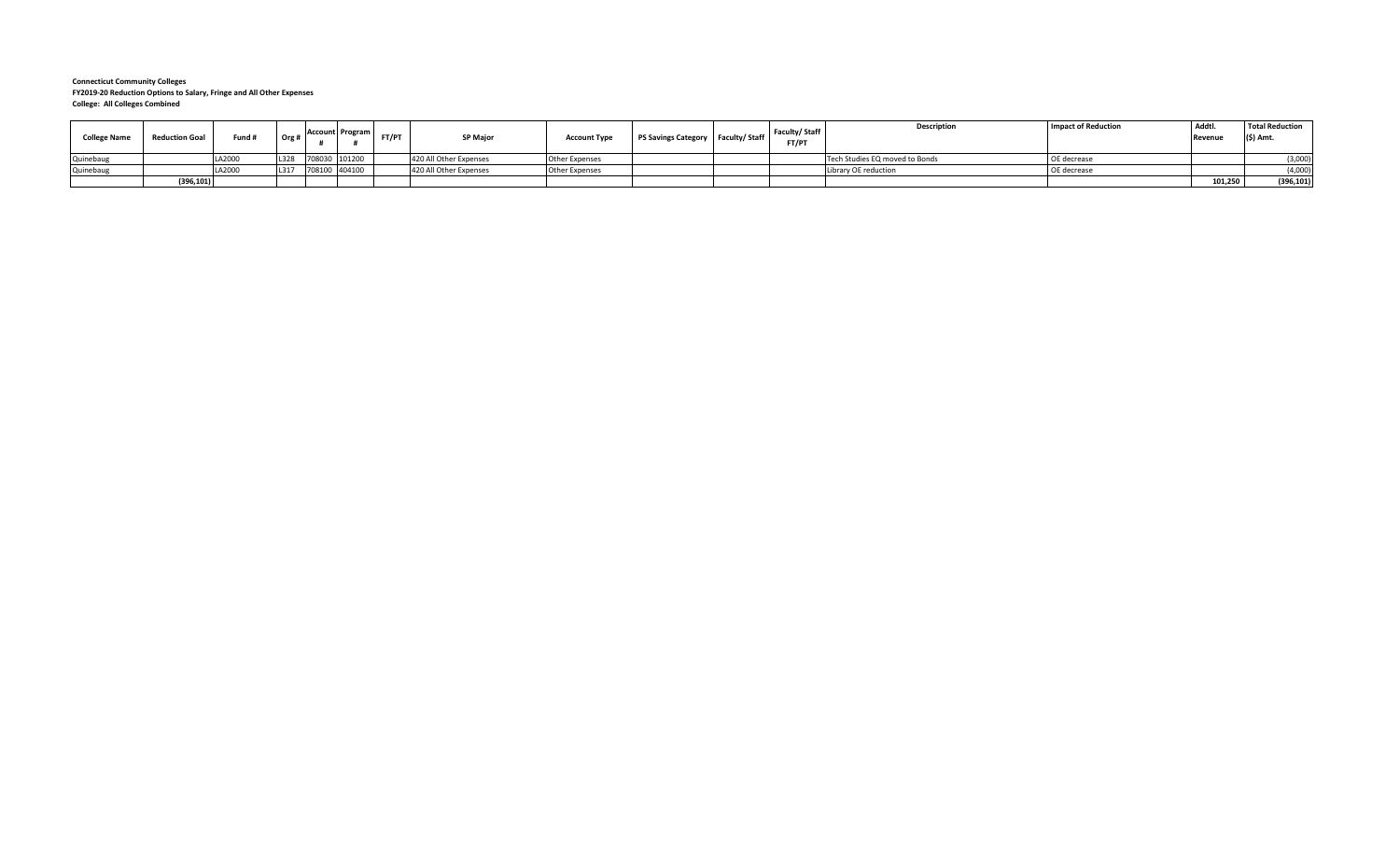| <b>College Name</b> | <b>Reduction Goal</b> | Fund <del>"</del> | Org# | <b>Account Program</b> | FT/PT | <b>SP Major</b>        | <b>Account Type</b> | PS Savings Category   Faculty/ Staff | <b>Faculty/Staff</b><br><b>FT/PT</b> | <b>Description</b>             | <b>Impact of Reduction</b> | Addtl.<br>Revenue | <b>Total Reduction</b><br>$(5)$ Amt. |
|---------------------|-----------------------|-------------------|------|------------------------|-------|------------------------|---------------------|--------------------------------------|--------------------------------------|--------------------------------|----------------------------|-------------------|--------------------------------------|
| Quinebaug           |                       | A2000             | L328 | 708030 101200          |       | 420 All Other Expenses | Other Expenses      |                                      |                                      | Tech Studies EQ moved to Bonds | OE decrease                |                   | (3,000)                              |
| Quinebaug           |                       |                   | L317 | 708100 404100          |       | 420 All Other Expenses | Other Expenses      |                                      |                                      | Library OE reduction           | OE decrease                |                   | (4,000)                              |
|                     | (396,101)             |                   |      |                        |       |                        |                     |                                      |                                      |                                |                            | 101.250           | (396, 101)                           |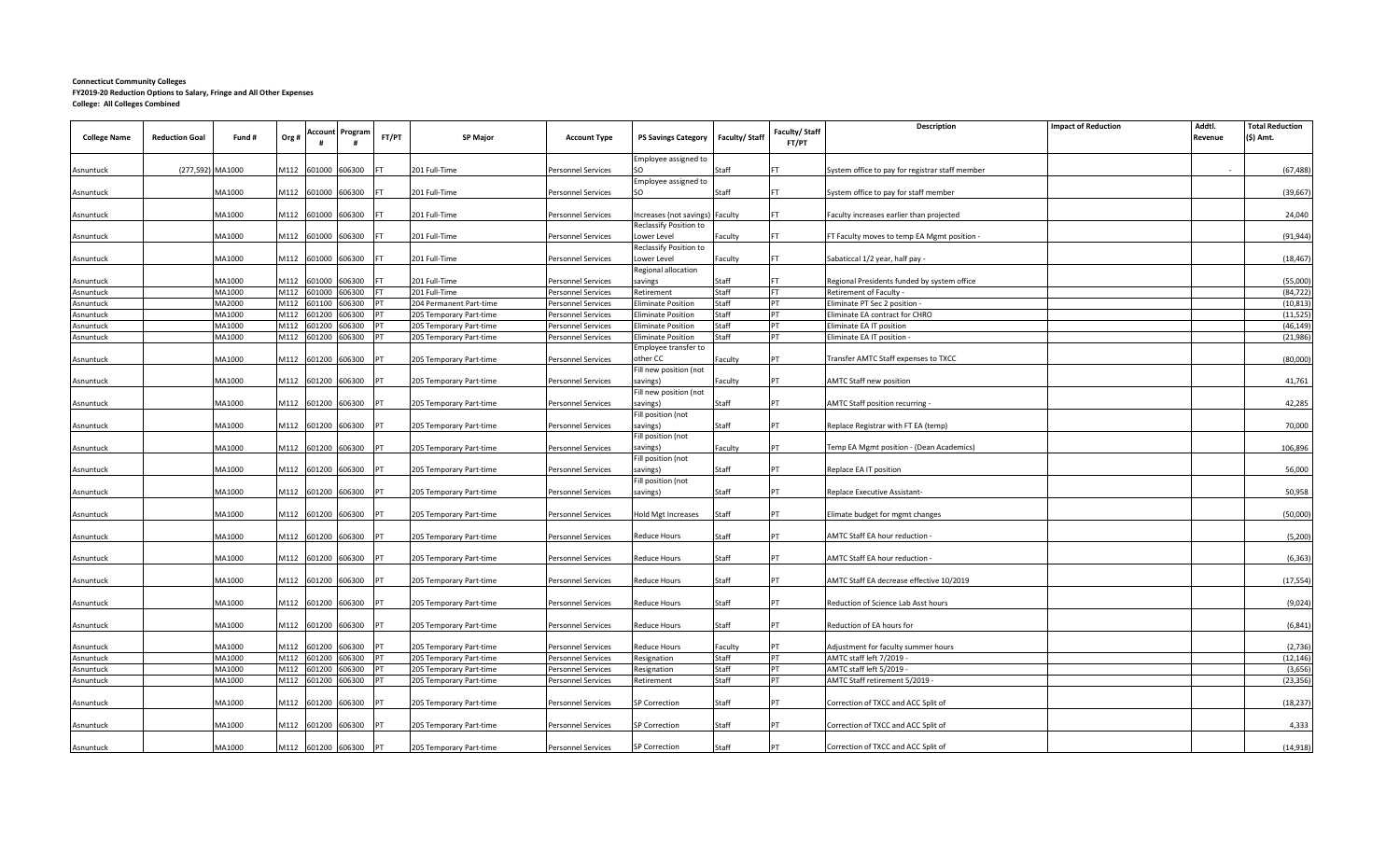|                     |                       |                  |              |                       |                    |                       |                         |                     |                                                           |                |                                | Description                                      | <b>Impact of Reduction</b> | Addtl.  | <b>Total Reduction</b> |
|---------------------|-----------------------|------------------|--------------|-----------------------|--------------------|-----------------------|-------------------------|---------------------|-----------------------------------------------------------|----------------|--------------------------------|--------------------------------------------------|----------------------------|---------|------------------------|
| <b>College Name</b> | <b>Reduction Goal</b> | Fund #           | Org#         | <b>Account</b>        | Program<br>#       | FT/PT                 | <b>SP Major</b>         | <b>Account Type</b> | <b>PS Savings Category</b>                                | Faculty/Staff  | Faculty/ Staff<br><b>FT/PT</b> |                                                  |                            | Revenue | (\$) Amt.              |
|                     |                       |                  |              |                       |                    |                       |                         |                     | Employee assigned to                                      |                |                                |                                                  |                            |         |                        |
| Asnuntuck           | (277,592) MA1000      |                  |              |                       | M112 601000 606300 |                       | 201 Full-Time           | Personnel Services  |                                                           | Staff          | <b>FT</b>                      | System office to pay for registrar staff member  |                            |         | (67, 488)              |
|                     |                       |                  |              |                       |                    |                       |                         |                     | Employee assigned to                                      |                |                                |                                                  |                            |         |                        |
| Asnuntuck           |                       | MA1000           |              |                       | M112 601000 606300 |                       | 201 Full-Time           | Personnel Services  | <b>SO</b>                                                 | Staff          | <b>FT</b>                      | System office to pay for staff member            |                            |         | (39, 667)              |
|                     |                       |                  |              |                       |                    |                       |                         |                     |                                                           |                |                                |                                                  |                            |         |                        |
| Asnuntuck           |                       | MA1000           | M112         |                       | 601000 606300      |                       | 201 Full-Time           | Personnel Services  | Increases (not savings) Faculty<br>Reclassify Position to |                |                                | Faculty increases earlier than projected         |                            |         | 24,040                 |
| Asnuntuck           |                       | MA1000           |              |                       | M112 601000 606300 | <b>FT</b>             | 201 Full-Time           | Personnel Services  | Lower Level                                               | Faculty        | <b>FT</b>                      | FT Faculty moves to temp EA Mgmt position -      |                            |         | (91, 944)              |
|                     |                       |                  |              |                       |                    |                       |                         |                     | Reclassify Position to                                    |                |                                |                                                  |                            |         |                        |
| Asnuntuck           |                       | MA1000           | M112         | 601000                | 606300             |                       | 201 Full-Time           | Personnel Services  | ower Level                                                | Faculty        | <b>FT</b>                      | Sabaticcal 1/2 year, half pay -                  |                            |         | (18, 467)              |
|                     |                       |                  |              |                       |                    |                       |                         |                     | Regional allocation                                       |                |                                |                                                  |                            |         |                        |
| Asnuntuck           |                       | MA1000           | M112         | 601000                | 606300             |                       | 201 Full-Time           | Personnel Services  | savings                                                   | Staff          | <b>FT</b>                      | Regional Presidents funded by system office      |                            |         | (55,000)               |
| Asnuntuck           |                       | MA1000           | M112         | 601000                | 606300             | <b>FT</b>             | 201 Full-Time           | Personnel Services  | Retirement                                                | Staff          | FT                             | <b>Retirement of Faculty</b>                     |                            |         | (84, 722)              |
| Asnuntuck           |                       | MA2000           | M112         | 601100                | 606300             |                       | 204 Permanent Part-time | Personnel Services  | Eliminate Position                                        | Staff          | PT                             | Eliminate PT Sec 2 position -                    |                            |         | (10, 813)              |
| Asnuntuck           |                       | MA1000           | M112<br>M112 | 601200                | 606300             | PT                    | 205 Temporary Part-time | Personnel Services  | <b>Eliminate Position</b>                                 | Staff<br>Staff | PT<br>PT                       | Eliminate EA contract for CHRO                   |                            |         | (11, 525)<br>(46, 149) |
| Asnuntuck           |                       | MA1000<br>MA1000 |              | 601200<br>M112 601200 | 606300<br>606300   | <b>PT</b>             | 205 Temporary Part-time | Personnel Services  | <b>Eliminate Position</b><br><b>Eliminate Position</b>    | Staff          | PT                             | Eliminate EA IT position                         |                            |         | (21, 986)              |
| Asnuntuck           |                       |                  |              |                       |                    |                       | 205 Temporary Part-time | Personnel Services  | Employee transfer to                                      |                |                                | Eliminate EA IT position -                       |                            |         |                        |
| Asnuntuck           |                       | MA1000           | M112         | 601200                | 606300             | PT                    | 205 Temporary Part-time | Personnel Services  | other CC                                                  | Faculty        | PT                             | Transfer AMTC Staff expenses to TXCC             |                            |         | (80,000)               |
|                     |                       |                  |              |                       |                    |                       |                         |                     | Fill new position (not                                    |                |                                |                                                  |                            |         |                        |
| Asnuntuck           |                       | MA1000           |              |                       | M112 601200 606300 | PT                    | 205 Temporary Part-time | Personnel Services  | savings)                                                  | Faculty        | PT                             | AMTC Staff new position                          |                            |         | 41,761                 |
|                     |                       |                  |              |                       |                    |                       |                         |                     | Fill new position (not                                    |                |                                |                                                  |                            |         |                        |
| Asnuntuck           |                       | MA1000           | M112         | 601200                | 606300             |                       | 205 Temporary Part-time | Personnel Services  | savings)                                                  | Staff          | PT                             | <b>AMTC Staff position recurring</b>             |                            |         | 42,285                 |
|                     |                       |                  |              |                       |                    |                       |                         |                     | Fill position (not                                        |                |                                |                                                  |                            |         |                        |
| Asnuntuck           |                       | MA1000           |              |                       | M112 601200 606300 |                       | 205 Temporary Part-time | Personnel Services  | savings)                                                  | Staff          | PT                             | Replace Registrar with FT EA (temp)              |                            |         | 70,000                 |
|                     |                       |                  |              |                       |                    |                       |                         |                     | Fill position (not                                        |                |                                |                                                  |                            |         |                        |
| Asnuntuck           |                       | MA1000           |              | M112 601200           | 606300             | <b>PT</b>             | 205 Temporary Part-time | Personnel Services  | savings)<br>Fill position (not                            | Faculty        | PT                             | Temp EA Mgmt position - (Dean Academics)         |                            |         | 106,896                |
| Asnuntuck           |                       | MA1000           | M112         | 601200                | 606300             |                       | 205 Temporary Part-time | Personnel Services  | savings)                                                  | Staff          | PT                             | Replace EA IT position                           |                            |         | 56,000                 |
|                     |                       |                  |              |                       |                    |                       |                         |                     | Fill position (not                                        |                |                                |                                                  |                            |         |                        |
| Asnuntuck           |                       | MA1000           |              |                       | M112 601200 606300 | PT                    | 205 Temporary Part-time | Personnel Services  | savings)                                                  | Staff          | <b>IPT</b>                     | Replace Executive Assistant-                     |                            |         | 50,958                 |
|                     |                       |                  |              |                       |                    |                       |                         |                     |                                                           |                |                                |                                                  |                            |         |                        |
| Asnuntuck           |                       | MA1000           |              | M112 601200           | 606300             |                       | 205 Temporary Part-time | Personnel Services  | <b>Hold Mgt Increases</b>                                 | Staff          | PT                             | Elimate budget for mgmt changes                  |                            |         | (50,000)               |
|                     |                       |                  |              |                       |                    |                       |                         |                     |                                                           |                |                                |                                                  |                            |         |                        |
| Asnuntuck           |                       | MA1000           |              |                       | M112 601200 606300 |                       | 205 Temporary Part-time | Personnel Services  | <b>Reduce Hours</b>                                       | Staff          | PT                             | AMTC Staff EA hour reduction -                   |                            |         | (5, 200)               |
|                     |                       | MA1000           |              |                       |                    |                       |                         |                     | <b>Reduce Hours</b>                                       | Staff          | PT                             |                                                  |                            |         |                        |
| Asnuntuck           |                       |                  |              |                       | M112 601200 606300 | PT                    | 205 Temporary Part-time | Personnel Services  |                                                           |                |                                | AMTC Staff EA hour reduction -                   |                            |         | (6, 363)               |
| Asnuntuck           |                       | MA1000           | M112         |                       | 601200 606300      | P <sub>1</sub>        | 205 Temporary Part-time | Personnel Services  | <b>Reduce Hours</b>                                       | Staff          | PT                             | AMTC Staff EA decrease effective 10/2019         |                            |         | (17, 554)              |
|                     |                       |                  |              |                       |                    |                       |                         |                     |                                                           |                |                                |                                                  |                            |         |                        |
| Asnuntuck           |                       | MA1000           |              |                       | M112 601200 606300 | <b>PT</b>             | 205 Temporary Part-time | Personnel Services  | <b>Reduce Hours</b>                                       | Staff          | PT                             | Reduction of Science Lab Asst hours              |                            |         | (9,024)                |
|                     |                       |                  |              |                       |                    |                       |                         |                     |                                                           |                |                                |                                                  |                            |         |                        |
| Asnuntuck           |                       | MA1000           |              |                       | M112 601200 606300 |                       | 205 Temporary Part-time | Personnel Services  | <b>Reduce Hours</b>                                       | Staff          | PT                             | Reduction of EA hours for                        |                            |         | (6, 841)               |
|                     |                       |                  |              |                       |                    |                       |                         |                     |                                                           |                |                                |                                                  |                            |         |                        |
| Asnuntuck           |                       | MA1000           |              | M112 601200           | 606300             | <b>PT</b>             | 205 Temporary Part-time | Personnel Services  | <b>Reduce Hours</b>                                       | Faculty        | PT                             | Adjustment for faculty summer hours              |                            |         | (2,736)                |
| Asnuntuck           |                       | MA1000           | M112<br>M112 | 601200<br>601200      | 606300             | IPT<br>P <sub>1</sub> | 205 Temporary Part-time | Personnel Services  | Resignation                                               | Staff<br>Staff | $\overline{PT}$<br>PT          | AMTC staff left 7/2019<br>AMTC staff left 5/2019 |                            |         | (12, 146)              |
| Asnuntuck           |                       | MA1000<br>MA1000 | M112         |                       | 606300             |                       | 205 Temporary Part-time | Personnel Services  | Resignation                                               | Staff          | PT                             | AMTC Staff retirement 5/2019 -                   |                            |         | (3,656)<br>(23, 356)   |
| Asnuntuck           |                       |                  |              |                       | 601200 606300      |                       | 205 Temporary Part-time | Personnel Services  | Retirement                                                |                |                                |                                                  |                            |         |                        |
| Asnuntuck           |                       | MA1000           |              |                       | M112 601200 606300 | <b>PT</b>             | 205 Temporary Part-time | Personnel Services  | <b>SP Correction</b>                                      | Staff          | PT                             | Correction of TXCC and ACC Split of              |                            |         | (18, 237)              |
|                     |                       |                  |              |                       |                    |                       |                         |                     |                                                           |                |                                |                                                  |                            |         |                        |
| Asnuntuck           |                       | MA1000           | M112         |                       | 601200 606300      | P <sub>1</sub>        | 205 Temporary Part-time | Personnel Services  | <b>SP Correction</b>                                      | Staff          | PT                             | Correction of TXCC and ACC Split of              |                            |         | 4,333                  |
|                     |                       |                  |              |                       |                    |                       |                         |                     |                                                           |                |                                |                                                  |                            |         |                        |
| Asnuntuck           |                       | MA1000           |              |                       | M112 601200 606300 | <b>PT</b>             | 205 Temporary Part-time | Personnel Services  | <b>SP Correction</b>                                      | Staff          | PT                             | Correction of TXCC and ACC Split of              |                            |         | (14, 918)              |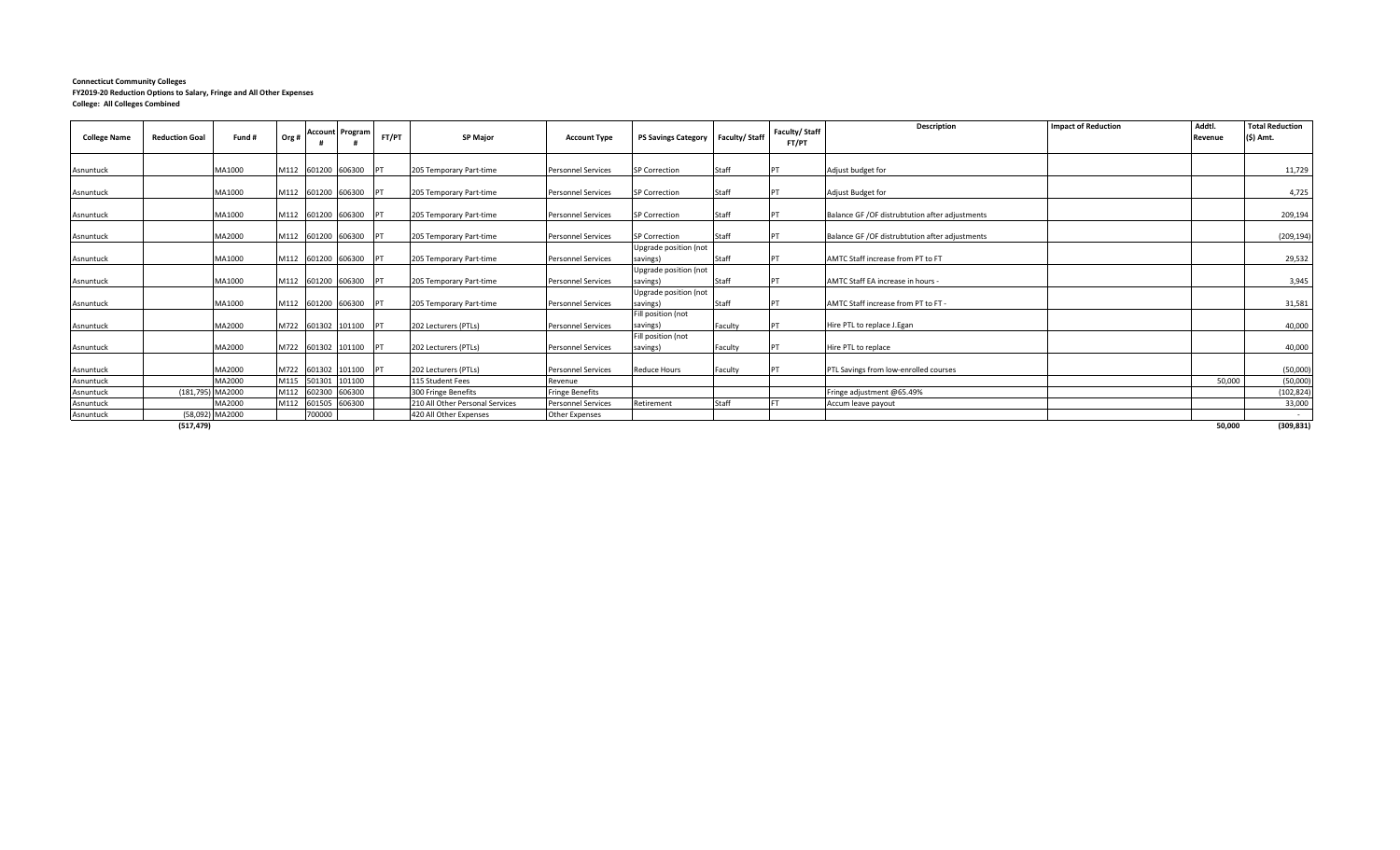|                     |                       |                 |       |             | <b>Account Program</b> |            |                                 |                           |                                      |         | Faculty/ Staff | <b>Description</b>                             | <b>Impact of Reduction</b> | Addtl.  | <b>Total Reduction</b> |
|---------------------|-----------------------|-----------------|-------|-------------|------------------------|------------|---------------------------------|---------------------------|--------------------------------------|---------|----------------|------------------------------------------------|----------------------------|---------|------------------------|
| <b>College Name</b> | <b>Reduction Goal</b> | Fund #          | Org # |             |                        | FT/PT      | <b>SP Major</b>                 | <b>Account Type</b>       | PS Savings Category   Faculty/ Staff |         | FT/PT          |                                                |                            | Revenue | $(5)$ Amt.             |
|                     |                       |                 |       |             |                        |            |                                 |                           |                                      |         |                |                                                |                            |         |                        |
| Asnuntuck           |                       | MA1000          |       |             | M112 601200 606300     | <b>IPT</b> | 205 Temporary Part-time         | <b>Personnel Services</b> | <b>SP Correction</b>                 | Staff   | PT             | Adjust budget for                              |                            |         | 11,729                 |
| Asnuntuck           |                       | MA1000          |       |             | M112 601200 606300     | <b>IPT</b> | 205 Temporary Part-time         | <b>Personnel Services</b> | <b>SP Correction</b>                 | Staff   | PT             | Adjust Budget for                              |                            |         | 4,725                  |
| Asnuntuck           |                       | MA1000          |       |             | M112 601200 606300     | <b>IPT</b> | 205 Temporary Part-time         | <b>Personnel Services</b> | <b>SP Correction</b>                 | Staff   | <b>PT</b>      | Balance GF /OF distrubtution after adjustments |                            |         | 209,194                |
| Asnuntuck           |                       | MA2000          |       |             | M112 601200 606300     | <b>PT</b>  | 205 Temporary Part-time         | <b>Personnel Services</b> | <b>SP Correction</b>                 | Staff   | PT             | Balance GF /OF distrubtution after adjustments |                            |         | (209, 194)             |
|                     |                       |                 |       |             |                        |            |                                 |                           | Upgrade position (not                |         |                |                                                |                            |         |                        |
| Asnuntuck           |                       | MA1000          |       |             | M112 601200 606300     | <b>IPT</b> | 205 Temporary Part-time         | <b>Personnel Services</b> | savings)                             | Staff   | PT             | AMTC Staff increase from PT to FT              |                            |         | 29,532                 |
| Asnuntuck           |                       | MA1000          |       |             | M112 601200 606300 PT  |            | 205 Temporary Part-time         | <b>Personnel Services</b> | Upgrade position (not<br>savings)    | Staff   | <b>IPT</b>     | AMTC Staff EA increase in hours -              |                            |         | 3,945                  |
| Asnuntuck           |                       | MA1000          |       |             | M112 601200 606300     | <b>PT</b>  | 205 Temporary Part-time         | <b>Personnel Services</b> | Upgrade position (not<br>savings)    | Staff   | PT             | AMTC Staff increase from PT to FT -            |                            |         | 31,581                 |
| Asnuntuck           |                       | MA2000          |       |             | M722 601302 101100     | PT         | 202 Lecturers (PTLs)            | <b>Personnel Services</b> | Fill position (not<br>savings)       | Faculty | PT             | Hire PTL to replace J.Egan                     |                            |         | 40,000                 |
| Asnuntuck           |                       | MA2000          |       |             | M722 601302 101100 PT  |            | 202 Lecturers (PTLs)            | <b>Personnel Services</b> | Fill position (not<br>savings)       | Faculty | PT             | Hire PTL to replace                            |                            |         | 40,000                 |
| Asnuntuck           |                       | MA2000          |       |             | M722 601302 101100 PT  |            | 202 Lecturers (PTLs)            | <b>Personnel Services</b> | <b>Reduce Hours</b>                  | Faculty | <b>IPT</b>     | PTL Savings from low-enrolled courses          |                            |         | (50,000)               |
| Asnuntuck           |                       | MA2000          |       |             | M115 501301 101100     |            | 115 Student Fees                | Revenue                   |                                      |         |                |                                                |                            | 50,000  | (50,000)               |
| Asnuntuck           | (181,795) MA2000      |                 |       | M112 602300 | 606300                 |            | 300 Fringe Benefits             | <b>Fringe Benefits</b>    |                                      |         |                | Fringe adjustment @65.49%                      |                            |         | (102, 824)             |
| Asnuntuck           |                       | MA2000          |       |             | M112 601505 606300     |            | 210 All Other Personal Services | <b>Personnel Services</b> | Retirement                           | Staff   |                | Accum leave payout                             |                            |         | 33,000                 |
| Asnuntuck           |                       | (58,092) MA2000 |       | 700000      |                        |            | 420 All Other Expenses          | Other Expenses            |                                      |         |                |                                                |                            |         |                        |
|                     | (517.479)             |                 |       |             |                        |            |                                 |                           |                                      |         |                |                                                |                            | 50.000  | (309, 831)             |